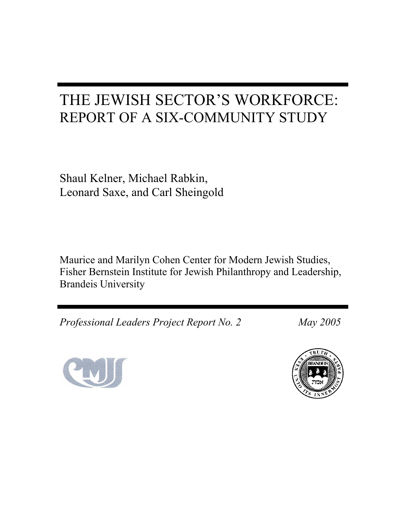# THE JEWISH SECTOR'S WORKFORCE: REPORT OF A SIX-COMMUNITY STUDY

Shaul Kelner, Michael Rabkin, Leonard Saxe, and Carl Sheingold

Maurice and Marilyn Cohen Center for Modern Jewish Studies, Fisher Bernstein Institute for Jewish Philanthropy and Leadership, Brandeis University

*Professional Leaders Project Report No. 2 May 2005* 



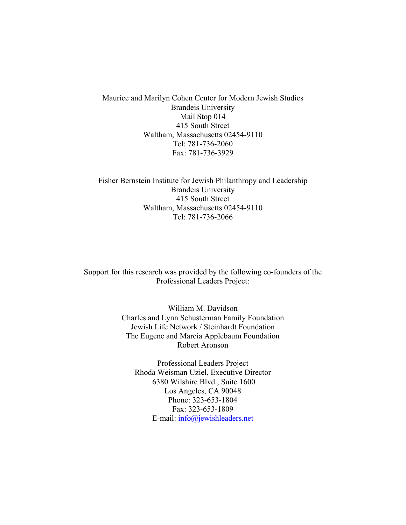Maurice and Marilyn Cohen Center for Modern Jewish Studies Brandeis University Mail Stop 014 415 South Street Waltham, Massachusetts 02454-9110 Tel: 781-736-2060 Fax: 781-736-3929

Fisher Bernstein Institute for Jewish Philanthropy and Leadership Brandeis University 415 South Street Waltham, Massachusetts 02454-9110 Tel: 781-736-2066

Support for this research was provided by the following co-founders of the Professional Leaders Project:

> William M. Davidson Charles and Lynn Schusterman Family Foundation Jewish Life Network / Steinhardt Foundation The Eugene and Marcia Applebaum Foundation Robert Aronson

Professional Leaders Project Rhoda Weisman Uziel, Executive Director 6380 Wilshire Blvd., Suite 1600 Los Angeles, CA 90048 Phone: 323-653-1804 Fax: 323-653-1809 E-mail: info@jewishleaders.net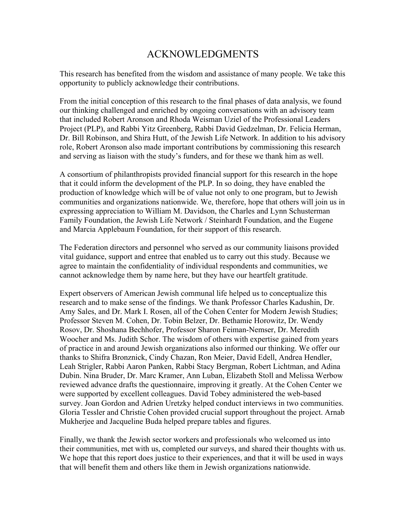### ACKNOWLEDGMENTS

This research has benefited from the wisdom and assistance of many people. We take this opportunity to publicly acknowledge their contributions.

From the initial conception of this research to the final phases of data analysis, we found our thinking challenged and enriched by ongoing conversations with an advisory team that included Robert Aronson and Rhoda Weisman Uziel of the Professional Leaders Project (PLP), and Rabbi Yitz Greenberg, Rabbi David Gedzelman, Dr. Felicia Herman, Dr. Bill Robinson, and Shira Hutt, of the Jewish Life Network. In addition to his advisory role, Robert Aronson also made important contributions by commissioning this research and serving as liaison with the study's funders, and for these we thank him as well.

A consortium of philanthropists provided financial support for this research in the hope that it could inform the development of the PLP. In so doing, they have enabled the production of knowledge which will be of value not only to one program, but to Jewish communities and organizations nationwide. We, therefore, hope that others will join us in expressing appreciation to William M. Davidson, the Charles and Lynn Schusterman Family Foundation, the Jewish Life Network / Steinhardt Foundation, and the Eugene and Marcia Applebaum Foundation, for their support of this research.

The Federation directors and personnel who served as our community liaisons provided vital guidance, support and entree that enabled us to carry out this study. Because we agree to maintain the confidentiality of individual respondents and communities, we cannot acknowledge them by name here, but they have our heartfelt gratitude.

Expert observers of American Jewish communal life helped us to conceptualize this research and to make sense of the findings. We thank Professor Charles Kadushin, Dr. Amy Sales, and Dr. Mark I. Rosen, all of the Cohen Center for Modern Jewish Studies; Professor Steven M. Cohen, Dr. Tobin Belzer, Dr. Bethamie Horowitz, Dr. Wendy Rosov, Dr. Shoshana Bechhofer, Professor Sharon Feiman-Nemser, Dr. Meredith Woocher and Ms. Judith Schor. The wisdom of others with expertise gained from years of practice in and around Jewish organizations also informed our thinking. We offer our thanks to Shifra Bronznick, Cindy Chazan, Ron Meier, David Edell, Andrea Hendler, Leah Strigler, Rabbi Aaron Panken, Rabbi Stacy Bergman, Robert Lichtman, and Adina Dubin. Nina Bruder, Dr. Marc Kramer, Ann Luban, Elizabeth Stoll and Melissa Werbow reviewed advance drafts the questionnaire, improving it greatly. At the Cohen Center we were supported by excellent colleagues. David Tobey administered the web-based survey. Joan Gordon and Adrien Uretzky helped conduct interviews in two communities. Gloria Tessler and Christie Cohen provided crucial support throughout the project. Arnab Mukherjee and Jacqueline Buda helped prepare tables and figures.

Finally, we thank the Jewish sector workers and professionals who welcomed us into their communities, met with us, completed our surveys, and shared their thoughts with us. We hope that this report does justice to their experiences, and that it will be used in ways that will benefit them and others like them in Jewish organizations nationwide.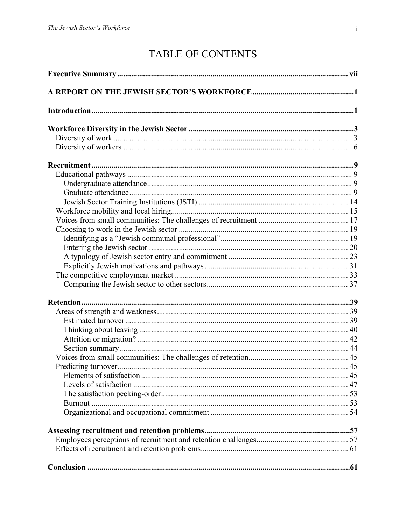# TABLE OF CONTENTS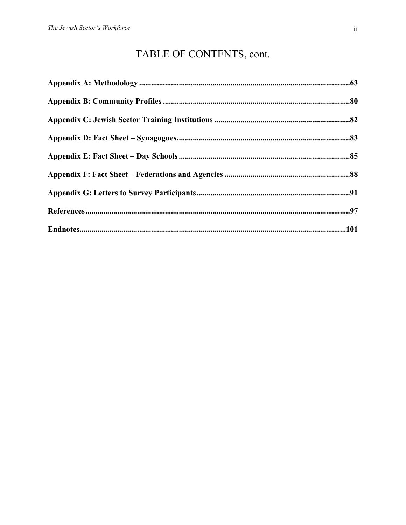# TABLE OF CONTENTS, cont.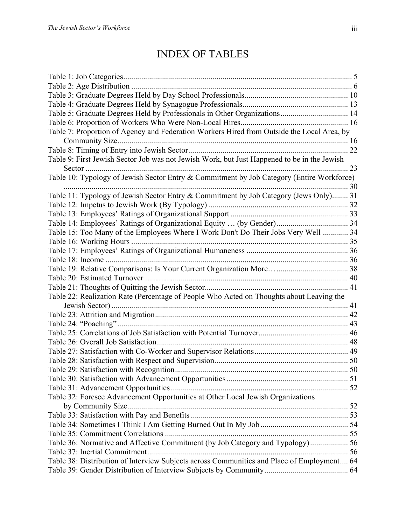| Table 5: Graduate Degrees Held by Professionals in Other Organizations 14                   |    |
|---------------------------------------------------------------------------------------------|----|
|                                                                                             |    |
| Table 7: Proportion of Agency and Federation Workers Hired from Outside the Local Area, by  |    |
|                                                                                             |    |
|                                                                                             |    |
| Table 9: First Jewish Sector Job was not Jewish Work, but Just Happened to be in the Jewish |    |
|                                                                                             | 23 |
| Table 10: Typology of Jewish Sector Entry & Commitment by Job Category (Entire Workforce)   |    |
|                                                                                             |    |
| Table 11: Typology of Jewish Sector Entry & Commitment by Job Category (Jews Only) 31       |    |
|                                                                                             |    |
|                                                                                             |    |
|                                                                                             |    |
| Table 15: Too Many of the Employees Where I Work Don't Do Their Jobs Very Well  34          |    |
|                                                                                             |    |
|                                                                                             |    |
|                                                                                             |    |
|                                                                                             |    |
|                                                                                             |    |
|                                                                                             |    |
| Table 22: Realization Rate (Percentage of People Who Acted on Thoughts about Leaving the    |    |
|                                                                                             |    |
|                                                                                             |    |
|                                                                                             |    |
|                                                                                             |    |
|                                                                                             |    |
|                                                                                             |    |
|                                                                                             |    |
|                                                                                             |    |
|                                                                                             |    |
|                                                                                             |    |
| Table 32: Foresee Advancement Opportunities at Other Local Jewish Organizations             |    |
|                                                                                             |    |
|                                                                                             |    |
|                                                                                             |    |
|                                                                                             |    |
| Table 36: Normative and Affective Commitment (by Job Category and Typology) 56              |    |
|                                                                                             |    |
| Table 38: Distribution of Interview Subjects across Communities and Place of Employment 64  |    |
|                                                                                             |    |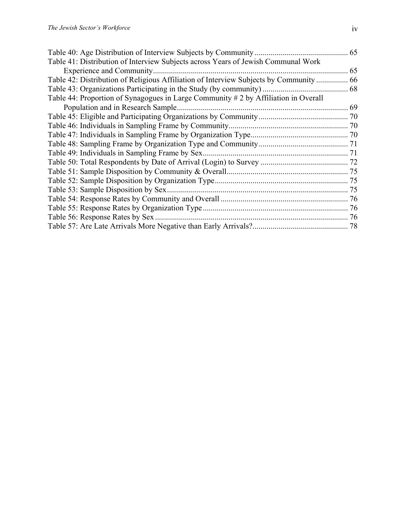|                                                                                       | 65 |
|---------------------------------------------------------------------------------------|----|
| Table 41: Distribution of Interview Subjects across Years of Jewish Communal Work     |    |
| Experience and Community                                                              | 65 |
| Table 42: Distribution of Religious Affiliation of Interview Subjects by Community 66 |    |
|                                                                                       |    |
| Table 44: Proportion of Synagogues in Large Community # 2 by Affiliation in Overall   |    |
| Population and in Research Sample.                                                    | 69 |
|                                                                                       |    |
|                                                                                       |    |
|                                                                                       |    |
|                                                                                       |    |
|                                                                                       |    |
|                                                                                       |    |
|                                                                                       |    |
|                                                                                       |    |
|                                                                                       |    |
|                                                                                       |    |
|                                                                                       |    |
|                                                                                       | 76 |
|                                                                                       |    |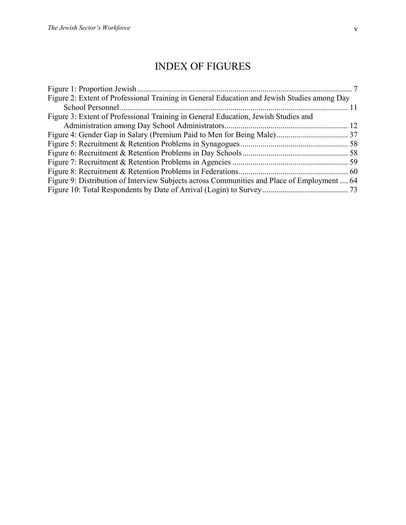# INDEX OF FIGURES

| Figure 2: Extent of Professional Training in General Education and Jewish Studies among Day |  |
|---------------------------------------------------------------------------------------------|--|
|                                                                                             |  |
| Figure 3: Extent of Professional Training in General Education, Jewish Studies and          |  |
|                                                                                             |  |
|                                                                                             |  |
|                                                                                             |  |
|                                                                                             |  |
|                                                                                             |  |
|                                                                                             |  |
| Figure 9: Distribution of Interview Subjects across Communities and Place of Employment  64 |  |
|                                                                                             |  |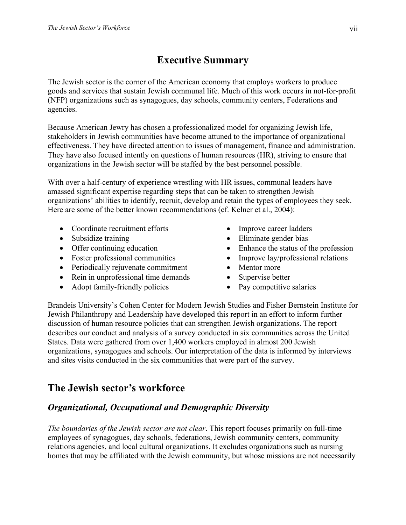# **Executive Summary**

The Jewish sector is the corner of the American economy that employs workers to produce goods and services that sustain Jewish communal life. Much of this work occurs in not-for-profit (NFP) organizations such as synagogues, day schools, community centers, Federations and agencies.

Because American Jewry has chosen a professionalized model for organizing Jewish life, stakeholders in Jewish communities have become attuned to the importance of organizational effectiveness. They have directed attention to issues of management, finance and administration. They have also focused intently on questions of human resources (HR), striving to ensure that organizations in the Jewish sector will be staffed by the best personnel possible.

With over a half-century of experience wrestling with HR issues, communal leaders have amassed significant expertise regarding steps that can be taken to strengthen Jewish organizations' abilities to identify, recruit, develop and retain the types of employees they seek. Here are some of the better known recommendations (cf. Kelner et al., 2004):

- Coordinate recruitment efforts
- Subsidize training
- Offer continuing education
- Foster professional communities
- Periodically rejuvenate commitment
- Rein in unprofessional time demands
- Adopt family-friendly policies
- Improve career ladders
- Eliminate gender bias
- Enhance the status of the profession
- Improve lay/professional relations
- Mentor more
- Supervise better
- Pay competitive salaries

Brandeis University's Cohen Center for Modern Jewish Studies and Fisher Bernstein Institute for Jewish Philanthropy and Leadership have developed this report in an effort to inform further discussion of human resource policies that can strengthen Jewish organizations. The report describes our conduct and analysis of a survey conducted in six communities across the United States. Data were gathered from over 1,400 workers employed in almost 200 Jewish organizations, synagogues and schools. Our interpretation of the data is informed by interviews and sites visits conducted in the six communities that were part of the survey.

# **The Jewish sector's workforce**

### *Organizational, Occupational and Demographic Diversity*

*The boundaries of the Jewish sector are not clear*. This report focuses primarily on full-time employees of synagogues, day schools, federations, Jewish community centers, community relations agencies, and local cultural organizations. It excludes organizations such as nursing homes that may be affiliated with the Jewish community, but whose missions are not necessarily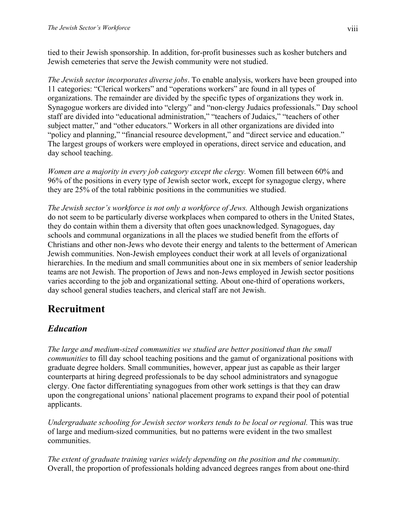tied to their Jewish sponsorship. In addition, for-profit businesses such as kosher butchers and Jewish cemeteries that serve the Jewish community were not studied.

*The Jewish sector incorporates diverse jobs*. To enable analysis, workers have been grouped into 11 categories: "Clerical workers" and "operations workers" are found in all types of organizations. The remainder are divided by the specific types of organizations they work in. Synagogue workers are divided into "clergy" and "non-clergy Judaics professionals." Day school staff are divided into "educational administration," "teachers of Judaics," "teachers of other subject matter," and "other educators." Workers in all other organizations are divided into "policy and planning," "financial resource development," and "direct service and education." The largest groups of workers were employed in operations, direct service and education, and day school teaching.

*Women are a majority in every job category except the clergy.* Women fill between 60% and 96% of the positions in every type of Jewish sector work, except for synagogue clergy, where they are 25% of the total rabbinic positions in the communities we studied.

*The Jewish sector's workforce is not only a workforce of Jews.* Although Jewish organizations do not seem to be particularly diverse workplaces when compared to others in the United States, they do contain within them a diversity that often goes unacknowledged. Synagogues, day schools and communal organizations in all the places we studied benefit from the efforts of Christians and other non-Jews who devote their energy and talents to the betterment of American Jewish communities. Non-Jewish employees conduct their work at all levels of organizational hierarchies. In the medium and small communities about one in six members of senior leadership teams are not Jewish. The proportion of Jews and non-Jews employed in Jewish sector positions varies according to the job and organizational setting. About one-third of operations workers, day school general studies teachers, and clerical staff are not Jewish.

# **Recruitment**

### *Education*

*The large and medium-sized communities we studied are better positioned than the small communities* to fill day school teaching positions and the gamut of organizational positions with graduate degree holders. Small communities, however, appear just as capable as their larger counterparts at hiring degreed professionals to be day school administrators and synagogue clergy. One factor differentiating synagogues from other work settings is that they can draw upon the congregational unions' national placement programs to expand their pool of potential applicants.

*Undergraduate schooling for Jewish sector workers tends to be local or regional. This was true* of large and medium-sized communities*,* but no patterns were evident in the two smallest communities.

*The extent of graduate training varies widely depending on the position and the community.* Overall, the proportion of professionals holding advanced degrees ranges from about one-third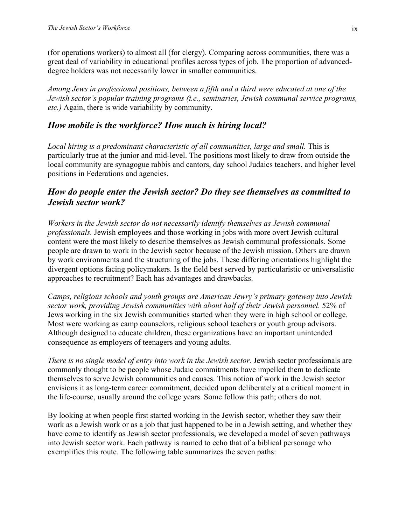(for operations workers) to almost all (for clergy). Comparing across communities, there was a great deal of variability in educational profiles across types of job. The proportion of advanceddegree holders was not necessarily lower in smaller communities.

*Among Jews in professional positions, between a fifth and a third were educated at one of the Jewish sector's popular training programs (i.e., seminaries, Jewish communal service programs, etc.)* Again, there is wide variability by community.

#### *How mobile is the workforce? How much is hiring local?*

*Local hiring is a predominant characteristic of all communities, large and small.* This is particularly true at the junior and mid-level. The positions most likely to draw from outside the local community are synagogue rabbis and cantors, day school Judaics teachers, and higher level positions in Federations and agencies.

#### *How do people enter the Jewish sector? Do they see themselves as committed to Jewish sector work?*

*Workers in the Jewish sector do not necessarily identify themselves as Jewish communal professionals.* Jewish employees and those working in jobs with more overt Jewish cultural content were the most likely to describe themselves as Jewish communal professionals. Some people are drawn to work in the Jewish sector because of the Jewish mission. Others are drawn by work environments and the structuring of the jobs. These differing orientations highlight the divergent options facing policymakers. Is the field best served by particularistic or universalistic approaches to recruitment? Each has advantages and drawbacks.

*Camps, religious schools and youth groups are American Jewry's primary gateway into Jewish sector work, providing Jewish communities with about half of their Jewish personnel.* 52% of Jews working in the six Jewish communities started when they were in high school or college. Most were working as camp counselors, religious school teachers or youth group advisors. Although designed to educate children, these organizations have an important unintended consequence as employers of teenagers and young adults.

*There is no single model of entry into work in the Jewish sector.* Jewish sector professionals are commonly thought to be people whose Judaic commitments have impelled them to dedicate themselves to serve Jewish communities and causes. This notion of work in the Jewish sector envisions it as long-term career commitment, decided upon deliberately at a critical moment in the life-course, usually around the college years. Some follow this path; others do not.

By looking at when people first started working in the Jewish sector, whether they saw their work as a Jewish work or as a job that just happened to be in a Jewish setting, and whether they have come to identify as Jewish sector professionals, we developed a model of seven pathways into Jewish sector work. Each pathway is named to echo that of a biblical personage who exemplifies this route. The following table summarizes the seven paths: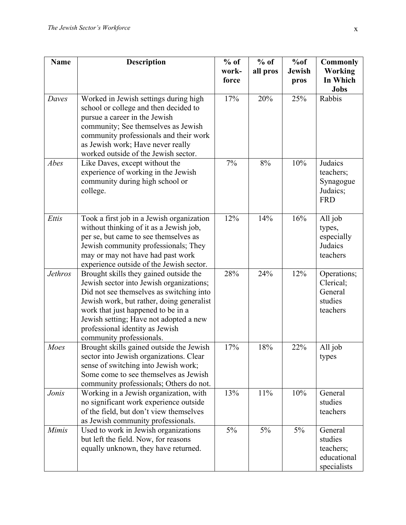| <b>Name</b>    | <b>Description</b>                                                                                                                                                                                                                                                                                                         | $%$ of<br>work-<br>force | $%$ of<br>all pros | %of<br><b>Jewish</b><br>pros | <b>Commonly</b><br><b>Working</b><br>In Which<br><b>Jobs</b>  |
|----------------|----------------------------------------------------------------------------------------------------------------------------------------------------------------------------------------------------------------------------------------------------------------------------------------------------------------------------|--------------------------|--------------------|------------------------------|---------------------------------------------------------------|
| Daves          | Worked in Jewish settings during high<br>school or college and then decided to<br>pursue a career in the Jewish<br>community; See themselves as Jewish<br>community professionals and their work<br>as Jewish work; Have never really<br>worked outside of the Jewish sector.                                              | 17%                      | 20%                | 25%                          | Rabbis                                                        |
| Abes           | Like Daves, except without the<br>experience of working in the Jewish<br>community during high school or<br>college.                                                                                                                                                                                                       |                          | 8%                 | 10%                          | Judaics<br>teachers;<br>Synagogue<br>Judaics;<br><b>FRD</b>   |
| Ettis          | Took a first job in a Jewish organization<br>without thinking of it as a Jewish job,<br>per se, but came to see themselves as<br>Jewish community professionals; They<br>may or may not have had past work<br>experience outside of the Jewish sector.                                                                     | 12%                      | 14%                | 16%                          | All job<br>types,<br>especially<br>Judaics<br>teachers        |
| <b>Jethros</b> | Brought skills they gained outside the<br>Jewish sector into Jewish organizations;<br>Did not see themselves as switching into<br>Jewish work, but rather, doing generalist<br>work that just happened to be in a<br>Jewish setting; Have not adopted a new<br>professional identity as Jewish<br>community professionals. | 28%                      | 24%                | 12%                          | Operations;<br>Clerical;<br>General<br>studies<br>teachers    |
| Moes           | Brought skills gained outside the Jewish<br>sector into Jewish organizations. Clear<br>sense of switching into Jewish work;<br>Some come to see themselves as Jewish<br>community professionals; Others do not.                                                                                                            | 17%                      | 18%                | 22%                          | All job<br>types                                              |
| Jonis          | Working in a Jewish organization, with<br>no significant work experience outside<br>of the field, but don't view themselves<br>as Jewish community professionals.                                                                                                                                                          | 13%                      | 11%                | 10%                          | General<br>studies<br>teachers                                |
| <b>Mimis</b>   | Used to work in Jewish organizations<br>but left the field. Now, for reasons<br>equally unknown, they have returned.                                                                                                                                                                                                       | $5\%$                    | 5%                 | 5%                           | General<br>studies<br>teachers;<br>educational<br>specialists |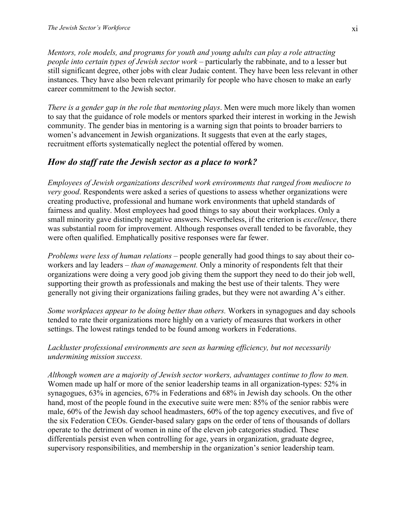*Mentors, role models, and programs for youth and young adults can play a role attracting people into certain types of Jewish sector work* – particularly the rabbinate, and to a lesser but still significant degree, other jobs with clear Judaic content. They have been less relevant in other instances. They have also been relevant primarily for people who have chosen to make an early career commitment to the Jewish sector.

*There is a gender gap in the role that mentoring plays*. Men were much more likely than women to say that the guidance of role models or mentors sparked their interest in working in the Jewish community. The gender bias in mentoring is a warning sign that points to broader barriers to women's advancement in Jewish organizations. It suggests that even at the early stages, recruitment efforts systematically neglect the potential offered by women.

#### *How do staff rate the Jewish sector as a place to work?*

*Employees of Jewish organizations described work environments that ranged from mediocre to very good*. Respondents were asked a series of questions to assess whether organizations were creating productive, professional and humane work environments that upheld standards of fairness and quality. Most employees had good things to say about their workplaces. Only a small minority gave distinctly negative answers. Nevertheless, if the criterion is *excellence*, there was substantial room for improvement. Although responses overall tended to be favorable, they were often qualified. Emphatically positive responses were far fewer.

*Problems were less of human relations* – people generally had good things to say about their coworkers and lay leaders – *than of management.* Only a minority of respondents felt that their organizations were doing a very good job giving them the support they need to do their job well, supporting their growth as professionals and making the best use of their talents. They were generally not giving their organizations failing grades, but they were not awarding A's either.

*Some workplaces appear to be doing better than others.* Workers in synagogues and day schools tended to rate their organizations more highly on a variety of measures that workers in other settings. The lowest ratings tended to be found among workers in Federations.

#### *Lackluster professional environments are seen as harming efficiency, but not necessarily undermining mission success.*

*Although women are a majority of Jewish sector workers, advantages continue to flow to men.* Women made up half or more of the senior leadership teams in all organization-types: 52% in synagogues, 63% in agencies, 67% in Federations and 68% in Jewish day schools. On the other hand, most of the people found in the executive suite were men: 85% of the senior rabbis were male, 60% of the Jewish day school headmasters, 60% of the top agency executives, and five of the six Federation CEOs. Gender-based salary gaps on the order of tens of thousands of dollars operate to the detriment of women in nine of the eleven job categories studied. These differentials persist even when controlling for age, years in organization, graduate degree, supervisory responsibilities, and membership in the organization's senior leadership team.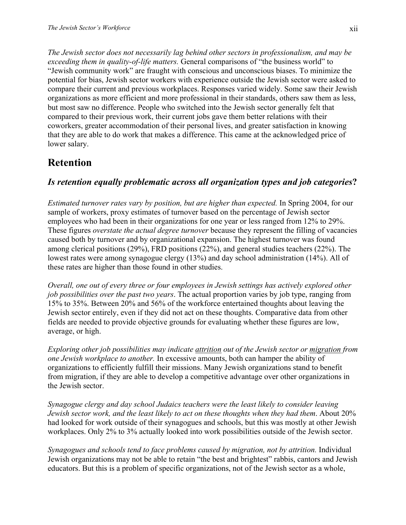*The Jewish sector does not necessarily lag behind other sectors in professionalism, and may be exceeding them in quality-of-life matters.* General comparisons of "the business world" to "Jewish community work" are fraught with conscious and unconscious biases. To minimize the potential for bias, Jewish sector workers with experience outside the Jewish sector were asked to compare their current and previous workplaces. Responses varied widely. Some saw their Jewish organizations as more efficient and more professional in their standards, others saw them as less, but most saw no difference. People who switched into the Jewish sector generally felt that compared to their previous work, their current jobs gave them better relations with their coworkers, greater accommodation of their personal lives, and greater satisfaction in knowing that they are able to do work that makes a difference. This came at the acknowledged price of lower salary.

## **Retention**

### *Is retention equally problematic across all organization types and job categories***?**

*Estimated turnover rates vary by position, but are higher than expected.* In Spring 2004, for our sample of workers, proxy estimates of turnover based on the percentage of Jewish sector employees who had been in their organizations for one year or less ranged from 12% to 29%. These figures *overstate the actual degree turnover* because they represent the filling of vacancies caused both by turnover and by organizational expansion. The highest turnover was found among clerical positions (29%), FRD positions (22%), and general studies teachers (22%). The lowest rates were among synagogue clergy (13%) and day school administration (14%). All of these rates are higher than those found in other studies.

*Overall, one out of every three or four employees in Jewish settings has actively explored other job possibilities over the past two years*. The actual proportion varies by job type, ranging from 15% to 35%. Between 20% and 56% of the workforce entertained thoughts about leaving the Jewish sector entirely, even if they did not act on these thoughts. Comparative data from other fields are needed to provide objective grounds for evaluating whether these figures are low, average, or high.

*Exploring other job possibilities may indicate attrition out of the Jewish sector or migration from one Jewish workplace to another.* In excessive amounts, both can hamper the ability of organizations to efficiently fulfill their missions. Many Jewish organizations stand to benefit from migration, if they are able to develop a competitive advantage over other organizations in the Jewish sector.

*Synagogue clergy and day school Judaics teachers were the least likely to consider leaving Jewish sector work, and the least likely to act on these thoughts when they had them*. About 20% had looked for work outside of their synagogues and schools, but this was mostly at other Jewish workplaces. Only 2% to 3% actually looked into work possibilities outside of the Jewish sector.

*Synagogues and schools tend to face problems caused by migration, not by attrition.* Individual Jewish organizations may not be able to retain "the best and brightest" rabbis, cantors and Jewish educators. But this is a problem of specific organizations, not of the Jewish sector as a whole,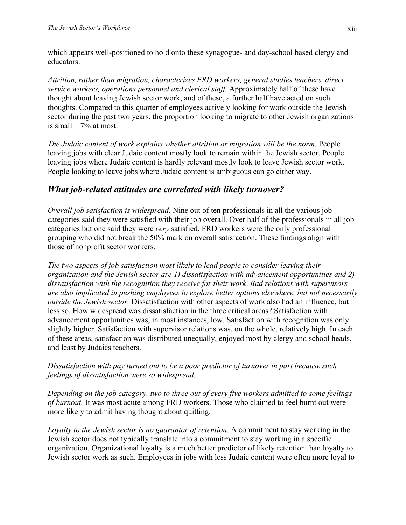which appears well-positioned to hold onto these synagogue- and day-school based clergy and educators.

*Attrition, rather than migration, characterizes FRD workers, general studies teachers, direct service workers, operations personnel and clerical staff.* Approximately half of these have thought about leaving Jewish sector work, and of these, a further half have acted on such thoughts. Compared to this quarter of employees actively looking for work outside the Jewish sector during the past two years, the proportion looking to migrate to other Jewish organizations is small  $-7\%$  at most.

*The Judaic content of work explains whether attrition or migration will be the norm.* People leaving jobs with clear Judaic content mostly look to remain within the Jewish sector. People leaving jobs where Judaic content is hardly relevant mostly look to leave Jewish sector work. People looking to leave jobs where Judaic content is ambiguous can go either way.

#### *What job-related attitudes are correlated with likely turnover?*

*Overall job satisfaction is widespread.* Nine out of ten professionals in all the various job categories said they were satisfied with their job overall. Over half of the professionals in all job categories but one said they were *very* satisfied. FRD workers were the only professional grouping who did not break the 50% mark on overall satisfaction. These findings align with those of nonprofit sector workers.

*The two aspects of job satisfaction most likely to lead people to consider leaving their organization and the Jewish sector are 1) dissatisfaction with advancement opportunities and 2) dissatisfaction with the recognition they receive for their work*. *Bad relations with supervisors are also implicated in pushing employees to explore better options elsewhere, but not necessarily outside the Jewish sector.* Dissatisfaction with other aspects of work also had an influence, but less so. How widespread was dissatisfaction in the three critical areas? Satisfaction with advancement opportunities was, in most instances, low. Satisfaction with recognition was only slightly higher. Satisfaction with supervisor relations was, on the whole, relatively high. In each of these areas, satisfaction was distributed unequally, enjoyed most by clergy and school heads, and least by Judaics teachers.

*Dissatisfaction with pay turned out to be a poor predictor of turnover in part because such feelings of dissatisfaction were so widespread.* 

*Depending on the job category, two to three out of every five workers admitted to some feelings of burnout.* It was most acute among FRD workers. Those who claimed to feel burnt out were more likely to admit having thought about quitting.

*Loyalty to the Jewish sector is no guarantor of retention*. A commitment to stay working in the Jewish sector does not typically translate into a commitment to stay working in a specific organization. Organizational loyalty is a much better predictor of likely retention than loyalty to Jewish sector work as such. Employees in jobs with less Judaic content were often more loyal to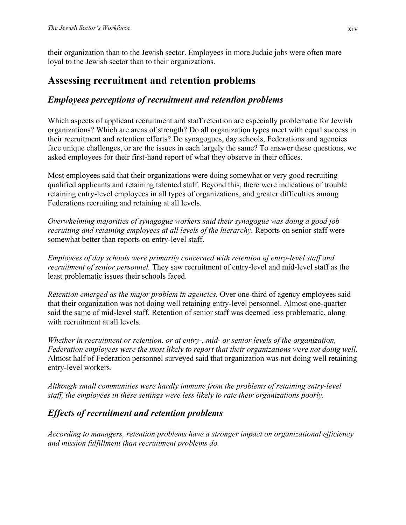their organization than to the Jewish sector. Employees in more Judaic jobs were often more loyal to the Jewish sector than to their organizations.

## **Assessing recruitment and retention problems**

### *Employees perceptions of recruitment and retention problems*

Which aspects of applicant recruitment and staff retention are especially problematic for Jewish organizations? Which are areas of strength? Do all organization types meet with equal success in their recruitment and retention efforts? Do synagogues, day schools, Federations and agencies face unique challenges, or are the issues in each largely the same? To answer these questions, we asked employees for their first-hand report of what they observe in their offices.

Most employees said that their organizations were doing somewhat or very good recruiting qualified applicants and retaining talented staff. Beyond this, there were indications of trouble retaining entry-level employees in all types of organizations, and greater difficulties among Federations recruiting and retaining at all levels.

*Overwhelming majorities of synagogue workers said their synagogue was doing a good job recruiting and retaining employees at all levels of the hierarchy.* Reports on senior staff were somewhat better than reports on entry-level staff.

*Employees of day schools were primarily concerned with retention of entry-level staff and recruitment of senior personnel.* They saw recruitment of entry-level and mid-level staff as the least problematic issues their schools faced.

*Retention emerged as the major problem in agencies.* Over one-third of agency employees said that their organization was not doing well retaining entry-level personnel. Almost one-quarter said the same of mid-level staff. Retention of senior staff was deemed less problematic, along with recruitment at all levels.

*Whether in recruitment or retention, or at entry-, mid- or senior levels of the organization, Federation employees were the most likely to report that their organizations were not doing well.*  Almost half of Federation personnel surveyed said that organization was not doing well retaining entry-level workers.

*Although small communities were hardly immune from the problems of retaining entry-level staff, the employees in these settings were less likely to rate their organizations poorly.* 

### *Effects of recruitment and retention problems*

*According to managers, retention problems have a stronger impact on organizational efficiency and mission fulfillment than recruitment problems do.*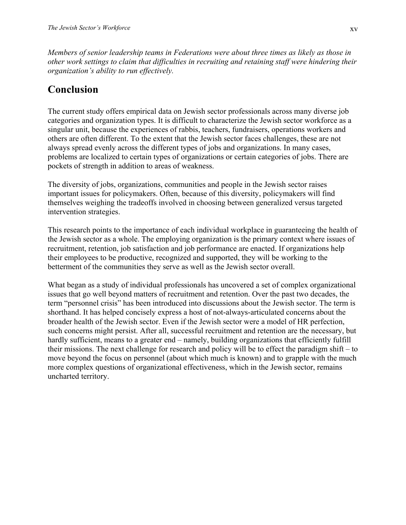*Members of senior leadership teams in Federations were about three times as likely as those in other work settings to claim that difficulties in recruiting and retaining staff were hindering their organization's ability to run effectively.* 

## **Conclusion**

The current study offers empirical data on Jewish sector professionals across many diverse job categories and organization types. It is difficult to characterize the Jewish sector workforce as a singular unit, because the experiences of rabbis, teachers, fundraisers, operations workers and others are often different. To the extent that the Jewish sector faces challenges, these are not always spread evenly across the different types of jobs and organizations. In many cases, problems are localized to certain types of organizations or certain categories of jobs. There are pockets of strength in addition to areas of weakness.

The diversity of jobs, organizations, communities and people in the Jewish sector raises important issues for policymakers. Often, because of this diversity, policymakers will find themselves weighing the tradeoffs involved in choosing between generalized versus targeted intervention strategies.

This research points to the importance of each individual workplace in guaranteeing the health of the Jewish sector as a whole. The employing organization is the primary context where issues of recruitment, retention, job satisfaction and job performance are enacted. If organizations help their employees to be productive, recognized and supported, they will be working to the betterment of the communities they serve as well as the Jewish sector overall.

What began as a study of individual professionals has uncovered a set of complex organizational issues that go well beyond matters of recruitment and retention. Over the past two decades, the term "personnel crisis" has been introduced into discussions about the Jewish sector. The term is shorthand. It has helped concisely express a host of not-always-articulated concerns about the broader health of the Jewish sector. Even if the Jewish sector were a model of HR perfection, such concerns might persist. After all, successful recruitment and retention are the necessary, but hardly sufficient, means to a greater end – namely, building organizations that efficiently fulfill their missions. The next challenge for research and policy will be to effect the paradigm shift – to move beyond the focus on personnel (about which much is known) and to grapple with the much more complex questions of organizational effectiveness, which in the Jewish sector, remains uncharted territory.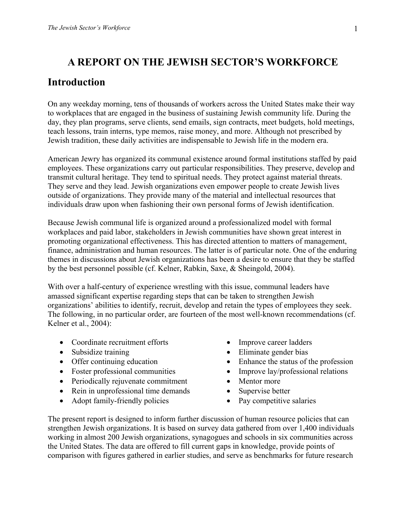### **A REPORT ON THE JEWISH SECTOR'S WORKFORCE**

#### **Introduction**

On any weekday morning, tens of thousands of workers across the United States make their way to workplaces that are engaged in the business of sustaining Jewish community life. During the day, they plan programs, serve clients, send emails, sign contracts, meet budgets, hold meetings, teach lessons, train interns, type memos, raise money, and more. Although not prescribed by Jewish tradition, these daily activities are indispensable to Jewish life in the modern era.

American Jewry has organized its communal existence around formal institutions staffed by paid employees. These organizations carry out particular responsibilities. They preserve, develop and transmit cultural heritage. They tend to spiritual needs. They protect against material threats. They serve and they lead. Jewish organizations even empower people to create Jewish lives outside of organizations. They provide many of the material and intellectual resources that individuals draw upon when fashioning their own personal forms of Jewish identification.

Because Jewish communal life is organized around a professionalized model with formal workplaces and paid labor, stakeholders in Jewish communities have shown great interest in promoting organizational effectiveness. This has directed attention to matters of management, finance, administration and human resources. The latter is of particular note. One of the enduring themes in discussions about Jewish organizations has been a desire to ensure that they be staffed by the best personnel possible (cf. Kelner, Rabkin, Saxe, & Sheingold, 2004).

With over a half-century of experience wrestling with this issue, communal leaders have amassed significant expertise regarding steps that can be taken to strengthen Jewish organizations' abilities to identify, recruit, develop and retain the types of employees they seek. The following, in no particular order, are fourteen of the most well-known recommendations (cf. Kelner et al., 2004):

- Coordinate recruitment efforts
- Subsidize training
- Offer continuing education
- Foster professional communities
- Periodically rejuvenate commitment
- Rein in unprofessional time demands
- Adopt family-friendly policies
- Improve career ladders
- Eliminate gender bias
- Enhance the status of the profession
- Improve lay/professional relations
- Mentor more
- Supervise better
- Pay competitive salaries

The present report is designed to inform further discussion of human resource policies that can strengthen Jewish organizations. It is based on survey data gathered from over 1,400 individuals working in almost 200 Jewish organizations, synagogues and schools in six communities across the United States. The data are offered to fill current gaps in knowledge, provide points of comparison with figures gathered in earlier studies, and serve as benchmarks for future research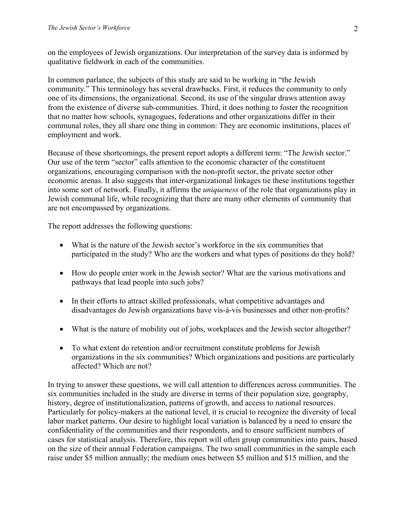on the employees of Jewish organizations. Our interpretation of the survey data is informed by qualitative fieldwork in each of the communities.

In common parlance, the subjects of this study are said to be working in "the Jewish community." This terminology has several drawbacks. First, it reduces the community to only one of its dimensions, the organizational. Second, its use of the singular draws attention away from the existence of diverse sub-communities. Third, it does nothing to foster the recognition that no matter how schools, synagogues, federations and other organizations differ in their communal roles, they all share one thing in common: They are economic institutions, places of employment and work.

Because of these shortcomings, the present report adopts a different term: "The Jewish sector." Our use of the term "sector" calls attention to the economic character of the constituent organizations, encouraging comparison with the non-profit sector, the private sector other economic arenas. It also suggests that inter-organizational linkages tie these institutions together into some sort of network. Finally, it affirms the *uniqueness* of the role that organizations play in Jewish communal life, while recognizing that there are many other elements of community that are not encompassed by organizations.

The report addresses the following questions:

- What is the nature of the Jewish sector's workforce in the six communities that participated in the study? Who are the workers and what types of positions do they hold?
- How do people enter work in the Jewish sector? What are the various motivations and pathways that lead people into such jobs?
- In their efforts to attract skilled professionals, what competitive advantages and disadvantages do Jewish organizations have vis-à-vis businesses and other non-profits?
- What is the nature of mobility out of jobs, workplaces and the Jewish sector altogether?
- To what extent do retention and/or recruitment constitute problems for Jewish organizations in the six communities? Which organizations and positions are particularly affected? Which are not?

In trying to answer these questions, we will call attention to differences across communities. The six communities included in the study are diverse in terms of their population size, geography, history, degree of institutionalization, patterns of growth, and access to national resources. Particularly for policy-makers at the national level, it is crucial to recognize the diversity of local labor market patterns. Our desire to highlight local variation is balanced by a need to ensure the confidentiality of the communities and their respondents, and to ensure sufficient numbers of cases for statistical analysis. Therefore, this report will often group communities into pairs, based on the size of their annual Federation campaigns. The two small communities in the sample each raise under \$5 million annually; the medium ones between \$5 million and \$15 million, and the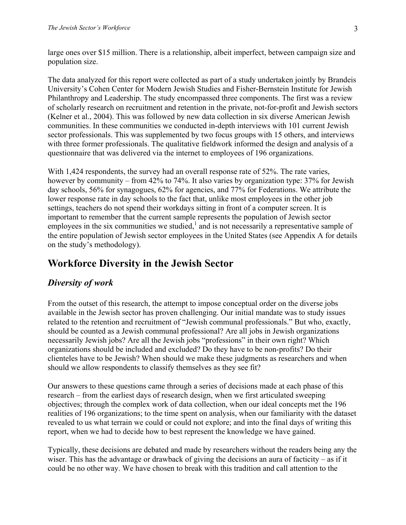large ones over \$15 million. There is a relationship, albeit imperfect, between campaign size and population size.

The data analyzed for this report were collected as part of a study undertaken jointly by Brandeis University's Cohen Center for Modern Jewish Studies and Fisher-Bernstein Institute for Jewish Philanthropy and Leadership. The study encompassed three components. The first was a review of scholarly research on recruitment and retention in the private, not-for-profit and Jewish sectors (Kelner et al., 2004). This was followed by new data collection in six diverse American Jewish communities. In these communities we conducted in-depth interviews with 101 current Jewish sector professionals. This was supplemented by two focus groups with 15 others, and interviews with three former professionals. The qualitative fieldwork informed the design and analysis of a questionnaire that was delivered via the internet to employees of 196 organizations.

With 1,424 respondents, the survey had an overall response rate of 52%. The rate varies, however by community – from 42% to 74%. It also varies by organization type: 37% for Jewish day schools, 56% for synagogues, 62% for agencies, and 77% for Federations. We attribute the lower response rate in day schools to the fact that, unlike most employees in the other job settings, teachers do not spend their workdays sitting in front of a computer screen. It is important to remember that the current sample represents the population of Jewish sector employees in the six communities we studied, $\frac{1}{2}$  and is not necessarily a representative sample of the entire population of Jewish sector employees in the United States (see Appendix A for details on the study's methodology).

### **Workforce Diversity in the Jewish Sector**

#### *Diversity of work*

From the outset of this research, the attempt to impose conceptual order on the diverse jobs available in the Jewish sector has proven challenging. Our initial mandate was to study issues related to the retention and recruitment of "Jewish communal professionals." But who, exactly, should be counted as a Jewish communal professional? Are all jobs in Jewish organizations necessarily Jewish jobs? Are all the Jewish jobs "professions" in their own right? Which organizations should be included and excluded? Do they have to be non-profits? Do their clienteles have to be Jewish? When should we make these judgments as researchers and when should we allow respondents to classify themselves as they see fit?

Our answers to these questions came through a series of decisions made at each phase of this research – from the earliest days of research design, when we first articulated sweeping objectives; through the complex work of data collection, when our ideal concepts met the 196 realities of 196 organizations; to the time spent on analysis, when our familiarity with the dataset revealed to us what terrain we could or could not explore; and into the final days of writing this report, when we had to decide how to best represent the knowledge we have gained.

Typically, these decisions are debated and made by researchers without the readers being any the wiser. This has the advantage or drawback of giving the decisions an aura of facticity – as if it could be no other way. We have chosen to break with this tradition and call attention to the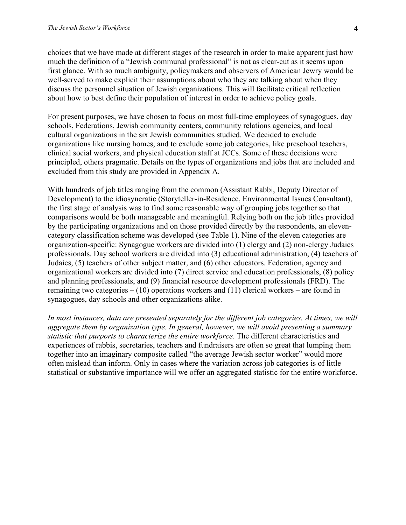choices that we have made at different stages of the research in order to make apparent just how much the definition of a "Jewish communal professional" is not as clear-cut as it seems upon first glance. With so much ambiguity, policymakers and observers of American Jewry would be well-served to make explicit their assumptions about who they are talking about when they discuss the personnel situation of Jewish organizations. This will facilitate critical reflection about how to best define their population of interest in order to achieve policy goals.

For present purposes, we have chosen to focus on most full-time employees of synagogues, day schools, Federations, Jewish community centers, community relations agencies, and local cultural organizations in the six Jewish communities studied. We decided to exclude organizations like nursing homes, and to exclude some job categories, like preschool teachers, clinical social workers, and physical education staff at JCCs. Some of these decisions were principled, others pragmatic. Details on the types of organizations and jobs that are included and excluded from this study are provided in Appendix A.

With hundreds of job titles ranging from the common (Assistant Rabbi, Deputy Director of Development) to the idiosyncratic (Storyteller-in-Residence, Environmental Issues Consultant), the first stage of analysis was to find some reasonable way of grouping jobs together so that comparisons would be both manageable and meaningful. Relying both on the job titles provided by the participating organizations and on those provided directly by the respondents, an elevencategory classification scheme was developed (see Table 1). Nine of the eleven categories are organization-specific: Synagogue workers are divided into (1) clergy and (2) non-clergy Judaics professionals. Day school workers are divided into (3) educational administration, (4) teachers of Judaics, (5) teachers of other subject matter, and (6) other educators. Federation, agency and organizational workers are divided into (7) direct service and education professionals, (8) policy and planning professionals, and (9) financial resource development professionals (FRD). The remaining two categories  $- (10)$  operations workers and  $(11)$  clerical workers – are found in synagogues, day schools and other organizations alike.

*In most instances, data are presented separately for the different job categories. At times, we will aggregate them by organization type. In general, however, we will avoid presenting a summary statistic that purports to characterize the entire workforce.* The different characteristics and experiences of rabbis, secretaries, teachers and fundraisers are often so great that lumping them together into an imaginary composite called "the average Jewish sector worker" would more often mislead than inform. Only in cases where the variation across job categories is of little statistical or substantive importance will we offer an aggregated statistic for the entire workforce.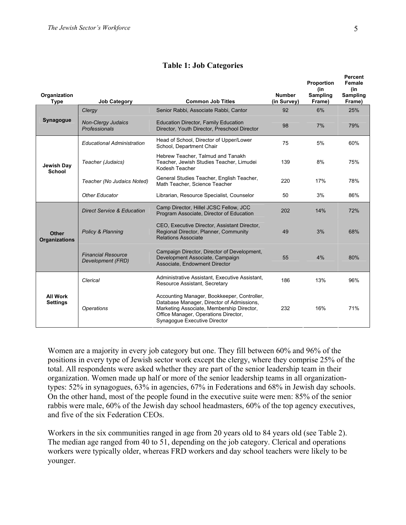| Organization<br><b>Type</b>          | <b>Job Category</b>                            | <b>Common Job Titles</b>                                                                                                                                                                                      | <b>Number</b><br>(in Survey) | Proportion<br>(in<br>Sampling<br>Frame) | Percent<br>Female<br>(in<br><b>Sampling</b><br>Frame) |
|--------------------------------------|------------------------------------------------|---------------------------------------------------------------------------------------------------------------------------------------------------------------------------------------------------------------|------------------------------|-----------------------------------------|-------------------------------------------------------|
|                                      | Clergy                                         | Senior Rabbi, Associate Rabbi, Cantor                                                                                                                                                                         | 92                           | 6%                                      | 25%                                                   |
| Synagogue                            | <b>Non-Clergy Judaics</b><br>Professionals     | <b>Education Director, Family Education</b><br>Director, Youth Director, Preschool Director                                                                                                                   | 98                           | 7%                                      | 79%                                                   |
|                                      | <b>Educational Administration</b>              | Head of School, Director of Upper/Lower<br>School, Department Chair                                                                                                                                           | 75                           | 5%                                      | 60%                                                   |
| Jewish Day<br>School                 | Teacher (Judaics)                              | Hebrew Teacher, Talmud and Tanakh<br>Teacher, Jewish Studies Teacher, Limudei<br>Kodesh Teacher                                                                                                               | 139                          | 8%                                      | 75%                                                   |
|                                      | Teacher (No Judaics Noted)                     | General Studies Teacher, English Teacher,<br>Math Teacher, Science Teacher                                                                                                                                    | 220                          | 17%                                     | 78%                                                   |
|                                      | Other Educator                                 | Librarian, Resource Specialist, Counselor                                                                                                                                                                     | 50                           | 3%                                      | 86%                                                   |
|                                      | <b>Direct Service &amp; Education</b>          | Camp Director, Hillel JCSC Fellow, JCC<br>Program Associate, Director of Education                                                                                                                            | 202                          | 14%                                     | 72%                                                   |
| <b>Other</b><br><b>Organizations</b> | Policy & Planning                              | CEO, Executive Director, Assistant Director,<br>Regional Director, Planner, Community<br><b>Relations Associate</b>                                                                                           | 49                           | 3%                                      | 68%                                                   |
|                                      | <b>Financial Resource</b><br>Development (FRD) | Campaign Director, Director of Development,<br>Development Associate, Campaign<br>Associate, Endowment Director                                                                                               | 55                           | 4%                                      | 80%                                                   |
|                                      | Clerical                                       | Administrative Assistant, Executive Assistant,<br>Resource Assistant, Secretary                                                                                                                               | 186                          | 13%                                     | 96%                                                   |
| <b>All Work</b><br><b>Settings</b>   | <b>Operations</b>                              | Accounting Manager, Bookkeeper, Controller,<br>Database Manager, Director of Admissions,<br>Marketing Associate, Membership Director,<br>Office Manager, Operations Director,<br>Synagogue Executive Director | 232                          | 16%                                     | 71%                                                   |

#### **Table 1: Job Categories**

Women are a majority in every job category but one. They fill between 60% and 96% of the positions in every type of Jewish sector work except the clergy, where they comprise 25% of the total. All respondents were asked whether they are part of the senior leadership team in their organization. Women made up half or more of the senior leadership teams in all organizationtypes: 52% in synagogues, 63% in agencies, 67% in Federations and 68% in Jewish day schools. On the other hand, most of the people found in the executive suite were men: 85% of the senior rabbis were male, 60% of the Jewish day school headmasters, 60% of the top agency executives, and five of the six Federation CEOs.

Workers in the six communities ranged in age from 20 years old to 84 years old (see Table 2). The median age ranged from 40 to 51, depending on the job category. Clerical and operations workers were typically older, whereas FRD workers and day school teachers were likely to be younger.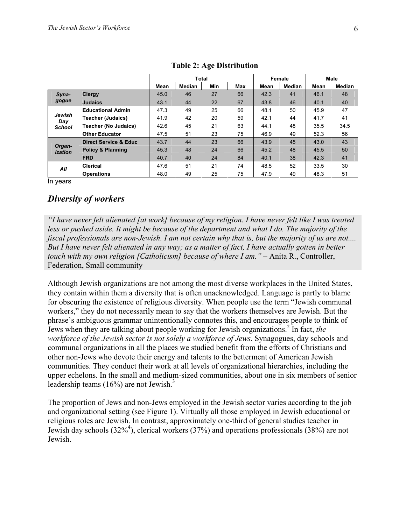|                                |                                  | <b>Total</b> |               | Female     |            | Male |               |      |        |
|--------------------------------|----------------------------------|--------------|---------------|------------|------------|------|---------------|------|--------|
|                                |                                  | Mean         | <b>Median</b> | <b>Min</b> | <b>Max</b> | Mean | <b>Median</b> | Mean | Median |
| Syna-                          | Clergy                           | 45.0         | 46            | 27         | 66         | 42.3 | 41            | 46.1 | 48     |
| gogue                          | <b>Judaics</b>                   | 43.1         | 44            | 22         | 67         | 43.8 | 46            | 40.1 | 40     |
| Jewish<br>Day<br><b>School</b> | <b>Educational Admin</b>         | 47.3         | 49            | 25         | 66         | 48.1 | 50            | 45.9 | 47     |
|                                | <b>Teacher (Judaics)</b>         | 41.9         | 42            | 20         | 59         | 42.1 | 44            | 41.7 | 41     |
|                                | <b>Teacher (No Judaics)</b>      | 42.6         | 45            | 21         | 63         | 44.1 | 48            | 35.5 | 34.5   |
|                                | <b>Other Educator</b>            | 47.5         | 51            | 23         | 75         | 46.9 | 49            | 52.3 | 56     |
| Organ-<br>ization              | <b>Direct Service &amp; Educ</b> | 43.7         | 44            | 23         | 66         | 43.9 | 45            | 43.0 | 43     |
|                                | <b>Policy &amp; Planning</b>     | 45.3         | 48            | 24         | 66         | 45.2 | 48            | 45.5 | 50     |
|                                | <b>FRD</b>                       | 40.7         | 40            | 24         | 84         | 40.1 | 38            | 42.3 | 41     |
| All                            | <b>Clerical</b>                  | 47.6         | 51            | 21         | 74         | 48.5 | 52            | 33.5 | 30     |
|                                | <b>Operations</b>                | 48.0         | 49            | 25         | 75         | 47.9 | 49            | 48.3 | 51     |

In years

#### *Diversity of workers*

*"I have never felt alienated [at work] because of my religion. I have never felt like I was treated*  less or pushed aside. It might be because of the department and what I do. The majority of the *fiscal professionals are non-Jewish. I am not certain why that is, but the majority of us are not.... But I have never felt alienated in any way; as a matter of fact, I have actually gotten in better touch with my own religion [Catholicism] because of where I am.* " – Anita R., Controller, Federation, Small community

Although Jewish organizations are not among the most diverse workplaces in the United States, they contain within them a diversity that is often unacknowledged. Language is partly to blame for obscuring the existence of religious diversity. When people use the term "Jewish communal workers," they do not necessarily mean to say that the workers themselves are Jewish. But the phrase's ambiguous grammar unintentionally connotes this, and encourages people to think of Jews when they are talking about people working for Jewish organizations.2 In fact, *the workforce of the Jewish sector is not solely a workforce of Jews*. Synagogues, day schools and communal organizations in all the places we studied benefit from the efforts of Christians and other non-Jews who devote their energy and talents to the betterment of American Jewish communities. They conduct their work at all levels of organizational hierarchies, including the upper echelons. In the small and medium-sized communities, about one in six members of senior leadership teams (16%) are not Jewish.<sup>3</sup>

The proportion of Jews and non-Jews employed in the Jewish sector varies according to the job and organizational setting (see Figure 1). Virtually all those employed in Jewish educational or religious roles are Jewish. In contrast, approximately one-third of general studies teacher in Jewish day schools (32%4 ), clerical workers (37%) and operations professionals (38%) are not Jewish.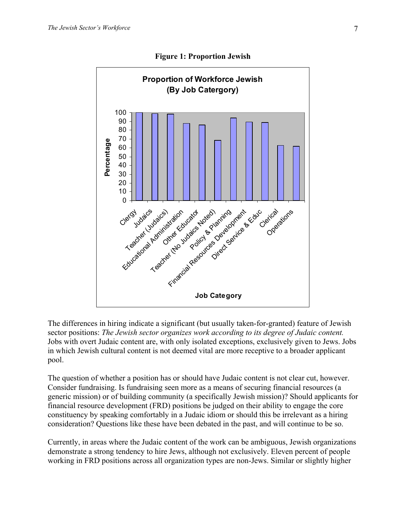

**Figure 1: Proportion Jewish** 

The differences in hiring indicate a significant (but usually taken-for-granted) feature of Jewish sector positions: *The Jewish sector organizes work according to its degree of Judaic content.* Jobs with overt Judaic content are, with only isolated exceptions, exclusively given to Jews. Jobs in which Jewish cultural content is not deemed vital are more receptive to a broader applicant pool.

The question of whether a position has or should have Judaic content is not clear cut, however. Consider fundraising. Is fundraising seen more as a means of securing financial resources (a generic mission) or of building community (a specifically Jewish mission)? Should applicants for financial resource development (FRD) positions be judged on their ability to engage the core constituency by speaking comfortably in a Judaic idiom or should this be irrelevant as a hiring consideration? Questions like these have been debated in the past, and will continue to be so.

Currently, in areas where the Judaic content of the work can be ambiguous, Jewish organizations demonstrate a strong tendency to hire Jews, although not exclusively. Eleven percent of people working in FRD positions across all organization types are non-Jews. Similar or slightly higher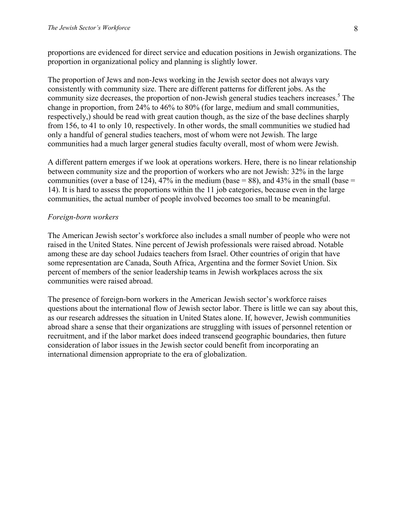proportions are evidenced for direct service and education positions in Jewish organizations. The proportion in organizational policy and planning is slightly lower.

The proportion of Jews and non-Jews working in the Jewish sector does not always vary consistently with community size. There are different patterns for different jobs. As the community size decreases, the proportion of non-Jewish general studies teachers increases.<sup>5</sup> The change in proportion, from 24% to 46% to 80% (for large, medium and small communities, respectively,) should be read with great caution though, as the size of the base declines sharply from 156, to 41 to only 10, respectively. In other words, the small communities we studied had only a handful of general studies teachers, most of whom were not Jewish. The large communities had a much larger general studies faculty overall, most of whom were Jewish.

A different pattern emerges if we look at operations workers. Here, there is no linear relationship between community size and the proportion of workers who are not Jewish: 32% in the large communities (over a base of 124), 47% in the medium (base = 88), and 43% in the small (base = 14). It is hard to assess the proportions within the 11 job categories, because even in the large communities, the actual number of people involved becomes too small to be meaningful.

#### *Foreign-born workers*

The American Jewish sector's workforce also includes a small number of people who were not raised in the United States. Nine percent of Jewish professionals were raised abroad. Notable among these are day school Judaics teachers from Israel. Other countries of origin that have some representation are Canada, South Africa, Argentina and the former Soviet Union. Six percent of members of the senior leadership teams in Jewish workplaces across the six communities were raised abroad.

The presence of foreign-born workers in the American Jewish sector's workforce raises questions about the international flow of Jewish sector labor. There is little we can say about this, as our research addresses the situation in United States alone. If, however, Jewish communities abroad share a sense that their organizations are struggling with issues of personnel retention or recruitment, and if the labor market does indeed transcend geographic boundaries, then future consideration of labor issues in the Jewish sector could benefit from incorporating an international dimension appropriate to the era of globalization.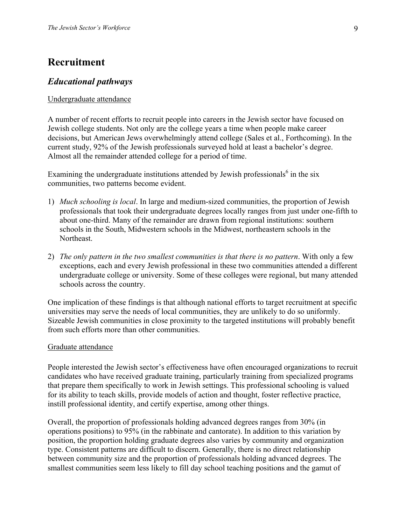### **Recruitment**

#### *Educational pathways*

#### Undergraduate attendance

A number of recent efforts to recruit people into careers in the Jewish sector have focused on Jewish college students. Not only are the college years a time when people make career decisions, but American Jews overwhelmingly attend college (Sales et al., Forthcoming). In the current study, 92% of the Jewish professionals surveyed hold at least a bachelor's degree. Almost all the remainder attended college for a period of time.

Examining the undergraduate institutions attended by Jewish professionals<sup>6</sup> in the six communities, two patterns become evident.

- 1) *Much schooling is local*. In large and medium-sized communities, the proportion of Jewish professionals that took their undergraduate degrees locally ranges from just under one-fifth to about one-third. Many of the remainder are drawn from regional institutions: southern schools in the South, Midwestern schools in the Midwest, northeastern schools in the Northeast.
- 2) *The only pattern in the two smallest communities is that there is no pattern*. With only a few exceptions, each and every Jewish professional in these two communities attended a different undergraduate college or university. Some of these colleges were regional, but many attended schools across the country.

One implication of these findings is that although national efforts to target recruitment at specific universities may serve the needs of local communities, they are unlikely to do so uniformly. Sizeable Jewish communities in close proximity to the targeted institutions will probably benefit from such efforts more than other communities.

#### Graduate attendance

People interested the Jewish sector's effectiveness have often encouraged organizations to recruit candidates who have received graduate training, particularly training from specialized programs that prepare them specifically to work in Jewish settings. This professional schooling is valued for its ability to teach skills, provide models of action and thought, foster reflective practice, instill professional identity, and certify expertise, among other things.

Overall, the proportion of professionals holding advanced degrees ranges from 30% (in operations positions) to 95% (in the rabbinate and cantorate). In addition to this variation by position, the proportion holding graduate degrees also varies by community and organization type. Consistent patterns are difficult to discern. Generally, there is no direct relationship between community size and the proportion of professionals holding advanced degrees. The smallest communities seem less likely to fill day school teaching positions and the gamut of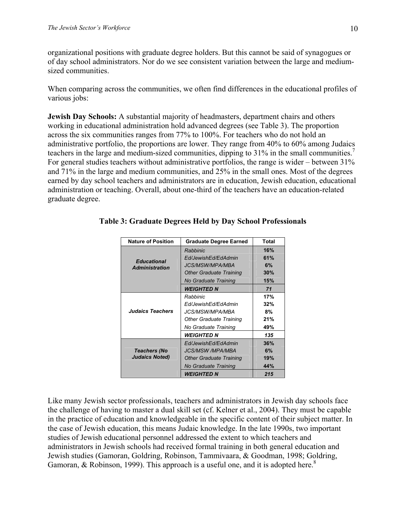organizational positions with graduate degree holders. But this cannot be said of synagogues or of day school administrators. Nor do we see consistent variation between the large and mediumsized communities.

When comparing across the communities, we often find differences in the educational profiles of various jobs:

**Jewish Day Schools:** A substantial majority of headmasters, department chairs and others working in educational administration hold advanced degrees (see Table 3). The proportion across the six communities ranges from 77% to 100%. For teachers who do not hold an administrative portfolio, the proportions are lower. They range from 40% to 60% among Judaics teachers in the large and medium-sized communities, dipping to 31% in the small communities.<sup>7</sup> For general studies teachers without administrative portfolios, the range is wider – between 31% and 71% in the large and medium communities, and 25% in the small ones. Most of the degrees earned by day school teachers and administrators are in education, Jewish education, educational administration or teaching. Overall, about one-third of the teachers have an education-related graduate degree.

| <b>Nature of Position</b>                   | <b>Graduate Degree Earned</b>  | <b>Total</b> |
|---------------------------------------------|--------------------------------|--------------|
|                                             | Rabbinic                       | 16%          |
|                                             | Ed/JewishEd/EdAdmin            | 61%          |
| <b>Educational</b><br><b>Administration</b> | <b>JCS/MSW/MPA/MBA</b>         | 6%           |
|                                             | <b>Other Graduate Training</b> | 30%          |
|                                             | No Graduate Training           | 15%          |
|                                             | WEIGHTED N                     | 71           |
| <b>Judaics Teachers</b>                     | Rabbinic                       | 17%          |
|                                             | Ed/JewishEd/EdAdmin            | 32%          |
|                                             | JCS/MSW/MPA/MBA                | 8%           |
|                                             | <b>Other Graduate Training</b> | 21%          |
|                                             | No Graduate Training           | 49%          |
|                                             | <b>WEIGHTED N</b>              | 135          |
|                                             | Ed/JewishEd/EdAdmin            | 36%          |
| Teachers (No                                | <i>JCS/MSW /MPA/MBA</i>        | 6%           |
| <b>Judaics Noted)</b>                       | <b>Other Graduate Training</b> | 19%          |
|                                             | No Graduate Training           | 44%          |
|                                             | <b>WEIGHTED N</b>              | 215          |

#### **Table 3: Graduate Degrees Held by Day School Professionals**

Like many Jewish sector professionals, teachers and administrators in Jewish day schools face the challenge of having to master a dual skill set (cf. Kelner et al., 2004). They must be capable in the practice of education and knowledgeable in the specific content of their subject matter. In the case of Jewish education, this means Judaic knowledge. In the late 1990s, two important studies of Jewish educational personnel addressed the extent to which teachers and administrators in Jewish schools had received formal training in both general education and Jewish studies (Gamoran, Goldring, Robinson, Tammivaara, & Goodman, 1998; Goldring, Gamoran, & Robinson, 1999). This approach is a useful one, and it is adopted here.<sup>8</sup>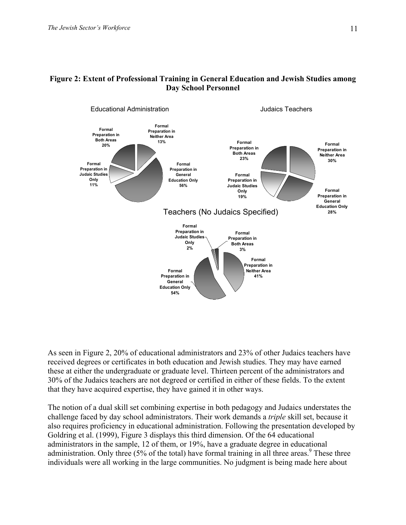



As seen in Figure 2, 20% of educational administrators and 23% of other Judaics teachers have received degrees or certificates in both education and Jewish studies. They may have earned these at either the undergraduate or graduate level. Thirteen percent of the administrators and 30% of the Judaics teachers are not degreed or certified in either of these fields. To the extent that they have acquired expertise, they have gained it in other ways.

The notion of a dual skill set combining expertise in both pedagogy and Judaics understates the challenge faced by day school administrators. Their work demands a *triple* skill set, because it also requires proficiency in educational administration. Following the presentation developed by Goldring et al. (1999), Figure 3 displays this third dimension. Of the 64 educational administrators in the sample, 12 of them, or 19%, have a graduate degree in educational administration. Only three  $(5\%$  of the total) have formal training in all three areas.<sup>9</sup> These three individuals were all working in the large communities. No judgment is being made here about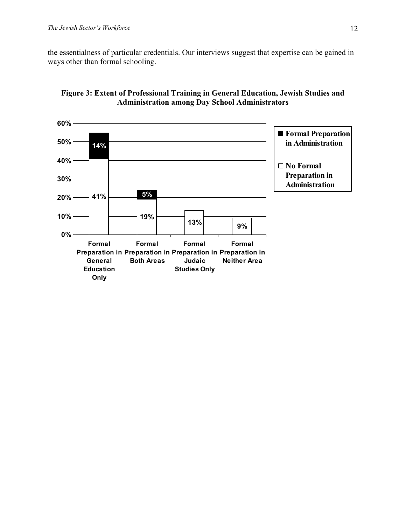the essentialness of particular credentials. Our interviews suggest that expertise can be gained in ways other than formal schooling.



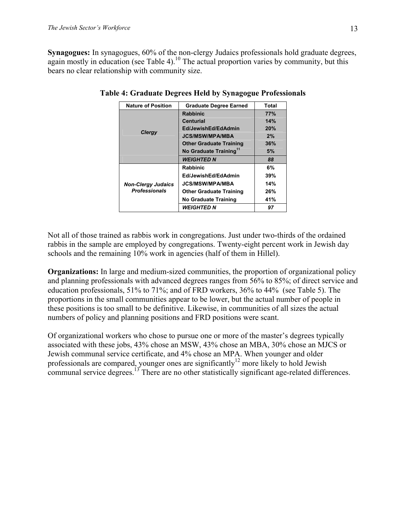**Synagogues:** In synagogues, 60% of the non-clergy Judaics professionals hold graduate degrees, again mostly in education (see Table 4).<sup>10</sup> The actual proportion varies by community, but this bears no clear relationship with community size.

| <b>Nature of Position</b>                         | <b>Graduate Degree Earned</b>      | Total |
|---------------------------------------------------|------------------------------------|-------|
|                                                   | <b>Rabbinic</b>                    | 77%   |
|                                                   | <b>Centurial</b>                   | 14%   |
|                                                   | Ed/JewishEd/EdAdmin                | 20%   |
| <b>Clergy</b>                                     | <b>JCS/MSW/MPA/MBA</b>             | 2%    |
|                                                   | <b>Other Graduate Training</b>     | 36%   |
|                                                   | No Graduate Training <sup>11</sup> | 5%    |
|                                                   | <b>WEIGHTED N</b>                  | 88    |
|                                                   | <b>Rabbinic</b>                    | 6%    |
|                                                   | Ed/JewishEd/EdAdmin                | 39%   |
| <b>Non-Clergy Judaics</b><br><b>Professionals</b> | <b>JCS/MSW/MPA/MBA</b>             | 14%   |
|                                                   | <b>Other Graduate Training</b>     | 26%   |
|                                                   | <b>No Graduate Training</b>        | 41%   |
|                                                   | <b>WEIGHTED N</b>                  | 97    |

**Table 4: Graduate Degrees Held by Synagogue Professionals** 

Not all of those trained as rabbis work in congregations. Just under two-thirds of the ordained rabbis in the sample are employed by congregations. Twenty-eight percent work in Jewish day schools and the remaining 10% work in agencies (half of them in Hillel).

**Organizations:** In large and medium-sized communities, the proportion of organizational policy and planning professionals with advanced degrees ranges from 56% to 85%; of direct service and education professionals, 51% to 71%; and of FRD workers, 36% to 44% (see Table 5). The proportions in the small communities appear to be lower, but the actual number of people in these positions is too small to be definitive. Likewise, in communities of all sizes the actual numbers of policy and planning positions and FRD positions were scant.

Of organizational workers who chose to pursue one or more of the master's degrees typically associated with these jobs, 43% chose an MSW, 43% chose an MBA, 30% chose an MJCS or Jewish communal service certificate, and 4% chose an MPA. When younger and older professionals are compared, younger ones are significantly<sup>12</sup> more likely to hold Jewish communal service degrees.<sup>13</sup> There are no other statistically significant age-related differences.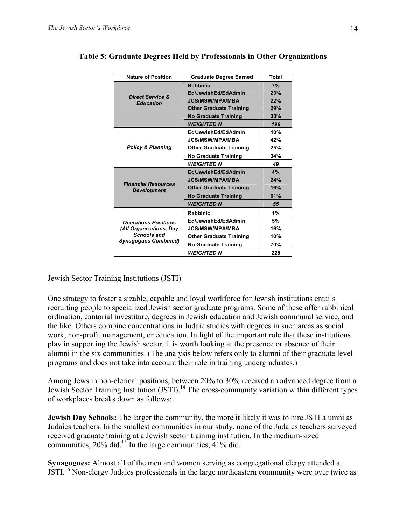| <b>Nature of Position</b>                                                    | <b>Graduate Degree Earned</b>  | Total |
|------------------------------------------------------------------------------|--------------------------------|-------|
|                                                                              | <b>Rabbinic</b>                | 7%    |
|                                                                              | Ed/JewishEd/EdAdmin            | 23%   |
| <b>Direct Service &amp;</b><br><b>Education</b>                              | <b>JCS/MSW/MPA/MBA</b>         | 22%   |
|                                                                              | <b>Other Graduate Training</b> | 29%   |
|                                                                              | <b>No Graduate Training</b>    | 38%   |
|                                                                              | <b>WEIGHTED N</b>              | 196   |
|                                                                              | Ed/JewishEd/EdAdmin            | 10%   |
|                                                                              | <b>JCS/MSW/MPA/MBA</b>         | 42%   |
| <b>Policy &amp; Planning</b>                                                 | <b>Other Graduate Training</b> | 25%   |
|                                                                              | No Graduate Training           | 34%   |
|                                                                              | WEIGHTED N                     | 49    |
|                                                                              | Ed/JewishEd/EdAdmin            | 4%    |
|                                                                              | <b>JCS/MSW/MPA/MBA</b>         | 24%   |
| <b>Financial Resources</b><br><b>Development</b>                             | <b>Other Graduate Training</b> | 16%   |
|                                                                              | <b>No Graduate Training</b>    | 61%   |
|                                                                              | <b>WEIGHTED N</b>              | 55    |
|                                                                              | <b>Rabbinic</b>                | 1%    |
| <b>Operations Positions</b>                                                  | Ed/JewishEd/EdAdmin            | 5%    |
| (All Organizations, Day<br><b>Schools and</b><br><b>Synagogues Combined)</b> | <b>JCS/MSW/MPA/MBA</b>         | 16%   |
|                                                                              | <b>Other Graduate Training</b> | 10%   |
|                                                                              | <b>No Graduate Training</b>    | 70%   |
|                                                                              | WEIGHTED N                     | 226   |

#### **Table 5: Graduate Degrees Held by Professionals in Other Organizations**

#### Jewish Sector Training Institutions (JSTI)

One strategy to foster a sizable, capable and loyal workforce for Jewish institutions entails recruiting people to specialized Jewish sector graduate programs. Some of these offer rabbinical ordination, cantorial investiture, degrees in Jewish education and Jewish communal service, and the like. Others combine concentrations in Judaic studies with degrees in such areas as social work, non-profit management, or education. In light of the important role that these institutions play in supporting the Jewish sector, it is worth looking at the presence or absence of their alumni in the six communities. (The analysis below refers only to alumni of their graduate level programs and does not take into account their role in training undergraduates.)

Among Jews in non-clerical positions, between 20% to 30% received an advanced degree from a Jewish Sector Training Institution (JSTI).14 The cross-community variation within different types of workplaces breaks down as follows:

**Jewish Day Schools:** The larger the community, the more it likely it was to hire JSTI alumni as Judaics teachers. In the smallest communities in our study, none of the Judaics teachers surveyed received graduate training at a Jewish sector training institution. In the medium-sized communities, 20% did.<sup>15</sup> In the large communities, 41% did.

**Synagogues:** Almost all of the men and women serving as congregational clergy attended a JSTI.16 Non-clergy Judaics professionals in the large northeastern community were over twice as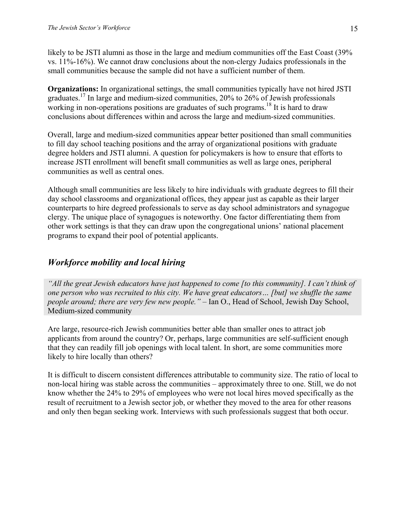likely to be JSTI alumni as those in the large and medium communities off the East Coast (39%) vs. 11%-16%). We cannot draw conclusions about the non-clergy Judaics professionals in the small communities because the sample did not have a sufficient number of them.

**Organizations:** In organizational settings, the small communities typically have not hired JSTI graduates.17 In large and medium-sized communities, 20% to 26% of Jewish professionals working in non-operations positions are graduates of such programs.<sup>18</sup> It is hard to draw conclusions about differences within and across the large and medium-sized communities.

Overall, large and medium-sized communities appear better positioned than small communities to fill day school teaching positions and the array of organizational positions with graduate degree holders and JSTI alumni. A question for policymakers is how to ensure that efforts to increase JSTI enrollment will benefit small communities as well as large ones, peripheral communities as well as central ones.

Although small communities are less likely to hire individuals with graduate degrees to fill their day school classrooms and organizational offices, they appear just as capable as their larger counterparts to hire degreed professionals to serve as day school administrators and synagogue clergy. The unique place of synagogues is noteworthy. One factor differentiating them from other work settings is that they can draw upon the congregational unions' national placement programs to expand their pool of potential applicants.

### *Workforce mobility and local hiring*

*"All the great Jewish educators have just happened to come [to this community]. I can't think of one person who was recruited to this city. We have great educators… [but] we shuffle the same people around; there are very few new people."* – Ian O., Head of School, Jewish Day School, Medium-sized community

Are large, resource-rich Jewish communities better able than smaller ones to attract job applicants from around the country? Or, perhaps, large communities are self-sufficient enough that they can readily fill job openings with local talent. In short, are some communities more likely to hire locally than others?

It is difficult to discern consistent differences attributable to community size. The ratio of local to non-local hiring was stable across the communities – approximately three to one. Still, we do not know whether the 24% to 29% of employees who were not local hires moved specifically as the result of recruitment to a Jewish sector job, or whether they moved to the area for other reasons and only then began seeking work. Interviews with such professionals suggest that both occur.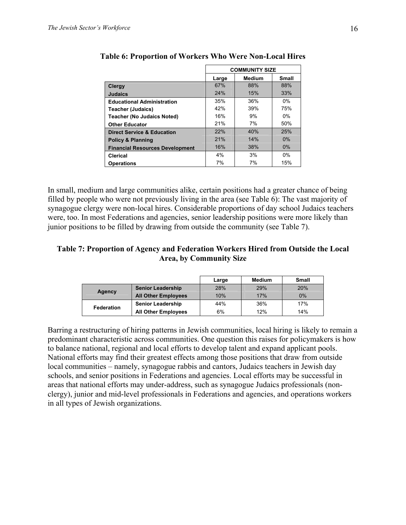|                                        | <b>COMMUNITY SIZE</b> |               |              |  |
|----------------------------------------|-----------------------|---------------|--------------|--|
|                                        | Large                 | <b>Medium</b> | <b>Small</b> |  |
| <b>Clergy</b>                          | 67%                   | 88%           | 88%          |  |
| <b>Judaics</b>                         | 24%                   | 15%           | 33%          |  |
| <b>Educational Administration</b>      | 35%                   | 36%           | $0\%$        |  |
| <b>Teacher (Judaics)</b>               | 42%                   | 39%           | 75%          |  |
| <b>Teacher (No Judaics Noted)</b>      | 16%                   | 9%            | $0\%$        |  |
| <b>Other Educator</b>                  | 21%                   | 7%            | 50%          |  |
| <b>Direct Service &amp; Education</b>  | 22%                   | 40%           | 25%          |  |
| <b>Policy &amp; Planning</b>           | 21%                   | 14%           | $0\%$        |  |
| <b>Financial Resources Development</b> | 16%                   | 38%           | 0%           |  |
| Clerical                               | 4%                    | 3%            | $0\%$        |  |
| <b>Operations</b>                      | 7%                    | 7%            | 15%          |  |

**Table 6: Proportion of Workers Who Were Non-Local Hires** 

In small, medium and large communities alike, certain positions had a greater chance of being filled by people who were not previously living in the area (see Table 6): The vast majority of synagogue clergy were non-local hires. Considerable proportions of day school Judaics teachers were, too. In most Federations and agencies, senior leadership positions were more likely than junior positions to be filled by drawing from outside the community (see Table 7).

#### **Table 7: Proportion of Agency and Federation Workers Hired from Outside the Local Area, by Community Size**

|            |                            | Large | Medium | <b>Small</b> |
|------------|----------------------------|-------|--------|--------------|
| Agency     | <b>Senior Leadership</b>   | 28%   | 29%    | 20%          |
|            | <b>All Other Employees</b> | 10%   | 17%    | 0%           |
| Federation | <b>Senior Leadership</b>   | 44%   | 36%    | 17%          |
|            | <b>All Other Employees</b> | 6%    | 12%    | 14%          |

Barring a restructuring of hiring patterns in Jewish communities, local hiring is likely to remain a predominant characteristic across communities. One question this raises for policymakers is how to balance national, regional and local efforts to develop talent and expand applicant pools. National efforts may find their greatest effects among those positions that draw from outside local communities – namely, synagogue rabbis and cantors, Judaics teachers in Jewish day schools, and senior positions in Federations and agencies. Local efforts may be successful in areas that national efforts may under-address, such as synagogue Judaics professionals (nonclergy), junior and mid-level professionals in Federations and agencies, and operations workers in all types of Jewish organizations.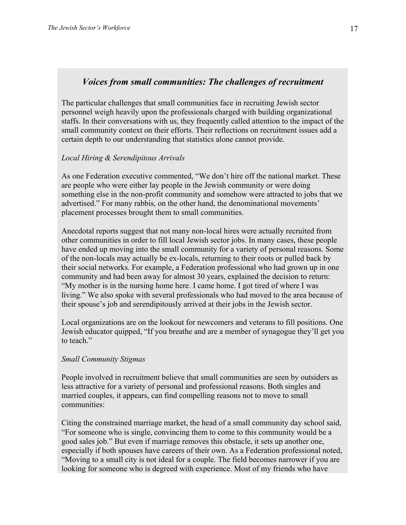# *Voices from small communities: The challenges of recruitment*

The particular challenges that small communities face in recruiting Jewish sector personnel weigh heavily upon the professionals charged with building organizational staffs. In their conversations with us, they frequently called attention to the impact of the small community context on their efforts. Their reflections on recruitment issues add a certain depth to our understanding that statistics alone cannot provide.

# *Local Hiring & Serendipitous Arrivals*

As one Federation executive commented, "We don't hire off the national market. These are people who were either lay people in the Jewish community or were doing something else in the non-profit community and somehow were attracted to jobs that we advertised." For many rabbis, on the other hand, the denominational movements' placement processes brought them to small communities.

Anecdotal reports suggest that not many non-local hires were actually recruited from other communities in order to fill local Jewish sector jobs. In many cases, these people have ended up moving into the small community for a variety of personal reasons. Some of the non-locals may actually be ex-locals, returning to their roots or pulled back by their social networks. For example, a Federation professional who had grown up in one community and had been away for almost 30 years, explained the decision to return: "My mother is in the nursing home here. I came home. I got tired of where I was living." We also spoke with several professionals who had moved to the area because of their spouse's job and serendipitously arrived at their jobs in the Jewish sector.

Local organizations are on the lookout for newcomers and veterans to fill positions. One Jewish educator quipped, "If you breathe and are a member of synagogue they'll get you to teach."

# *Small Community Stigmas*

People involved in recruitment believe that small communities are seen by outsiders as less attractive for a variety of personal and professional reasons. Both singles and married couples, it appears, can find compelling reasons not to move to small communities:

Citing the constrained marriage market, the head of a small community day school said, "For someone who is single, convincing them to come to this community would be a good sales job." But even if marriage removes this obstacle, it sets up another one, especially if both spouses have careers of their own. As a Federation professional noted, "Moving to a small city is not ideal for a couple. The field becomes narrower if you are looking for someone who is degreed with experience. Most of my friends who have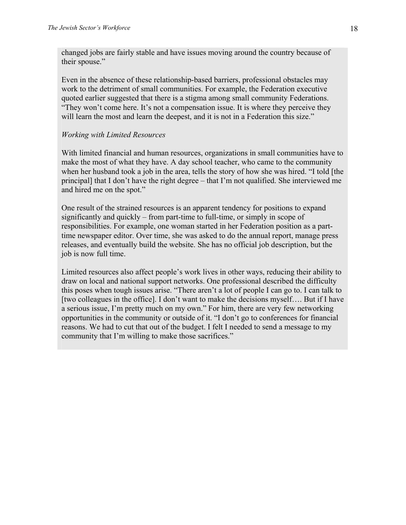changed jobs are fairly stable and have issues moving around the country because of their spouse."

Even in the absence of these relationship-based barriers, professional obstacles may work to the detriment of small communities. For example, the Federation executive quoted earlier suggested that there is a stigma among small community Federations. "They won't come here. It's not a compensation issue. It is where they perceive they will learn the most and learn the deepest, and it is not in a Federation this size."

# *Working with Limited Resources*

With limited financial and human resources, organizations in small communities have to make the most of what they have. A day school teacher, who came to the community when her husband took a job in the area, tells the story of how she was hired. "I told [the principal] that I don't have the right degree – that I'm not qualified. She interviewed me and hired me on the spot."

One result of the strained resources is an apparent tendency for positions to expand significantly and quickly – from part-time to full-time, or simply in scope of responsibilities. For example, one woman started in her Federation position as a parttime newspaper editor. Over time, she was asked to do the annual report, manage press releases, and eventually build the website. She has no official job description, but the job is now full time.

Limited resources also affect people's work lives in other ways, reducing their ability to draw on local and national support networks. One professional described the difficulty this poses when tough issues arise. "There aren't a lot of people I can go to. I can talk to [two colleagues in the office]. I don't want to make the decisions myself…. But if I have a serious issue, I'm pretty much on my own." For him, there are very few networking opportunities in the community or outside of it. "I don't go to conferences for financial reasons. We had to cut that out of the budget. I felt I needed to send a message to my community that I'm willing to make those sacrifices."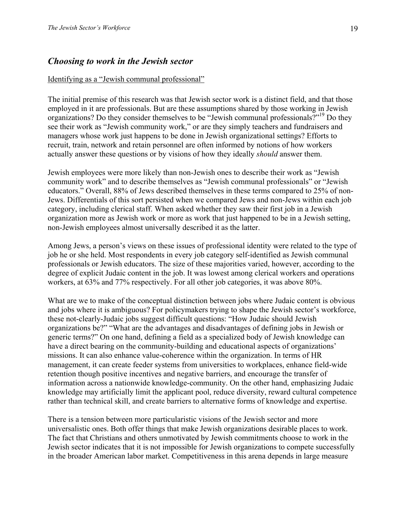# *Choosing to work in the Jewish sector*

### Identifying as a "Jewish communal professional"

The initial premise of this research was that Jewish sector work is a distinct field, and that those employed in it are professionals. But are these assumptions shared by those working in Jewish organizations? Do they consider themselves to be "Jewish communal professionals?"19 Do they see their work as "Jewish community work," or are they simply teachers and fundraisers and managers whose work just happens to be done in Jewish organizational settings? Efforts to recruit, train, network and retain personnel are often informed by notions of how workers actually answer these questions or by visions of how they ideally *should* answer them.

Jewish employees were more likely than non-Jewish ones to describe their work as "Jewish community work" and to describe themselves as "Jewish communal professionals" or "Jewish educators." Overall, 88% of Jews described themselves in these terms compared to 25% of non-Jews. Differentials of this sort persisted when we compared Jews and non-Jews within each job category, including clerical staff. When asked whether they saw their first job in a Jewish organization more as Jewish work or more as work that just happened to be in a Jewish setting, non-Jewish employees almost universally described it as the latter.

Among Jews, a person's views on these issues of professional identity were related to the type of job he or she held. Most respondents in every job category self-identified as Jewish communal professionals or Jewish educators. The size of these majorities varied, however, according to the degree of explicit Judaic content in the job. It was lowest among clerical workers and operations workers, at 63% and 77% respectively. For all other job categories, it was above 80%.

What are we to make of the conceptual distinction between jobs where Judaic content is obvious and jobs where it is ambiguous? For policymakers trying to shape the Jewish sector's workforce, these not-clearly-Judaic jobs suggest difficult questions: "How Judaic should Jewish organizations be?" "What are the advantages and disadvantages of defining jobs in Jewish or generic terms?" On one hand, defining a field as a specialized body of Jewish knowledge can have a direct bearing on the community-building and educational aspects of organizations' missions. It can also enhance value-coherence within the organization. In terms of HR management, it can create feeder systems from universities to workplaces, enhance field-wide retention though positive incentives and negative barriers, and encourage the transfer of information across a nationwide knowledge-community. On the other hand, emphasizing Judaic knowledge may artificially limit the applicant pool, reduce diversity, reward cultural competence rather than technical skill, and create barriers to alternative forms of knowledge and expertise.

There is a tension between more particularistic visions of the Jewish sector and more universalistic ones. Both offer things that make Jewish organizations desirable places to work. The fact that Christians and others unmotivated by Jewish commitments choose to work in the Jewish sector indicates that it is not impossible for Jewish organizations to compete successfully in the broader American labor market. Competitiveness in this arena depends in large measure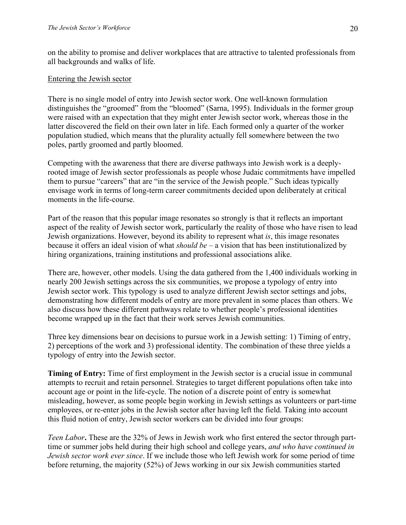on the ability to promise and deliver workplaces that are attractive to talented professionals from all backgrounds and walks of life.

### Entering the Jewish sector

There is no single model of entry into Jewish sector work. One well-known formulation distinguishes the "groomed" from the "bloomed" (Sarna, 1995). Individuals in the former group were raised with an expectation that they might enter Jewish sector work, whereas those in the latter discovered the field on their own later in life. Each formed only a quarter of the worker population studied, which means that the plurality actually fell somewhere between the two poles, partly groomed and partly bloomed.

Competing with the awareness that there are diverse pathways into Jewish work is a deeplyrooted image of Jewish sector professionals as people whose Judaic commitments have impelled them to pursue "careers" that are "in the service of the Jewish people." Such ideas typically envisage work in terms of long-term career commitments decided upon deliberately at critical moments in the life-course.

Part of the reason that this popular image resonates so strongly is that it reflects an important aspect of the reality of Jewish sector work, particularly the reality of those who have risen to lead Jewish organizations. However, beyond its ability to represent what *is*, this image resonates because it offers an ideal vision of what *should be* – a vision that has been institutionalized by hiring organizations, training institutions and professional associations alike.

There are, however, other models. Using the data gathered from the 1,400 individuals working in nearly 200 Jewish settings across the six communities, we propose a typology of entry into Jewish sector work. This typology is used to analyze different Jewish sector settings and jobs, demonstrating how different models of entry are more prevalent in some places than others. We also discuss how these different pathways relate to whether people's professional identities become wrapped up in the fact that their work serves Jewish communities.

Three key dimensions bear on decisions to pursue work in a Jewish setting: 1) Timing of entry, 2) perceptions of the work and 3) professional identity. The combination of these three yields a typology of entry into the Jewish sector.

**Timing of Entry:** Time of first employment in the Jewish sector is a crucial issue in communal attempts to recruit and retain personnel. Strategies to target different populations often take into account age or point in the life-cycle. The notion of a discrete point of entry is somewhat misleading, however, as some people begin working in Jewish settings as volunteers or part-time employees, or re-enter jobs in the Jewish sector after having left the field. Taking into account this fluid notion of entry, Jewish sector workers can be divided into four groups:

*Teen Labor***.** These are the 32% of Jews in Jewish work who first entered the sector through parttime or summer jobs held during their high school and college years, *and who have continued in Jewish sector work ever since*. If we include those who left Jewish work for some period of time before returning, the majority (52%) of Jews working in our six Jewish communities started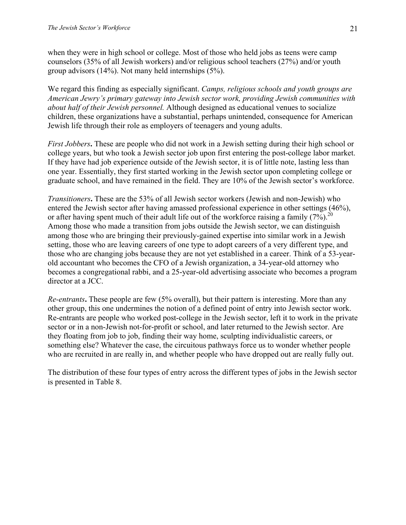when they were in high school or college. Most of those who held jobs as teens were camp counselors (35% of all Jewish workers) and/or religious school teachers (27%) and/or youth group advisors (14%). Not many held internships (5%).

We regard this finding as especially significant. *Camps, religious schools and youth groups are American Jewry's primary gateway into Jewish sector work, providing Jewish communities with about half of their Jewish personnel.* Although designed as educational venues to socialize children, these organizations have a substantial, perhaps unintended, consequence for American Jewish life through their role as employers of teenagers and young adults.

*First Jobbers***.** These are people who did not work in a Jewish setting during their high school or college years, but who took a Jewish sector job upon first entering the post-college labor market. If they have had job experience outside of the Jewish sector, it is of little note, lasting less than one year. Essentially, they first started working in the Jewish sector upon completing college or graduate school, and have remained in the field. They are 10% of the Jewish sector's workforce.

*Transitioners***.** These are the 53% of all Jewish sector workers (Jewish and non-Jewish) who entered the Jewish sector after having amassed professional experience in other settings (46%), or after having spent much of their adult life out of the workforce raising a family  $(7%)$ <sup>20</sup> Among those who made a transition from jobs outside the Jewish sector, we can distinguish among those who are bringing their previously-gained expertise into similar work in a Jewish setting, those who are leaving careers of one type to adopt careers of a very different type, and those who are changing jobs because they are not yet established in a career. Think of a 53-yearold accountant who becomes the CFO of a Jewish organization, a 34-year-old attorney who becomes a congregational rabbi, and a 25-year-old advertising associate who becomes a program director at a JCC.

*Re-entrants***.** These people are few (5% overall), but their pattern is interesting. More than any other group, this one undermines the notion of a defined point of entry into Jewish sector work. Re-entrants are people who worked post-college in the Jewish sector, left it to work in the private sector or in a non-Jewish not-for-profit or school, and later returned to the Jewish sector. Are they floating from job to job, finding their way home, sculpting individualistic careers, or something else? Whatever the case, the circuitous pathways force us to wonder whether people who are recruited in are really in, and whether people who have dropped out are really fully out.

The distribution of these four types of entry across the different types of jobs in the Jewish sector is presented in Table 8.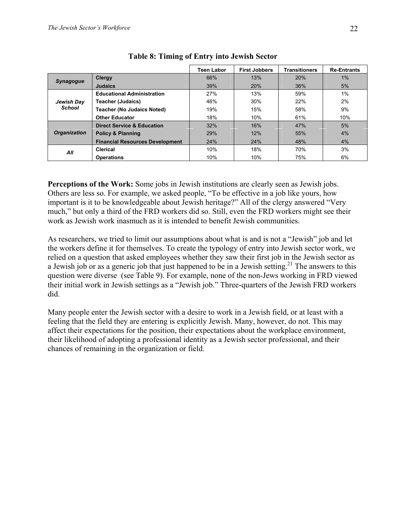|                     |                                        | Teen Labor | <b>First Jobbers</b> | Transitioners | <b>Re-Entrants</b> |
|---------------------|----------------------------------------|------------|----------------------|---------------|--------------------|
| <b>Synagogue</b>    | Clergy                                 | 66%        | 13%                  | 20%           | 1%                 |
|                     | <b>Judaics</b>                         | 39%        | 20%                  | 36%           | 5%                 |
|                     | <b>Educational Administration</b>      | 27%        | 13%                  | 59%           | 1%                 |
| Jewish Day          | <b>Teacher (Judaics)</b>               | 46%        | 30%                  | 22%           | 2%                 |
| <b>School</b>       | <b>Teacher (No Judaics Noted)</b>      | 19%        | 15%                  | 58%           | 9%                 |
|                     | <b>Other Educator</b>                  | 18%        | 10%                  | 61%           | 10%                |
|                     | <b>Direct Service &amp; Education</b>  | 32%        | 16%                  | 47%           | 5%                 |
| <b>Organization</b> | <b>Policy &amp; Planning</b>           | 29%        | 12%                  | 55%           | 4%                 |
|                     | <b>Financial Resources Development</b> | 24%        | 24%                  | 48%           | 4%                 |
| All                 | Clerical                               | 10%        | 18%                  | 70%           | 3%                 |
|                     | <b>Operations</b>                      | 10%        | 10%                  | 75%           | 6%                 |

# **Table 8: Timing of Entry into Jewish Sector**

**Perceptions of the Work:** Some jobs in Jewish institutions are clearly seen as Jewish jobs. Others are less so. For example, we asked people, "To be effective in a job like yours, how important is it to be knowledgeable about Jewish heritage?" All of the clergy answered "Very much," but only a third of the FRD workers did so. Still, even the FRD workers might see their work as Jewish work inasmuch as it is intended to benefit Jewish communities.

As researchers, we tried to limit our assumptions about what is and is not a "Jewish" job and let the workers define it for themselves. To create the typology of entry into Jewish sector work, we relied on a question that asked employees whether they saw their first job in the Jewish sector as a Jewish job or as a generic job that just happened to be in a Jewish setting.<sup>21</sup> The answers to this question were diverse (see Table 9). For example, none of the non-Jews working in FRD viewed their initial work in Jewish settings as a "Jewish job." Three-quarters of the Jewish FRD workers did.

Many people enter the Jewish sector with a desire to work in a Jewish field, or at least with a feeling that the field they are entering is explicitly Jewish. Many, however, do not. This may affect their expectations for the position, their expectations about the workplace environment, their likelihood of adopting a professional identity as a Jewish sector professional, and their chances of remaining in the organization or field.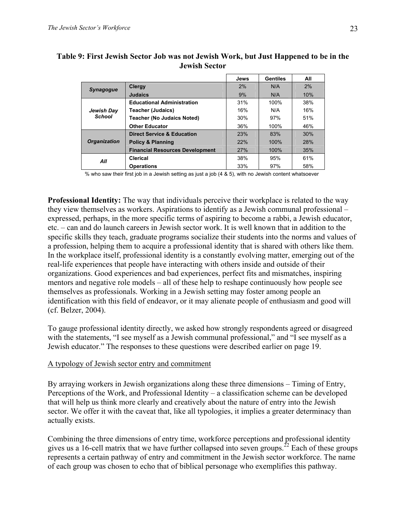|                     |                                        | Jews | Gentiles | All |
|---------------------|----------------------------------------|------|----------|-----|
| <b>Synagogue</b>    | <b>Clergy</b>                          | 2%   | N/A      | 2%  |
|                     | <b>Judaics</b>                         | 9%   | N/A      | 10% |
|                     | <b>Educational Administration</b>      | 31%  | 100%     | 38% |
| Jewish Day          | <b>Teacher (Judaics)</b>               | 16%  | N/A      | 16% |
| School              | <b>Teacher (No Judaics Noted)</b>      | 30%  | 97%      | 51% |
|                     | <b>Other Educator</b>                  | 36%  | 100%     | 46% |
|                     | <b>Direct Service &amp; Education</b>  | 23%  | 83%      | 30% |
| <b>Organization</b> | <b>Policy &amp; Planning</b>           | 22%  | 100%     | 28% |
|                     | <b>Financial Resources Development</b> | 27%  | 100%     | 35% |
| All                 | Clerical                               | 38%  | 95%      | 61% |
|                     | <b>Operations</b>                      | 33%  | 97%      | 58% |

# **Table 9: First Jewish Sector Job was not Jewish Work, but Just Happened to be in the Jewish Sector**

% who saw their first job in a Jewish setting as just a job (4 & 5), with no Jewish content whatsoever

**Professional Identity:** The way that individuals perceive their workplace is related to the way they view themselves as workers. Aspirations to identify as a Jewish communal professional – expressed, perhaps, in the more specific terms of aspiring to become a rabbi, a Jewish educator, etc. – can and do launch careers in Jewish sector work. It is well known that in addition to the specific skills they teach, graduate programs socialize their students into the norms and values of a profession, helping them to acquire a professional identity that is shared with others like them. In the workplace itself, professional identity is a constantly evolving matter, emerging out of the real-life experiences that people have interacting with others inside and outside of their organizations. Good experiences and bad experiences, perfect fits and mismatches, inspiring mentors and negative role models – all of these help to reshape continuously how people see themselves as professionals. Working in a Jewish setting may foster among people an identification with this field of endeavor, or it may alienate people of enthusiasm and good will (cf. Belzer, 2004).

To gauge professional identity directly, we asked how strongly respondents agreed or disagreed with the statements, "I see myself as a Jewish communal professional," and "I see myself as a Jewish educator." The responses to these questions were described earlier on page 19.

#### A typology of Jewish sector entry and commitment

By arraying workers in Jewish organizations along these three dimensions – Timing of Entry, Perceptions of the Work, and Professional Identity – a classification scheme can be developed that will help us think more clearly and creatively about the nature of entry into the Jewish sector. We offer it with the caveat that, like all typologies, it implies a greater determinacy than actually exists.

Combining the three dimensions of entry time, workforce perceptions and professional identity gives us a 16-cell matrix that we have further collapsed into seven groups.<sup>22</sup> Each of these groups represents a certain pathway of entry and commitment in the Jewish sector workforce. The name of each group was chosen to echo that of biblical personage who exemplifies this pathway.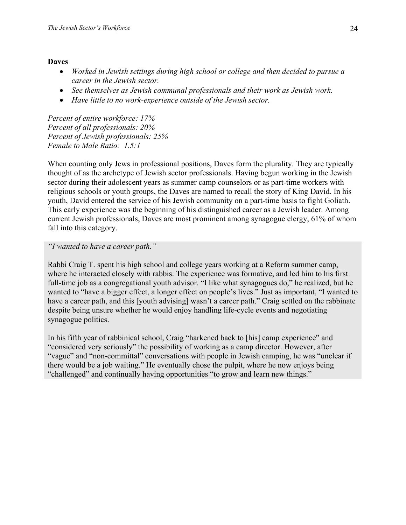### **Daves**

- *Worked in Jewish settings during high school or college and then decided to pursue a career in the Jewish sector.*
- *See themselves as Jewish communal professionals and their work as Jewish work.*
- *Have little to no work-experience outside of the Jewish sector.*

*Percent of entire workforce: 17% Percent of all professionals: 20% Percent of Jewish professionals: 25% Female to Male Ratio: 1.5:1* 

When counting only Jews in professional positions, Daves form the plurality. They are typically thought of as the archetype of Jewish sector professionals. Having begun working in the Jewish sector during their adolescent years as summer camp counselors or as part-time workers with religious schools or youth groups, the Daves are named to recall the story of King David. In his youth, David entered the service of his Jewish community on a part-time basis to fight Goliath. This early experience was the beginning of his distinguished career as a Jewish leader. Among current Jewish professionals, Daves are most prominent among synagogue clergy, 61% of whom fall into this category.

### *"I wanted to have a career path."*

Rabbi Craig T. spent his high school and college years working at a Reform summer camp, where he interacted closely with rabbis. The experience was formative, and led him to his first full-time job as a congregational youth advisor. "I like what synagogues do," he realized, but he wanted to "have a bigger effect, a longer effect on people's lives." Just as important, "I wanted to have a career path, and this [youth advising] wasn't a career path." Craig settled on the rabbinate despite being unsure whether he would enjoy handling life-cycle events and negotiating synagogue politics.

In his fifth year of rabbinical school, Craig "harkened back to [his] camp experience" and "considered very seriously" the possibility of working as a camp director. However, after "vague" and "non-committal" conversations with people in Jewish camping, he was "unclear if there would be a job waiting." He eventually chose the pulpit, where he now enjoys being "challenged" and continually having opportunities "to grow and learn new things."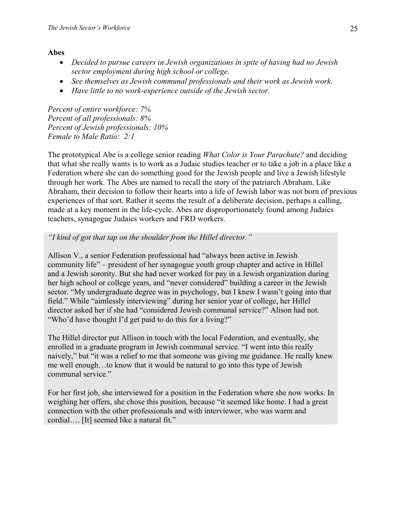# **Abes**

- *Decided to pursue careers in Jewish organizations in spite of having had no Jewish sector employment during high school or college.*
- *See themselves as Jewish communal professionals and their work as Jewish work.*
- *Have little to no work-experience outside of the Jewish sector.*

*Percent of entire workforce: 7% Percent of all professionals: 8% Percent of Jewish professionals: 10% Female to Male Ratio: 2:1* 

The prototypical Abe is a college senior reading *What Color is Your Parachute?* and deciding that what she really wants is to work as a Judaic studies teacher or to take a job in a place like a Federation where she can do something good for the Jewish people and live a Jewish lifestyle through her work. The Abes are named to recall the story of the patriarch Abraham. Like Abraham, their decision to follow their hearts into a life of Jewish labor was not born of previous experiences of that sort. Rather it seems the result of a deliberate decision, perhaps a calling, made at a key moment in the life-cycle. Abes are disproportionately found among Judaics teachers, synagogue Judaics workers and FRD workers.

# *"I kind of got that tap on the shoulder from the Hillel director."*

Allison V., a senior Federation professional had "always been active in Jewish community life" – president of her synagogue youth group chapter and active in Hillel and a Jewish sorority. But she had never worked for pay in a Jewish organization during her high school or college years, and "never considered" building a career in the Jewish sector. "My undergraduate degree was in psychology, but I knew I wasn't going into that field." While "aimlessly interviewing" during her senior year of college, her Hillel director asked her if she had "considered Jewish communal service?" Alison had not. "Who'd have thought I'd get paid to do this for a living?"

The Hillel director put Allison in touch with the local Federation, and eventually, she enrolled in a graduate program in Jewish communal service. "I went into this really naively," but "it was a relief to me that someone was giving me guidance. He really knew me well enough…to know that it would be natural to go into this type of Jewish communal service."

For her first job, she interviewed for a position in the Federation where she now works. In weighing her offers, she chose this position, because "it seemed like home. I had a great connection with the other professionals and with interviewer, who was warm and cordial…. [It] seemed like a natural fit."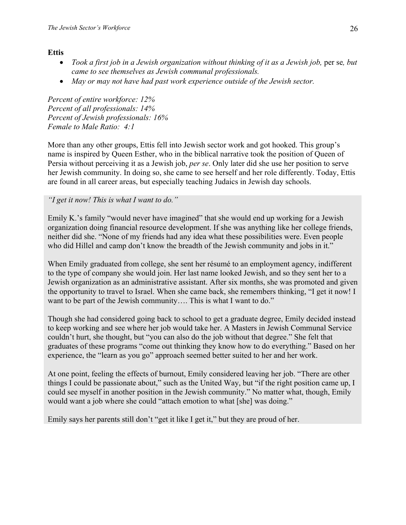# **Ettis**

- *Took a first job in a Jewish organization without thinking of it as a Jewish job, per se, but came to see themselves as Jewish communal professionals.*
- May or may not have had past work experience outside of the Jewish sector.

*Percent of entire workforce: 12% Percent of all professionals: 14% Percent of Jewish professionals: 16% Female to Male Ratio: 4:1* 

More than any other groups, Ettis fell into Jewish sector work and got hooked. This group's name is inspired by Queen Esther, who in the biblical narrative took the position of Queen of Persia without perceiving it as a Jewish job, *per se*. Only later did she use her position to serve her Jewish community. In doing so, she came to see herself and her role differently. Today, Ettis are found in all career areas, but especially teaching Judaics in Jewish day schools.

# *"I get it now! This is what I want to do."*

Emily K.'s family "would never have imagined" that she would end up working for a Jewish organization doing financial resource development. If she was anything like her college friends, neither did she. "None of my friends had any idea what these possibilities were. Even people who did Hillel and camp don't know the breadth of the Jewish community and jobs in it."

When Emily graduated from college, she sent her résumé to an employment agency, indifferent to the type of company she would join. Her last name looked Jewish, and so they sent her to a Jewish organization as an administrative assistant. After six months, she was promoted and given the opportunity to travel to Israel. When she came back, she remembers thinking, "I get it now! I want to be part of the Jewish community.... This is what I want to do."

Though she had considered going back to school to get a graduate degree, Emily decided instead to keep working and see where her job would take her. A Masters in Jewish Communal Service couldn't hurt, she thought, but "you can also do the job without that degree." She felt that graduates of these programs "come out thinking they know how to do everything." Based on her experience, the "learn as you go" approach seemed better suited to her and her work.

At one point, feeling the effects of burnout, Emily considered leaving her job. "There are other things I could be passionate about," such as the United Way, but "if the right position came up, I could see myself in another position in the Jewish community." No matter what, though, Emily would want a job where she could "attach emotion to what [she] was doing."

Emily says her parents still don't "get it like I get it," but they are proud of her.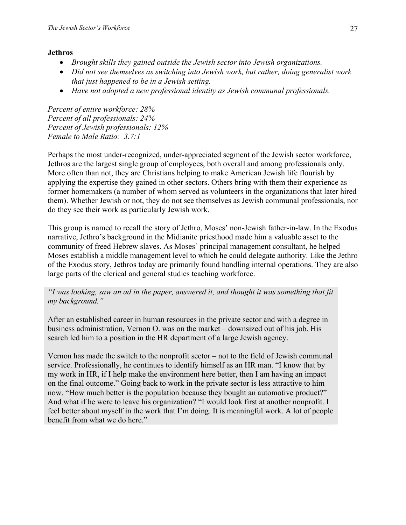# **Jethros**

- *Brought skills they gained outside the Jewish sector into Jewish organizations.*
- *Did not see themselves as switching into Jewish work, but rather, doing generalist work that just happened to be in a Jewish setting.*
- *Have not adopted a new professional identity as Jewish communal professionals.*

*Percent of entire workforce: 28% Percent of all professionals: 24% Percent of Jewish professionals: 12% Female to Male Ratio: 3.7:1* 

Perhaps the most under-recognized, under-appreciated segment of the Jewish sector workforce, Jethros are the largest single group of employees, both overall and among professionals only. More often than not, they are Christians helping to make American Jewish life flourish by applying the expertise they gained in other sectors. Others bring with them their experience as former homemakers (a number of whom served as volunteers in the organizations that later hired them). Whether Jewish or not, they do not see themselves as Jewish communal professionals, nor do they see their work as particularly Jewish work.

This group is named to recall the story of Jethro, Moses' non-Jewish father-in-law. In the Exodus narrative, Jethro's background in the Midianite priesthood made him a valuable asset to the community of freed Hebrew slaves. As Moses' principal management consultant, he helped Moses establish a middle management level to which he could delegate authority. Like the Jethro of the Exodus story, Jethros today are primarily found handling internal operations. They are also large parts of the clerical and general studies teaching workforce.

# *"I was looking, saw an ad in the paper, answered it, and thought it was something that fit my background."*

After an established career in human resources in the private sector and with a degree in business administration, Vernon O. was on the market – downsized out of his job. His search led him to a position in the HR department of a large Jewish agency.

Vernon has made the switch to the nonprofit sector – not to the field of Jewish communal service. Professionally, he continues to identify himself as an HR man. "I know that by my work in HR, if I help make the environment here better, then I am having an impact on the final outcome." Going back to work in the private sector is less attractive to him now. "How much better is the population because they bought an automotive product?" And what if he were to leave his organization? "I would look first at another nonprofit. I feel better about myself in the work that I'm doing. It is meaningful work. A lot of people benefit from what we do here."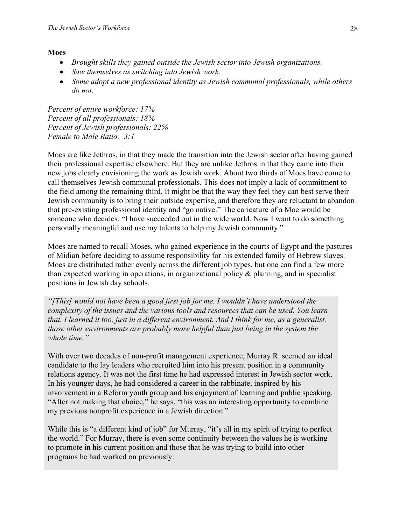#### **Moes**

- *Brought skills they gained outside the Jewish sector into Jewish organizations.*
- *Saw themselves as switching into Jewish work.*
- *Some adopt a new professional identity as Jewish communal professionals, while others do not.*

*Percent of entire workforce: 17% Percent of all professionals: 18% Percent of Jewish professionals: 22% Female to Male Ratio: 3:1* 

Moes are like Jethros, in that they made the transition into the Jewish sector after having gained their professional expertise elsewhere. But they are unlike Jethros in that they came into their new jobs clearly envisioning the work as Jewish work. About two thirds of Moes have come to call themselves Jewish communal professionals. This does not imply a lack of commitment to the field among the remaining third. It might be that the way they feel they can best serve their Jewish community is to bring their outside expertise, and therefore they are reluctant to abandon that pre-existing professional identity and "go native." The caricature of a Moe would be someone who decides, "I have succeeded out in the wide world. Now I want to do something personally meaningful and use my talents to help my Jewish community."

Moes are named to recall Moses, who gained experience in the courts of Egypt and the pastures of Midian before deciding to assume responsibility for his extended family of Hebrew slaves. Moes are distributed rather evenly across the different job types, but one can find a few more than expected working in operations, in organizational policy  $\&$  planning, and in specialist positions in Jewish day schools.

*"[This] would not have been a good first job for me. I wouldn't have understood the complexity of the issues and the various tools and resources that can be used. You learn that. I learned it too, just in a different environment. And I think for me, as a generalist, those other environments are probably more helpful than just being in the system the whole time."* 

With over two decades of non-profit management experience, Murray R. seemed an ideal candidate to the lay leaders who recruited him into his present position in a community relations agency. It was not the first time he had expressed interest in Jewish sector work. In his younger days, he had considered a career in the rabbinate, inspired by his involvement in a Reform youth group and his enjoyment of learning and public speaking. "After not making that choice," he says, "this was an interesting opportunity to combine my previous nonprofit experience in a Jewish direction."

While this is "a different kind of job" for Murray, "it's all in my spirit of trying to perfect the world." For Murray, there is even some continuity between the values he is working to promote in his current position and those that he was trying to build into other programs he had worked on previously.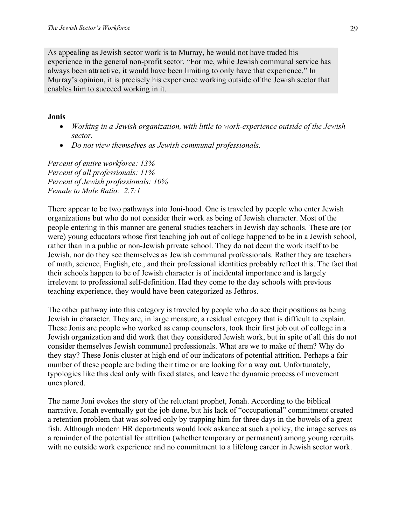As appealing as Jewish sector work is to Murray, he would not have traded his experience in the general non-profit sector. "For me, while Jewish communal service has always been attractive, it would have been limiting to only have that experience." In Murray's opinion, it is precisely his experience working outside of the Jewish sector that enables him to succeed working in it.

### **Jonis**

- *Working in a Jewish organization, with little to work-experience outside of the Jewish sector.*
- *Do not view themselves as Jewish communal professionals.*

*Percent of entire workforce: 13% Percent of all professionals: 11% Percent of Jewish professionals: 10% Female to Male Ratio: 2.7:1* 

There appear to be two pathways into Joni-hood. One is traveled by people who enter Jewish organizations but who do not consider their work as being of Jewish character. Most of the people entering in this manner are general studies teachers in Jewish day schools. These are (or were) young educators whose first teaching job out of college happened to be in a Jewish school, rather than in a public or non-Jewish private school. They do not deem the work itself to be Jewish, nor do they see themselves as Jewish communal professionals. Rather they are teachers of math, science, English, etc., and their professional identities probably reflect this. The fact that their schools happen to be of Jewish character is of incidental importance and is largely irrelevant to professional self-definition. Had they come to the day schools with previous teaching experience, they would have been categorized as Jethros.

The other pathway into this category is traveled by people who do see their positions as being Jewish in character. They are, in large measure, a residual category that is difficult to explain. These Jonis are people who worked as camp counselors, took their first job out of college in a Jewish organization and did work that they considered Jewish work, but in spite of all this do not consider themselves Jewish communal professionals. What are we to make of them? Why do they stay? These Jonis cluster at high end of our indicators of potential attrition. Perhaps a fair number of these people are biding their time or are looking for a way out. Unfortunately, typologies like this deal only with fixed states, and leave the dynamic process of movement unexplored.

The name Joni evokes the story of the reluctant prophet, Jonah. According to the biblical narrative, Jonah eventually got the job done, but his lack of "occupational" commitment created a retention problem that was solved only by trapping him for three days in the bowels of a great fish. Although modern HR departments would look askance at such a policy, the image serves as a reminder of the potential for attrition (whether temporary or permanent) among young recruits with no outside work experience and no commitment to a lifelong career in Jewish sector work.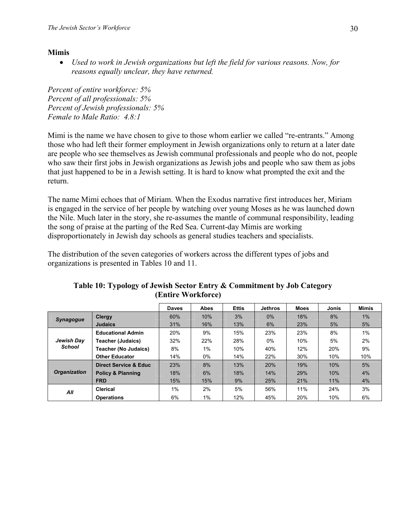# **Mimis**

• *Used to work in Jewish organizations but left the field for various reasons. Now, for reasons equally unclear, they have returned.*

*Percent of entire workforce: 5% Percent of all professionals: 5% Percent of Jewish professionals: 5% Female to Male Ratio: 4.8:1* 

Mimi is the name we have chosen to give to those whom earlier we called "re-entrants." Among those who had left their former employment in Jewish organizations only to return at a later date are people who see themselves as Jewish communal professionals and people who do not, people who saw their first jobs in Jewish organizations as Jewish jobs and people who saw them as jobs that just happened to be in a Jewish setting. It is hard to know what prompted the exit and the return.

The name Mimi echoes that of Miriam. When the Exodus narrative first introduces her, Miriam is engaged in the service of her people by watching over young Moses as he was launched down the Nile. Much later in the story, she re-assumes the mantle of communal responsibility, leading the song of praise at the parting of the Red Sea. Current-day Mimis are working disproportionately in Jewish day schools as general studies teachers and specialists.

The distribution of the seven categories of workers across the different types of jobs and organizations is presented in Tables 10 and 11.

|                     |                                  | <b>Daves</b> | <b>Abes</b> | <b>Ettis</b> | <b>Jethros</b> | <b>Moes</b> | Jonis | Mimis |
|---------------------|----------------------------------|--------------|-------------|--------------|----------------|-------------|-------|-------|
| <b>Synagogue</b>    | Clergy                           | 60%          | 10%         | 3%           | $0\%$          | 18%         | 8%    | 1%    |
|                     | <b>Judaics</b>                   | 31%          | 16%         | 13%          | 6%             | 23%         | 5%    | 5%    |
|                     | <b>Educational Admin</b>         | 20%          | 9%          | 15%          | 23%            | 23%         | 8%    | 1%    |
| Jewish Day          | <b>Teacher (Judaics)</b>         | 32%          | 22%         | 28%          | 0%             | 10%         | 5%    | 2%    |
| <b>School</b>       | <b>Teacher (No Judaics)</b>      | 8%           | 1%          | 10%          | 40%            | 12%         | 20%   | 9%    |
|                     | <b>Other Educator</b>            | 14%          | 0%          | 14%          | 22%            | 30%         | 10%   | 10%   |
|                     | <b>Direct Service &amp; Educ</b> | 23%          | 8%          | 13%          | 20%            | 19%         | 10%   | 5%    |
| <b>Organization</b> | <b>Policy &amp; Planning</b>     | 18%          | 6%          | 18%          | 14%            | 29%         | 10%   | 4%    |
|                     | <b>FRD</b>                       | 15%          | 15%         | 9%           | 25%            | 21%         | 11%   | 4%    |
| All                 | Clerical                         | 1%           | 2%          | 5%           | 56%            | 11%         | 24%   | 3%    |
|                     | <b>Operations</b>                | 6%           | 1%          | 12%          | 45%            | 20%         | 10%   | 6%    |

### **Table 10: Typology of Jewish Sector Entry & Commitment by Job Category (Entire Workforce)**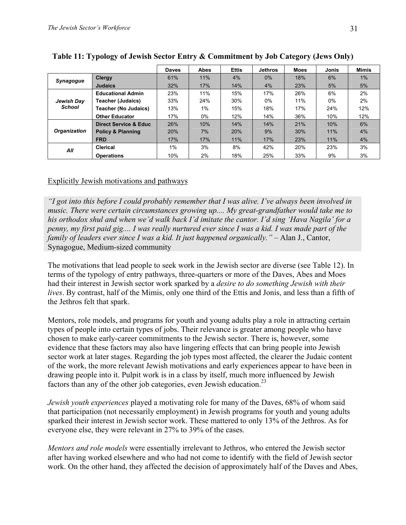|                     |                              | <b>Daves</b> | <b>Abes</b> | <b>Ettis</b> | <b>Jethros</b> | <b>Moes</b> | Jonis | <b>Mimis</b> |
|---------------------|------------------------------|--------------|-------------|--------------|----------------|-------------|-------|--------------|
| <b>Synagogue</b>    | Clergy                       | 61%          | 11%         | 4%           | $0\%$          | 18%         | 6%    | $1\%$        |
|                     | <b>Judaics</b>               | 32%          | 17%         | 14%          | 4%             | 23%         | 5%    | 5%           |
|                     | <b>Educational Admin</b>     | 23%          | 11%         | 15%          | 17%            | 26%         | 6%    | 2%           |
| Jewish Day          | <b>Teacher (Judaics)</b>     | 33%          | 24%         | 30%          | 0%             | 11%         | 0%    | 2%           |
| <b>School</b>       | <b>Teacher (No Judaics)</b>  | 13%          | 1%          | 15%          | 18%            | 17%         | 24%   | 12%          |
|                     | <b>Other Educator</b>        | 17%          | $0\%$       | 12%          | 14%            | 36%         | 10%   | 12%          |
|                     | Direct Service & Educ        | 26%          | 10%         | 14%          | 14%            | 21%         | 10%   | 6%           |
| <b>Organization</b> | <b>Policy &amp; Planning</b> | 20%          | 7%          | 20%          | 9%             | 30%         | 11%   | 4%           |
|                     | <b>FRD</b>                   | 17%          | 17%         | 11%          | 17%            | 23%         | 11%   | $4\%$        |
| ΑIΙ                 | Clerical                     | $1\%$        | 3%          | 8%           | 42%            | 20%         | 23%   | 3%           |
|                     | <b>Operations</b>            | 10%          | 2%          | 18%          | 25%            | 33%         | 9%    | 3%           |

**Table 11: Typology of Jewish Sector Entry & Commitment by Job Category (Jews Only)** 

# Explicitly Jewish motivations and pathways

*"I got into this before I could probably remember that I was alive. I've always been involved in music. There were certain circumstances growing up.... My great-grandfather would take me to his orthodox shul and when we'd walk back I'd imitate the cantor. I'd sing 'Hava Nagila' for a penny, my first paid gig.... I was really nurtured ever since I was a kid. I was made part of the family of leaders ever since I was a kid. It just happened organically.* " – Alan J., Cantor, Synagogue, Medium-sized community

The motivations that lead people to seek work in the Jewish sector are diverse (see Table 12). In terms of the typology of entry pathways, three-quarters or more of the Daves, Abes and Moes had their interest in Jewish sector work sparked by a *desire to do something Jewish with their lives*. By contrast, half of the Mimis, only one third of the Ettis and Jonis, and less than a fifth of the Jethros felt that spark.

Mentors, role models, and programs for youth and young adults play a role in attracting certain types of people into certain types of jobs. Their relevance is greater among people who have chosen to make early-career commitments to the Jewish sector. There is, however, some evidence that these factors may also have lingering effects that can bring people into Jewish sector work at later stages. Regarding the job types most affected, the clearer the Judaic content of the work, the more relevant Jewish motivations and early experiences appear to have been in drawing people into it. Pulpit work is in a class by itself, much more influenced by Jewish factors than any of the other job categories, even Jewish education.<sup>23</sup>

*Jewish youth experiences* played a motivating role for many of the Daves, 68% of whom said that participation (not necessarily employment) in Jewish programs for youth and young adults sparked their interest in Jewish sector work. These mattered to only 13% of the Jethros. As for everyone else, they were relevant in 27% to 39% of the cases.

*Mentors and role models* were essentially irrelevant to Jethros, who entered the Jewish sector after having worked elsewhere and who had not come to identify with the field of Jewish sector work. On the other hand, they affected the decision of approximately half of the Daves and Abes,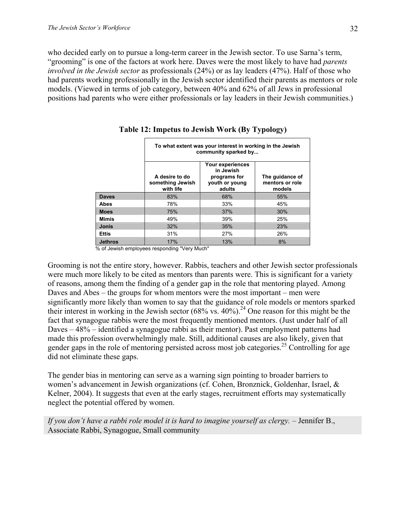who decided early on to pursue a long-term career in the Jewish sector. To use Sarna's term, "grooming" is one of the factors at work here. Daves were the most likely to have had *parents involved in the Jewish sector* as professionals (24%) or as lay leaders (47%). Half of those who had parents working professionally in the Jewish sector identified their parents as mentors or role models. (Viewed in terms of job category, between 40% and 62% of all Jews in professional positions had parents who were either professionals or lay leaders in their Jewish communities.)

|                | To what extent was your interest in working in the Jewish<br>community sparked by |                                                                           |                                              |  |  |
|----------------|-----------------------------------------------------------------------------------|---------------------------------------------------------------------------|----------------------------------------------|--|--|
|                | A desire to do<br>something Jewish<br>with life                                   | Your experiences<br>in Jewish<br>programs for<br>youth or young<br>adults | The quidance of<br>mentors or role<br>models |  |  |
| <b>Daves</b>   | 83%                                                                               | 68%                                                                       | 55%                                          |  |  |
| Abes           | 78%                                                                               | 33%                                                                       | 45%                                          |  |  |
| <b>Moes</b>    | 75%                                                                               | 37%                                                                       | 30%                                          |  |  |
| Mimis          | 49%                                                                               | 39%                                                                       | 25%                                          |  |  |
| <b>Jonis</b>   | 32%                                                                               | 35%                                                                       | 23%                                          |  |  |
| <b>Ettis</b>   | 31%                                                                               | 27%                                                                       | 26%                                          |  |  |
| <b>Jethros</b> | 17%                                                                               | 13%                                                                       | 8%                                           |  |  |

**Table 12: Impetus to Jewish Work (By Typology)** 

% of Jewish employees responding "Very Much"

Grooming is not the entire story, however. Rabbis, teachers and other Jewish sector professionals were much more likely to be cited as mentors than parents were. This is significant for a variety of reasons, among them the finding of a gender gap in the role that mentoring played. Among Daves and Abes – the groups for whom mentors were the most important – men were significantly more likely than women to say that the guidance of role models or mentors sparked their interest in working in the Jewish sector  $(68\% \text{ vs. } 40\%)$ .<sup>24</sup> One reason for this might be the fact that synagogue rabbis were the most frequently mentioned mentors. (Just under half of all Daves – 48% – identified a synagogue rabbi as their mentor). Past employment patterns had made this profession overwhelmingly male. Still, additional causes are also likely, given that gender gaps in the role of mentoring persisted across most job categories.<sup>25</sup> Controlling for age did not eliminate these gaps.

The gender bias in mentoring can serve as a warning sign pointing to broader barriers to women's advancement in Jewish organizations (cf. Cohen, Bronznick, Goldenhar, Israel, & Kelner, 2004). It suggests that even at the early stages, recruitment efforts may systematically neglect the potential offered by women.

*If you don't have a rabbi role model it is hard to imagine yourself as clergy.* – Jennifer B., Associate Rabbi, Synagogue, Small community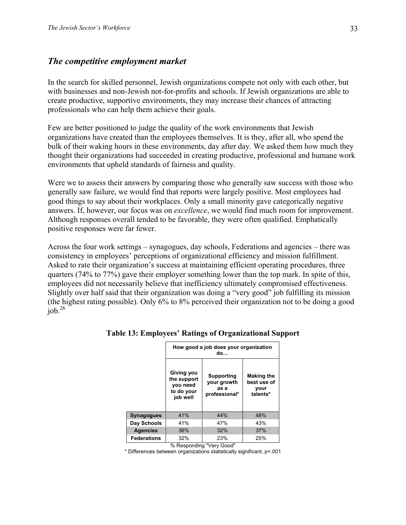# *The competitive employment market*

In the search for skilled personnel, Jewish organizations compete not only with each other, but with businesses and non-Jewish not-for-profits and schools. If Jewish organizations are able to create productive, supportive environments, they may increase their chances of attracting professionals who can help them achieve their goals.

Few are better positioned to judge the quality of the work environments that Jewish organizations have created than the employees themselves. It is they, after all, who spend the bulk of their waking hours in these environments, day after day. We asked them how much they thought their organizations had succeeded in creating productive, professional and humane work environments that upheld standards of fairness and quality.

Were we to assess their answers by comparing those who generally saw success with those who generally saw failure, we would find that reports were largely positive. Most employees had good things to say about their workplaces. Only a small minority gave categorically negative answers. If, however, our focus was on *excellence*, we would find much room for improvement. Although responses overall tended to be favorable, they were often qualified. Emphatically positive responses were far fewer.

Across the four work settings – synagogues, day schools, Federations and agencies – there was consistency in employees' perceptions of organizational efficiency and mission fulfillment. Asked to rate their organization's success at maintaining efficient operating procedures, three quarters (74% to 77%) gave their employer something lower than the top mark. In spite of this, employees did not necessarily believe that inefficiency ultimately compromised effectiveness. Slightly over half said that their organization was doing a "very good" job fulfilling its mission (the highest rating possible). Only 6% to 8% perceived their organization not to be doing a good  $job.<sup>26</sup>$ 

|                    | How good a job does your organization<br>do                     |                                                    |                                                      |  |  |
|--------------------|-----------------------------------------------------------------|----------------------------------------------------|------------------------------------------------------|--|--|
|                    | Giving you<br>the support<br>you need<br>to do your<br>job well | Supporting<br>your growth<br>as a<br>professional* | <b>Making the</b><br>best use of<br>your<br>talents* |  |  |
| Synagogues         | 41%                                                             | 44%                                                | 48%                                                  |  |  |
| Day Schools        | 41%                                                             | 47%                                                | 43%                                                  |  |  |
| <b>Agencies</b>    | 36%                                                             | 32%                                                | 37%                                                  |  |  |
| <b>Federations</b> | 32%                                                             | 23%                                                | 25%                                                  |  |  |

#### **Table 13: Employees' Ratings of Organizational Support**

% Responding "Very Good"

\* Differences between organizations statistically significant, p<.001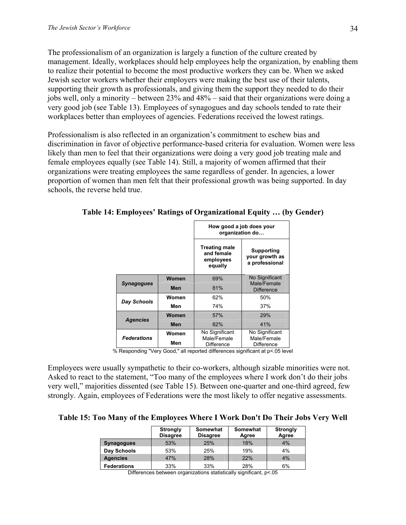The professionalism of an organization is largely a function of the culture created by management. Ideally, workplaces should help employees help the organization, by enabling them to realize their potential to become the most productive workers they can be. When we asked Jewish sector workers whether their employers were making the best use of their talents, supporting their growth as professionals, and giving them the support they needed to do their jobs well, only a minority – between 23% and 48% – said that their organizations were doing a very good job (see Table 13). Employees of synagogues and day schools tended to rate their workplaces better than employees of agencies. Federations received the lowest ratings.

Professionalism is also reflected in an organization's commitment to eschew bias and discrimination in favor of objective performance-based criteria for evaluation. Women were less likely than men to feel that their organizations were doing a very good job treating male and female employees equally (see Table 14). Still, a majority of women affirmed that their organizations were treating employees the same regardless of gender. In agencies, a lower proportion of women than men felt that their professional growth was being supported. In day schools, the reverse held true.

|                    |       | How good a job does your<br>organization do                |                                                |  |
|--------------------|-------|------------------------------------------------------------|------------------------------------------------|--|
|                    |       | <b>Treating male</b><br>and female<br>employees<br>equally | Supporting<br>your growth as<br>a professional |  |
| Women              |       | 69%                                                        | No Significant<br>Male/Female                  |  |
| <b>Synagogues</b>  | Men   | 81%                                                        | <b>Difference</b>                              |  |
|                    | Women | 62%                                                        | 50%                                            |  |
| Day Schools        | Men   | 74%                                                        | 37%                                            |  |
|                    | Women | 57%                                                        | 29%                                            |  |
| <b>Agencies</b>    | Men   | 82%                                                        | 41%                                            |  |
|                    | Women | No Significant                                             | No Significant                                 |  |
| <b>Federations</b> | Men   | Male/Female<br><b>Difference</b>                           | Male/Female<br><b>Difference</b>               |  |

**Table 14: Employees' Ratings of Organizational Equity … (by Gender)** 

% Responding "Very Good," all reported differences significant at p<.05 level

Employees were usually sympathetic to their co-workers, although sizable minorities were not. Asked to react to the statement, "Too many of the employees where I work don't do their jobs very well," majorities dissented (see Table 15). Between one-quarter and one-third agreed, few strongly. Again, employees of Federations were the most likely to offer negative assessments.

**Table 15: Too Many of the Employees Where I Work Don't Do Their Jobs Very Well** 

|                    | <b>Strongly</b><br><b>Disagree</b> | Somewhat<br><b>Disagree</b> | Somewhat<br>Agree | <b>Strongly</b><br>Agree |
|--------------------|------------------------------------|-----------------------------|-------------------|--------------------------|
| <b>Synagogues</b>  | 53%                                | 25%                         | 18%               | 4%                       |
| Day Schools        | 53%                                | 25%                         | 19%               | 4%                       |
| <b>Agencies</b>    | 47%                                | 28%                         | 22%               | 4%                       |
| <b>Federations</b> | 33%                                | 33%                         | 28%               | 6%                       |

Differences between organizations statistically significant, p<.05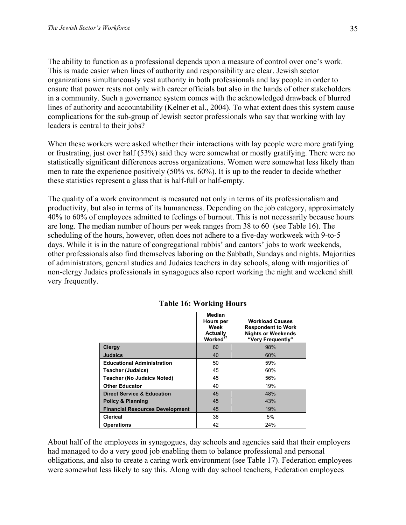The ability to function as a professional depends upon a measure of control over one's work. This is made easier when lines of authority and responsibility are clear. Jewish sector organizations simultaneously vest authority in both professionals and lay people in order to ensure that power rests not only with career officials but also in the hands of other stakeholders in a community. Such a governance system comes with the acknowledged drawback of blurred lines of authority and accountability (Kelner et al., 2004). To what extent does this system cause complications for the sub-group of Jewish sector professionals who say that working with lay leaders is central to their jobs?

When these workers were asked whether their interactions with lay people were more gratifying or frustrating, just over half (53%) said they were somewhat or mostly gratifying. There were no statistically significant differences across organizations. Women were somewhat less likely than men to rate the experience positively (50% vs. 60%). It is up to the reader to decide whether these statistics represent a glass that is half-full or half-empty.

The quality of a work environment is measured not only in terms of its professionalism and productivity, but also in terms of its humaneness. Depending on the job category, approximately 40% to 60% of employees admitted to feelings of burnout. This is not necessarily because hours are long. The median number of hours per week ranges from 38 to 60 (see Table 16). The scheduling of the hours, however, often does not adhere to a five-day workweek with 9-to-5 days. While it is in the nature of congregational rabbis' and cantors' jobs to work weekends, other professionals also find themselves laboring on the Sabbath, Sundays and nights. Majorities of administrators, general studies and Judaics teachers in day schools, along with majorities of non-clergy Judaics professionals in synagogues also report working the night and weekend shift very frequently.

|                                        | <b>Median</b><br>Hours per<br>Week<br><b>Actually</b><br>Worked <sup>27</sup> | <b>Workload Causes</b><br><b>Respondent to Work</b><br><b>Nights or Weekends</b><br>"Very Frequently" |
|----------------------------------------|-------------------------------------------------------------------------------|-------------------------------------------------------------------------------------------------------|
| <b>Clergy</b>                          | 60                                                                            | 98%                                                                                                   |
| <b>Judaics</b>                         | 40                                                                            | 60%                                                                                                   |
| <b>Educational Administration</b>      | 50                                                                            | 59%                                                                                                   |
| <b>Teacher (Judaics)</b>               | 45                                                                            | 60%                                                                                                   |
| <b>Teacher (No Judaics Noted)</b>      | 45                                                                            | 56%                                                                                                   |
| <b>Other Educator</b>                  | 40                                                                            | 19%                                                                                                   |
| <b>Direct Service &amp; Education</b>  | 45                                                                            | 48%                                                                                                   |
| <b>Policy &amp; Planning</b>           | 45                                                                            | 43%                                                                                                   |
| <b>Financial Resources Development</b> | 45                                                                            | 19%                                                                                                   |
| <b>Clerical</b>                        | 38                                                                            | 5%                                                                                                    |
| <b>Operations</b>                      | 42                                                                            | 24%                                                                                                   |

### **Table 16: Working Hours**

About half of the employees in synagogues, day schools and agencies said that their employers had managed to do a very good job enabling them to balance professional and personal obligations, and also to create a caring work environment (see Table 17). Federation employees were somewhat less likely to say this. Along with day school teachers, Federation employees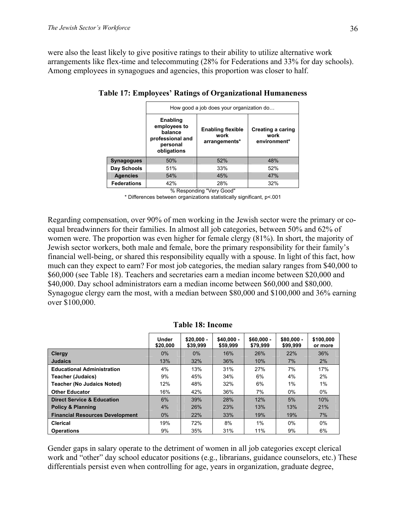were also the least likely to give positive ratings to their ability to utilize alternative work arrangements like flex-time and telecommuting (28% for Federations and 33% for day schools). Among employees in synagogues and agencies, this proportion was closer to half.

|                    | How good a job does your organization do                                           |                                                   |                                           |  |  |
|--------------------|------------------------------------------------------------------------------------|---------------------------------------------------|-------------------------------------------|--|--|
|                    | Enabling<br>employees to<br>balance<br>professional and<br>personal<br>obligations | <b>Enabling flexible</b><br>work<br>arrangements* | Creating a caring<br>work<br>environment* |  |  |
| <b>Synagogues</b>  | 50%                                                                                | 52%                                               | 48%                                       |  |  |
| Day Schools        | 51%                                                                                | 33%                                               | 52%                                       |  |  |
| <b>Agencies</b>    | 54%                                                                                | 45%                                               | 47%                                       |  |  |
| <b>Federations</b> | 42%                                                                                | 28%                                               | 32%                                       |  |  |

### **Table 17: Employees' Ratings of Organizational Humaneness**

% Responding "Very Good"

\* Differences between organizations statistically significant, p<.001

Regarding compensation, over 90% of men working in the Jewish sector were the primary or coequal breadwinners for their families. In almost all job categories, between 50% and 62% of women were. The proportion was even higher for female clergy (81%). In short, the majority of Jewish sector workers, both male and female, bore the primary responsibility for their family's financial well-being, or shared this responsibility equally with a spouse. In light of this fact, how much can they expect to earn? For most job categories, the median salary ranges from \$40,000 to \$60,000 (see Table 18). Teachers and secretaries earn a median income between \$20,000 and \$40,000. Day school administrators earn a median income between \$60,000 and \$80,000. Synagogue clergy earn the most, with a median between \$80,000 and \$100,000 and 36% earning over \$100,000.

|                                        | <b>Under</b><br>\$20,000 | $$20.000 -$<br>\$39.999 | $$40.000 -$<br>\$59,999 | $$60,000 -$<br>\$79.999 | $$80,000 -$<br>\$99.999 | \$100,000<br>or more |
|----------------------------------------|--------------------------|-------------------------|-------------------------|-------------------------|-------------------------|----------------------|
| <b>Clergy</b>                          | $0\%$                    | $0\%$                   | 16%                     | 26%                     | 22%                     | 36%                  |
| <b>Judaics</b>                         | 13%                      | 32%                     | 36%                     | 10%                     | 7%                      | 2%                   |
| <b>Educational Administration</b>      | 4%                       | 13%                     | 31%                     | 27%                     | 7%                      | 17%                  |
| <b>Teacher (Judaics)</b>               | 9%                       | 45%                     | 34%                     | 6%                      | 4%                      | 2%                   |
| <b>Teacher (No Judaics Noted)</b>      | 12%                      | 48%                     | 32%                     | 6%                      | $1\%$                   | $1\%$                |
| <b>Other Educator</b>                  | 16%                      | 42%                     | 36%                     | 7%                      | $0\%$                   | $0\%$                |
| <b>Direct Service &amp; Education</b>  | 6%                       | 39%                     | 28%                     | 12%                     | 5%                      | 10%                  |
| <b>Policy &amp; Planning</b>           | 4%                       | 26%                     | 23%                     | 13%                     | 13%                     | 21%                  |
| <b>Financial Resources Development</b> | $0\%$                    | 22%                     | 33%                     | 19%                     | 19%                     | 7%                   |
| Clerical                               | 19%                      | 72%                     | 8%                      | $1\%$                   | $0\%$                   | $0\%$                |
| <b>Operations</b>                      | 9%                       | 35%                     | 31%                     | 11%                     | 9%                      | 6%                   |

|  |  | <b>Table 18: Income</b> |
|--|--|-------------------------|
|--|--|-------------------------|

Gender gaps in salary operate to the detriment of women in all job categories except clerical work and "other" day school educator positions (e.g., librarians, guidance counselors, etc.) These differentials persist even when controlling for age, years in organization, graduate degree,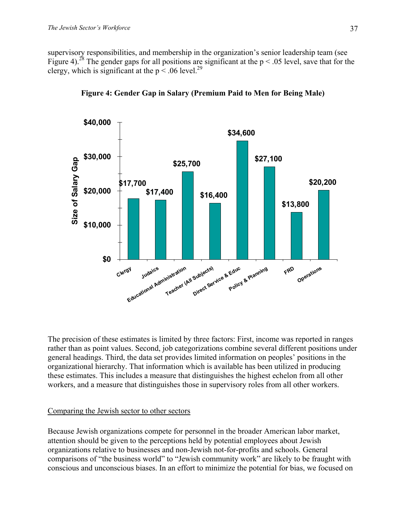supervisory responsibilities, and membership in the organization's senior leadership team (see Figure 4).<sup>28</sup> The gender gaps for all positions are significant at the  $p < .05$  level, save that for the clergy, which is significant at the  $p < .06$  level.<sup>29</sup>



**Figure 4: Gender Gap in Salary (Premium Paid to Men for Being Male)** 

The precision of these estimates is limited by three factors: First, income was reported in ranges rather than as point values. Second, job categorizations combine several different positions under general headings. Third, the data set provides limited information on peoples' positions in the organizational hierarchy. That information which is available has been utilized in producing these estimates. This includes a measure that distinguishes the highest echelon from all other workers, and a measure that distinguishes those in supervisory roles from all other workers.

### Comparing the Jewish sector to other sectors

Because Jewish organizations compete for personnel in the broader American labor market, attention should be given to the perceptions held by potential employees about Jewish organizations relative to businesses and non-Jewish not-for-profits and schools. General comparisons of "the business world" to "Jewish community work" are likely to be fraught with conscious and unconscious biases. In an effort to minimize the potential for bias, we focused on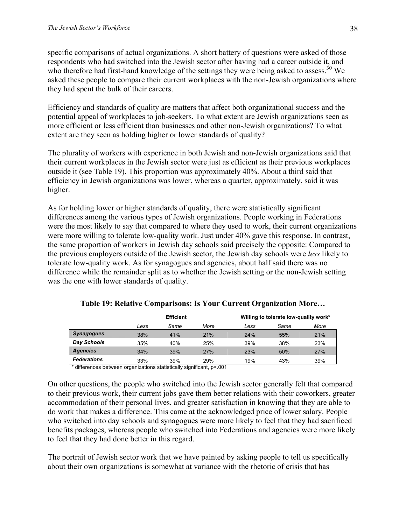specific comparisons of actual organizations. A short battery of questions were asked of those respondents who had switched into the Jewish sector after having had a career outside it, and who therefore had first-hand knowledge of the settings they were being asked to assess.<sup>30</sup> We asked these people to compare their current workplaces with the non-Jewish organizations where they had spent the bulk of their careers.

Efficiency and standards of quality are matters that affect both organizational success and the potential appeal of workplaces to job-seekers. To what extent are Jewish organizations seen as more efficient or less efficient than businesses and other non-Jewish organizations? To what extent are they seen as holding higher or lower standards of quality?

The plurality of workers with experience in both Jewish and non-Jewish organizations said that their current workplaces in the Jewish sector were just as efficient as their previous workplaces outside it (see Table 19). This proportion was approximately 40%. About a third said that efficiency in Jewish organizations was lower, whereas a quarter, approximately, said it was higher.

As for holding lower or higher standards of quality, there were statistically significant differences among the various types of Jewish organizations. People working in Federations were the most likely to say that compared to where they used to work, their current organizations were more willing to tolerate low-quality work. Just under 40% gave this response. In contrast, the same proportion of workers in Jewish day schools said precisely the opposite: Compared to the previous employers outside of the Jewish sector, the Jewish day schools were *less* likely to tolerate low-quality work. As for synagogues and agencies, about half said there was no difference while the remainder split as to whether the Jewish setting or the non-Jewish setting was the one with lower standards of quality.

|                    |      | <b>Efficient</b> |      |      | Willing to tolerate low-quality work* |      |  |
|--------------------|------|------------------|------|------|---------------------------------------|------|--|
|                    | Less | Same             | More | Less | Same                                  | More |  |
| <b>Synagogues</b>  | 38%  | 41%              | 21%  | 24%  | 55%                                   | 21%  |  |
| Day Schools        | 35%  | 40%              | 25%  | 39%  | 38%                                   | 23%  |  |
| <b>Agencies</b>    | 34%  | 39%              | 27%  | 23%  | 50%                                   | 27%  |  |
| <b>Federations</b> | 33%  | 39%              | 29%  | 19%  | 43%                                   | 39%  |  |

| Table 19: Relative Comparisons: Is Your Current Organization More |  |  |  |  |  |
|-------------------------------------------------------------------|--|--|--|--|--|
|-------------------------------------------------------------------|--|--|--|--|--|

\* differences between organizations statistically significant, p<.001

On other questions, the people who switched into the Jewish sector generally felt that compared to their previous work, their current jobs gave them better relations with their coworkers, greater accommodation of their personal lives, and greater satisfaction in knowing that they are able to do work that makes a difference. This came at the acknowledged price of lower salary. People who switched into day schools and synagogues were more likely to feel that they had sacrificed benefits packages, whereas people who switched into Federations and agencies were more likely to feel that they had done better in this regard.

The portrait of Jewish sector work that we have painted by asking people to tell us specifically about their own organizations is somewhat at variance with the rhetoric of crisis that has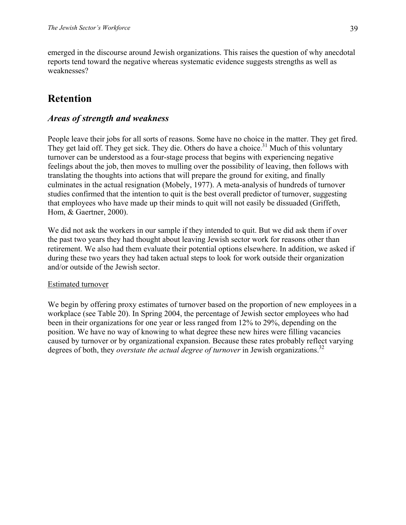emerged in the discourse around Jewish organizations. This raises the question of why anecdotal reports tend toward the negative whereas systematic evidence suggests strengths as well as weaknesses?

# **Retention**

# *Areas of strength and weakness*

People leave their jobs for all sorts of reasons. Some have no choice in the matter. They get fired. They get laid off. They get sick. They die. Others do have a choice.<sup>31</sup> Much of this voluntary turnover can be understood as a four-stage process that begins with experiencing negative feelings about the job, then moves to mulling over the possibility of leaving, then follows with translating the thoughts into actions that will prepare the ground for exiting, and finally culminates in the actual resignation (Mobely, 1977). A meta-analysis of hundreds of turnover studies confirmed that the intention to quit is the best overall predictor of turnover, suggesting that employees who have made up their minds to quit will not easily be dissuaded (Griffeth, Hom, & Gaertner, 2000).

We did not ask the workers in our sample if they intended to quit. But we did ask them if over the past two years they had thought about leaving Jewish sector work for reasons other than retirement. We also had them evaluate their potential options elsewhere. In addition, we asked if during these two years they had taken actual steps to look for work outside their organization and/or outside of the Jewish sector.

### Estimated turnover

We begin by offering proxy estimates of turnover based on the proportion of new employees in a workplace (see Table 20). In Spring 2004, the percentage of Jewish sector employees who had been in their organizations for one year or less ranged from 12% to 29%, depending on the position. We have no way of knowing to what degree these new hires were filling vacancies caused by turnover or by organizational expansion. Because these rates probably reflect varying degrees of both, they *overstate the actual degree of turnover* in Jewish organizations.<sup>32</sup>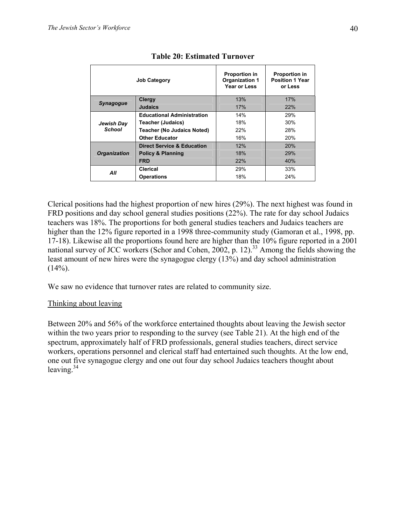| <b>Job Category</b>  |                                       | <b>Proportion in</b><br><b>Organization 1</b><br>Year or Less | <b>Proportion in</b><br><b>Position 1 Year</b><br>or Less |
|----------------------|---------------------------------------|---------------------------------------------------------------|-----------------------------------------------------------|
|                      | <b>Clergy</b>                         | 13%                                                           | 17%                                                       |
| <b>Synagogue</b>     | <b>Judaics</b>                        | 17%                                                           | 22%                                                       |
| Jewish Day<br>School | <b>Educational Administration</b>     | 14%                                                           | 29%                                                       |
|                      | Teacher (Judaics)                     | 18%                                                           | 30%                                                       |
|                      | <b>Teacher (No Judaics Noted)</b>     | 22%                                                           | 28%                                                       |
|                      | <b>Other Educator</b>                 | 16%                                                           | <b>20%</b>                                                |
|                      | <b>Direct Service &amp; Education</b> | 12%                                                           | 20%                                                       |
| <b>Organization</b>  | <b>Policy &amp; Planning</b>          | 18%                                                           | 29%                                                       |
|                      | <b>FRD</b>                            | 22%                                                           | 40%                                                       |
| All                  | Clerical                              | 29%                                                           | 33%                                                       |
|                      | <b>Operations</b>                     | 18%                                                           | 24%                                                       |

# **Table 20: Estimated Turnover**

Clerical positions had the highest proportion of new hires (29%). The next highest was found in FRD positions and day school general studies positions (22%). The rate for day school Judaics teachers was 18%. The proportions for both general studies teachers and Judaics teachers are higher than the 12% figure reported in a 1998 three-community study (Gamoran et al., 1998, pp. 17-18). Likewise all the proportions found here are higher than the 10% figure reported in a 2001 national survey of JCC workers (Schor and Cohen, 2002, p. 12).<sup>33</sup> Among the fields showing the least amount of new hires were the synagogue clergy (13%) and day school administration  $(14\%)$ .

We saw no evidence that turnover rates are related to community size.

# Thinking about leaving

Between 20% and 56% of the workforce entertained thoughts about leaving the Jewish sector within the two years prior to responding to the survey (see Table 21). At the high end of the spectrum, approximately half of FRD professionals, general studies teachers, direct service workers, operations personnel and clerical staff had entertained such thoughts. At the low end, one out five synagogue clergy and one out four day school Judaics teachers thought about leaving. $34$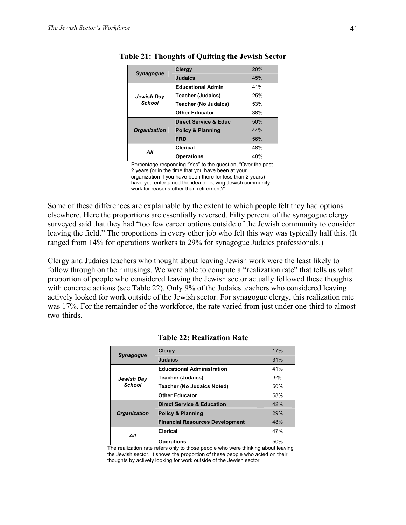|                     | Clergy                       | 20% |
|---------------------|------------------------------|-----|
| <b>Synagogue</b>    | <b>Judaics</b>               | 45% |
|                     | <b>Educational Admin</b>     | 41% |
| Jewish Day          | <b>Teacher (Judaics)</b>     | 25% |
| <b>School</b>       | <b>Teacher (No Judaics)</b>  | 53% |
|                     | <b>Other Educator</b>        | 38% |
|                     | Direct Service & Educ        | 50% |
| <b>Organization</b> | <b>Policy &amp; Planning</b> | 44% |
|                     | <b>FRD</b>                   | 56% |
| All                 | <b>Clerical</b>              | 48% |
|                     | <b>Operations</b>            | 48% |

| <b>Table 21: Thoughts of Quitting the Jewish Sector</b> |  |  |  |  |  |
|---------------------------------------------------------|--|--|--|--|--|
|---------------------------------------------------------|--|--|--|--|--|

Percentage responding "Yes" to the question, "Over the past 2 years (or in the time that you have been at your organization if you have been there for less than 2 years) have you entertained the idea of leaving Jewish community work for reasons other than retirement?"

Some of these differences are explainable by the extent to which people felt they had options elsewhere. Here the proportions are essentially reversed. Fifty percent of the synagogue clergy surveyed said that they had "too few career options outside of the Jewish community to consider leaving the field." The proportions in every other job who felt this way was typically half this. (It ranged from 14% for operations workers to 29% for synagogue Judaics professionals.)

Clergy and Judaics teachers who thought about leaving Jewish work were the least likely to follow through on their musings. We were able to compute a "realization rate" that tells us what proportion of people who considered leaving the Jewish sector actually followed these thoughts with concrete actions (see Table 22). Only 9% of the Judaics teachers who considered leaving actively looked for work outside of the Jewish sector. For synagogue clergy, this realization rate was 17%. For the remainder of the workforce, the rate varied from just under one-third to almost two-thirds.

| <b>Synagogue</b>           | <b>Clergy</b>                          | 17% |
|----------------------------|----------------------------------------|-----|
|                            | <b>Judaics</b>                         | 31% |
|                            | <b>Educational Administration</b>      | 41% |
| Jewish Day                 | <b>Teacher (Judaics)</b>               | 9%  |
| School                     | <b>Teacher (No Judaics Noted)</b>      | 50% |
|                            | <b>Other Educator</b>                  | 58% |
|                            | <b>Direct Service &amp; Education</b>  | 42% |
| <b>Organization</b><br>All | <b>Policy &amp; Planning</b>           | 29% |
|                            | <b>Financial Resources Development</b> | 48% |
|                            | <b>Clerical</b>                        | 47% |
|                            | <b>Operations</b>                      | 50% |

**Table 22: Realization Rate** 

The realization rate refers only to those people who were thinking about leaving the Jewish sector. It shows the proportion of these people who acted on their thoughts by actively looking for work outside of the Jewish sector.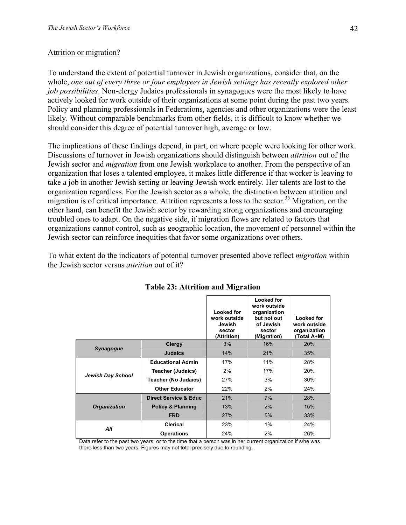#### Attrition or migration?

To understand the extent of potential turnover in Jewish organizations, consider that, on the whole, *one out of every three or four employees in Jewish settings has recently explored other job possibilities*. Non-clergy Judaics professionals in synagogues were the most likely to have actively looked for work outside of their organizations at some point during the past two years. Policy and planning professionals in Federations, agencies and other organizations were the least likely. Without comparable benchmarks from other fields, it is difficult to know whether we should consider this degree of potential turnover high, average or low.

The implications of these findings depend, in part, on where people were looking for other work. Discussions of turnover in Jewish organizations should distinguish between *attrition* out of the Jewish sector and *migration* from one Jewish workplace to another. From the perspective of an organization that loses a talented employee, it makes little difference if that worker is leaving to take a job in another Jewish setting or leaving Jewish work entirely. Her talents are lost to the organization regardless. For the Jewish sector as a whole, the distinction between attrition and migration is of critical importance. Attrition represents a loss to the sector.<sup>35</sup> Migration, on the other hand, can benefit the Jewish sector by rewarding strong organizations and encouraging troubled ones to adapt. On the negative side, if migration flows are related to factors that organizations cannot control, such as geographic location, the movement of personnel within the Jewish sector can reinforce inequities that favor some organizations over others.

To what extent do the indicators of potential turnover presented above reflect *migration* within the Jewish sector versus *attrition* out of it?

|                          |                                  | Looked for<br>work outside<br>Jewish<br>sector<br>(Attrition) | Looked for<br>work outside<br>organization<br>but not out<br>of Jewish<br>sector<br>(Migration) | Looked for<br>work outside<br>organization<br>(Total A+M) |
|--------------------------|----------------------------------|---------------------------------------------------------------|-------------------------------------------------------------------------------------------------|-----------------------------------------------------------|
|                          | <b>Clergy</b>                    | 3%                                                            | 16%                                                                                             | 20%                                                       |
| <b>Synagogue</b>         | <b>Judaics</b>                   | 14%                                                           | 21%                                                                                             | 35%                                                       |
| <b>Jewish Day School</b> | <b>Educational Admin</b>         | 17%                                                           | 11%                                                                                             | 28%                                                       |
|                          | <b>Teacher (Judaics)</b>         | 2%                                                            | 17%                                                                                             | 20%                                                       |
|                          | <b>Teacher (No Judaics)</b>      | 27%                                                           | 3%                                                                                              | 30%                                                       |
|                          | <b>Other Educator</b>            | 22%                                                           | 2%                                                                                              | 24%                                                       |
|                          | <b>Direct Service &amp; Educ</b> | 21%                                                           | 7%                                                                                              | 28%                                                       |
| <b>Organization</b>      | <b>Policy &amp; Planning</b>     | 13%                                                           | 2%                                                                                              | 15%                                                       |
|                          | <b>FRD</b>                       | 27%                                                           | 5%                                                                                              | 33%                                                       |
|                          | Clerical                         | 23%                                                           | 1%                                                                                              | 24%                                                       |
| All                      | <b>Operations</b>                | 24%                                                           | 2%                                                                                              | 26%                                                       |

**Table 23: Attrition and Migration** 

Data refer to the past two years, or to the time that a person was in her current organization if s/he was there less than two years. Figures may not total precisely due to rounding.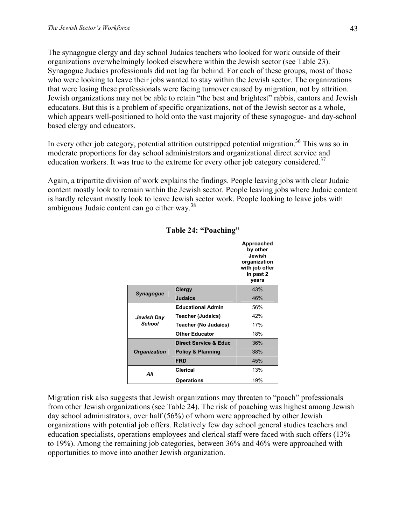The synagogue clergy and day school Judaics teachers who looked for work outside of their organizations overwhelmingly looked elsewhere within the Jewish sector (see Table 23). Synagogue Judaics professionals did not lag far behind. For each of these groups, most of those who were looking to leave their jobs wanted to stay within the Jewish sector. The organizations that were losing these professionals were facing turnover caused by migration, not by attrition. Jewish organizations may not be able to retain "the best and brightest" rabbis, cantors and Jewish educators. But this is a problem of specific organizations, not of the Jewish sector as a whole, which appears well-positioned to hold onto the vast majority of these synagogue- and day-school based clergy and educators.

In every other job category, potential attrition outstripped potential migration.<sup>36</sup> This was so in moderate proportions for day school administrators and organizational direct service and education workers. It was true to the extreme for every other job category considered.<sup>37</sup>

Again, a tripartite division of work explains the findings. People leaving jobs with clear Judaic content mostly look to remain within the Jewish sector. People leaving jobs where Judaic content is hardly relevant mostly look to leave Jewish sector work. People looking to leave jobs with ambiguous Judaic content can go either way.<sup>38</sup>

|                             |                                  | Approached<br>by other<br>Jewish<br>organization<br>with job offer<br>in past 2<br>vears |
|-----------------------------|----------------------------------|------------------------------------------------------------------------------------------|
|                             | Clergy                           | 43%                                                                                      |
| <b>Synagogue</b>            | <b>Judaics</b>                   | 46%                                                                                      |
|                             | <b>Educational Admin</b>         | 56%                                                                                      |
| Jewish Day<br><b>School</b> | Teacher (Judaics)                | 42%                                                                                      |
|                             | <b>Teacher (No Judaics)</b>      | 17%                                                                                      |
|                             | <b>Other Educator</b>            | 18%                                                                                      |
|                             | <b>Direct Service &amp; Educ</b> | 36%                                                                                      |
| <b>Organization</b>         | <b>Policy &amp; Planning</b>     | 38%                                                                                      |
|                             | <b>FRD</b>                       | 45%                                                                                      |
| All                         | Clerical                         | 13%                                                                                      |
|                             | <b>Operations</b>                | 19%                                                                                      |

### **Table 24: "Poaching"**

Migration risk also suggests that Jewish organizations may threaten to "poach" professionals from other Jewish organizations (see Table 24). The risk of poaching was highest among Jewish day school administrators, over half (56%) of whom were approached by other Jewish organizations with potential job offers. Relatively few day school general studies teachers and education specialists, operations employees and clerical staff were faced with such offers (13% to 19%). Among the remaining job categories, between 36% and 46% were approached with opportunities to move into another Jewish organization.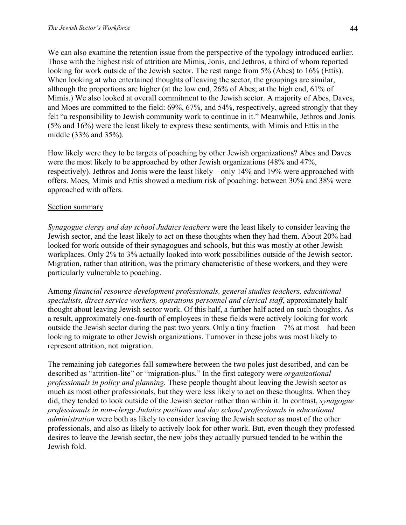We can also examine the retention issue from the perspective of the typology introduced earlier. Those with the highest risk of attrition are Mimis, Jonis, and Jethros, a third of whom reported looking for work outside of the Jewish sector. The rest range from 5% (Abes) to 16% (Ettis). When looking at who entertained thoughts of leaving the sector, the groupings are similar, although the proportions are higher (at the low end, 26% of Abes; at the high end, 61% of Mimis.) We also looked at overall commitment to the Jewish sector. A majority of Abes, Daves, and Moes are committed to the field: 69%, 67%, and 54%, respectively, agreed strongly that they felt "a responsibility to Jewish community work to continue in it." Meanwhile, Jethros and Jonis (5% and 16%) were the least likely to express these sentiments, with Mimis and Ettis in the middle (33% and 35%).

How likely were they to be targets of poaching by other Jewish organizations? Abes and Daves were the most likely to be approached by other Jewish organizations (48% and 47%, respectively). Jethros and Jonis were the least likely – only 14% and 19% were approached with offers. Moes, Mimis and Ettis showed a medium risk of poaching: between 30% and 38% were approached with offers.

### Section summary

*Synagogue clergy and day school Judaics teachers* were the least likely to consider leaving the Jewish sector, and the least likely to act on these thoughts when they had them. About 20% had looked for work outside of their synagogues and schools, but this was mostly at other Jewish workplaces. Only 2% to 3% actually looked into work possibilities outside of the Jewish sector. Migration, rather than attrition, was the primary characteristic of these workers, and they were particularly vulnerable to poaching.

Among *financial resource development professionals, general studies teachers, educational specialists, direct service workers, operations personnel and clerical staff*, approximately half thought about leaving Jewish sector work. Of this half, a further half acted on such thoughts. As a result, approximately one-fourth of employees in these fields were actively looking for work outside the Jewish sector during the past two years. Only a tiny fraction  $-7\%$  at most – had been looking to migrate to other Jewish organizations. Turnover in these jobs was most likely to represent attrition, not migration.

The remaining job categories fall somewhere between the two poles just described, and can be described as "attrition-lite" or "migration-plus." In the first category were *organizational professionals in policy and planning.* These people thought about leaving the Jewish sector as much as most other professionals, but they were less likely to act on these thoughts. When they did, they tended to look outside of the Jewish sector rather than within it. In contrast, *synagogue professionals in non-clergy Judaics positions and day school professionals in educational administration* were both as likely to consider leaving the Jewish sector as most of the other professionals, and also as likely to actively look for other work. But, even though they professed desires to leave the Jewish sector, the new jobs they actually pursued tended to be within the Jewish fold.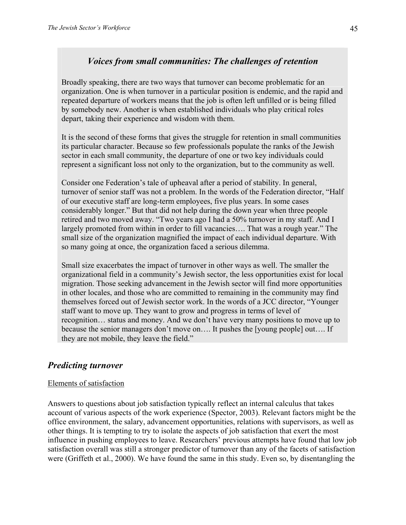# *Voices from small communities: The challenges of retention*

Broadly speaking, there are two ways that turnover can become problematic for an organization. One is when turnover in a particular position is endemic, and the rapid and repeated departure of workers means that the job is often left unfilled or is being filled by somebody new. Another is when established individuals who play critical roles depart, taking their experience and wisdom with them.

It is the second of these forms that gives the struggle for retention in small communities its particular character. Because so few professionals populate the ranks of the Jewish sector in each small community, the departure of one or two key individuals could represent a significant loss not only to the organization, but to the community as well.

Consider one Federation's tale of upheaval after a period of stability. In general, turnover of senior staff was not a problem. In the words of the Federation director, "Half of our executive staff are long-term employees, five plus years. In some cases considerably longer." But that did not help during the down year when three people retired and two moved away. "Two years ago I had a 50% turnover in my staff. And I largely promoted from within in order to fill vacancies…. That was a rough year." The small size of the organization magnified the impact of each individual departure. With so many going at once, the organization faced a serious dilemma.

Small size exacerbates the impact of turnover in other ways as well. The smaller the organizational field in a community's Jewish sector, the less opportunities exist for local migration. Those seeking advancement in the Jewish sector will find more opportunities in other locales, and those who are committed to remaining in the community may find themselves forced out of Jewish sector work. In the words of a JCC director, "Younger staff want to move up. They want to grow and progress in terms of level of recognition… status and money. And we don't have very many positions to move up to because the senior managers don't move on…. It pushes the [young people] out…. If they are not mobile, they leave the field."

# *Predicting turnover*

### Elements of satisfaction

Answers to questions about job satisfaction typically reflect an internal calculus that takes account of various aspects of the work experience (Spector, 2003). Relevant factors might be the office environment, the salary, advancement opportunities, relations with supervisors, as well as other things. It is tempting to try to isolate the aspects of job satisfaction that exert the most influence in pushing employees to leave. Researchers' previous attempts have found that low job satisfaction overall was still a stronger predictor of turnover than any of the facets of satisfaction were (Griffeth et al., 2000). We have found the same in this study. Even so, by disentangling the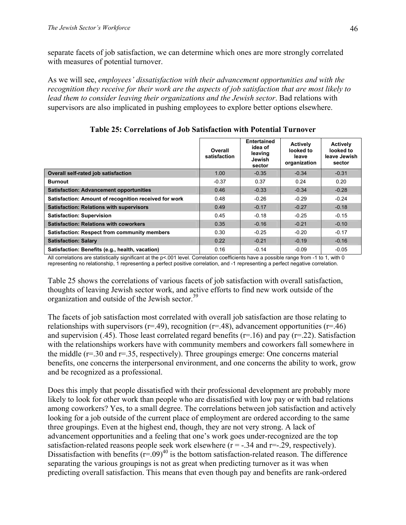separate facets of job satisfaction, we can determine which ones are more strongly correlated with measures of potential turnover.

As we will see, *employees' dissatisfaction with their advancement opportunities and with the recognition they receive for their work are the aspects of job satisfaction that are most likely to lead them to consider leaving their organizations and the Jewish sector*. Bad relations with supervisors are also implicated in pushing employees to explore better options elsewhere.

|                                                       | Overall<br>satisfaction | <b>Entertained</b><br>idea of<br>leaving<br>Jewish<br>sector | <b>Actively</b><br>looked to<br>leave<br>organization | <b>Actively</b><br>looked to<br>leave Jewish<br>sector |
|-------------------------------------------------------|-------------------------|--------------------------------------------------------------|-------------------------------------------------------|--------------------------------------------------------|
| Overall self-rated job satisfaction                   | 1.00                    | $-0.35$                                                      | $-0.34$                                               | $-0.31$                                                |
| <b>Burnout</b>                                        | $-0.37$                 | 0.37                                                         | 0.24                                                  | 0.20                                                   |
| <b>Satisfaction: Advancement opportunities</b>        | 0.46                    | $-0.33$                                                      | $-0.34$                                               | $-0.28$                                                |
| Satisfaction: Amount of recognition received for work | 0.48                    | $-0.26$                                                      | $-0.29$                                               | $-0.24$                                                |
| <b>Satisfaction: Relations with supervisors</b>       | 0.49                    | $-0.17$                                                      | $-0.27$                                               | $-0.18$                                                |
| <b>Satisfaction: Supervision</b>                      | 0.45                    | $-0.18$                                                      | $-0.25$                                               | $-0.15$                                                |
| <b>Satisfaction: Relations with coworkers</b>         | 0.35                    | $-0.16$                                                      | $-0.21$                                               | $-0.10$                                                |
| <b>Satisfaction: Respect from community members</b>   | 0.30                    | $-0.25$                                                      | $-0.20$                                               | $-0.17$                                                |
| <b>Satisfaction: Salary</b>                           | 0.22                    | $-0.21$                                                      | $-0.19$                                               | $-0.16$                                                |
| Satisfaction: Benefits (e.g., health, vacation)       | 0.16                    | $-0.14$                                                      | $-0.09$                                               | $-0.05$                                                |

**Table 25: Correlations of Job Satisfaction with Potential Turnover** 

All correlations are statistically significant at the p<.001 level. Correlation coefficients have a possible range from -1 to 1, with 0 representing no relationship, 1 representing a perfect positive correlation, and -1 representing a perfect negative correlation.

Table 25 shows the correlations of various facets of job satisfaction with overall satisfaction, thoughts of leaving Jewish sector work, and active efforts to find new work outside of the organization and outside of the Jewish sector.<sup>39</sup>

The facets of job satisfaction most correlated with overall job satisfaction are those relating to relationships with supervisors ( $r=49$ ), recognition ( $r=48$ ), advancement opportunities ( $r=46$ ) and supervision (.45). Those least correlated regard benefits ( $r=16$ ) and pay ( $r=22$ ). Satisfaction with the relationships workers have with community members and coworkers fall somewhere in the middle  $(r=0.30)$  and  $r=0.35$ , respectively). Three groupings emerge: One concerns material benefits, one concerns the interpersonal environment, and one concerns the ability to work, grow and be recognized as a professional.

Does this imply that people dissatisfied with their professional development are probably more likely to look for other work than people who are dissatisfied with low pay or with bad relations among coworkers? Yes, to a small degree. The correlations between job satisfaction and actively looking for a job outside of the current place of employment are ordered according to the same three groupings. Even at the highest end, though, they are not very strong. A lack of advancement opportunities and a feeling that one's work goes under-recognized are the top satisfaction-related reasons people seek work elsewhere  $(r = -.34$  and  $r = .29$ , respectively). Dissatisfaction with benefits  $(r=.09)^{40}$  is the bottom satisfaction-related reason. The difference separating the various groupings is not as great when predicting turnover as it was when predicting overall satisfaction. This means that even though pay and benefits are rank-ordered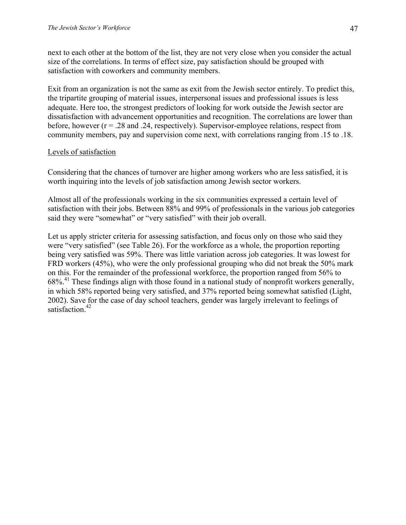next to each other at the bottom of the list, they are not very close when you consider the actual size of the correlations. In terms of effect size, pay satisfaction should be grouped with satisfaction with coworkers and community members.

Exit from an organization is not the same as exit from the Jewish sector entirely. To predict this, the tripartite grouping of material issues, interpersonal issues and professional issues is less adequate. Here too, the strongest predictors of looking for work outside the Jewish sector are dissatisfaction with advancement opportunities and recognition. The correlations are lower than before, however  $(r = .28$  and  $.24$ , respectively). Supervisor-employee relations, respect from community members, pay and supervision come next, with correlations ranging from .15 to .18.

### Levels of satisfaction

Considering that the chances of turnover are higher among workers who are less satisfied, it is worth inquiring into the levels of job satisfaction among Jewish sector workers.

Almost all of the professionals working in the six communities expressed a certain level of satisfaction with their jobs. Between 88% and 99% of professionals in the various job categories said they were "somewhat" or "very satisfied" with their job overall.

Let us apply stricter criteria for assessing satisfaction, and focus only on those who said they were "very satisfied" (see Table 26). For the workforce as a whole, the proportion reporting being very satisfied was 59%. There was little variation across job categories. It was lowest for FRD workers (45%), who were the only professional grouping who did not break the 50% mark on this. For the remainder of the professional workforce, the proportion ranged from 56% to 68%.41 These findings align with those found in a national study of nonprofit workers generally, in which 58% reported being very satisfied, and 37% reported being somewhat satisfied (Light, 2002). Save for the case of day school teachers, gender was largely irrelevant to feelings of satisfaction.<sup>42</sup>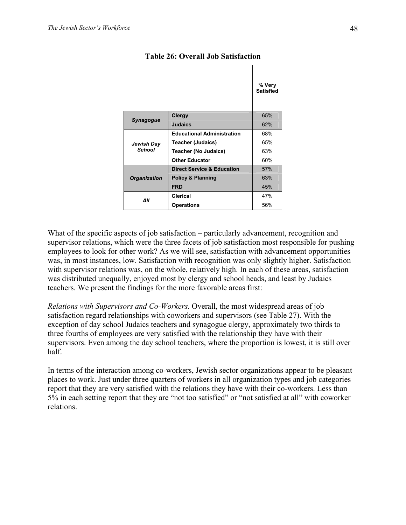|                      |                                       | % Very<br><b>Satisfied</b> |
|----------------------|---------------------------------------|----------------------------|
| Synagogue            | Clergy                                | 65%                        |
|                      | <b>Judaics</b>                        | 62%                        |
|                      | <b>Educational Administration</b>     | 68%                        |
| Jewish Day<br>School | Teacher (Judaics)                     | 65%                        |
|                      | <b>Teacher (No Judaics)</b>           | 63%                        |
|                      | <b>Other Educator</b>                 | 60%                        |
|                      | <b>Direct Service &amp; Education</b> | 57%                        |
| <b>Organization</b>  | <b>Policy &amp; Planning</b>          | 63%                        |
|                      | <b>FRD</b>                            | 45%                        |
|                      | Clerical                              | 47%                        |
| All                  | <b>Operations</b>                     | 56%                        |

### **Table 26: Overall Job Satisfaction**

What of the specific aspects of job satisfaction – particularly advancement, recognition and supervisor relations, which were the three facets of job satisfaction most responsible for pushing employees to look for other work? As we will see, satisfaction with advancement opportunities was, in most instances, low. Satisfaction with recognition was only slightly higher. Satisfaction with supervisor relations was, on the whole, relatively high. In each of these areas, satisfaction was distributed unequally, enjoyed most by clergy and school heads, and least by Judaics teachers. We present the findings for the more favorable areas first:

*Relations with Supervisors and Co-Workers.* Overall, the most widespread areas of job satisfaction regard relationships with coworkers and supervisors (see Table 27). With the exception of day school Judaics teachers and synagogue clergy, approximately two thirds to three fourths of employees are very satisfied with the relationship they have with their supervisors. Even among the day school teachers, where the proportion is lowest, it is still over half.

In terms of the interaction among co-workers, Jewish sector organizations appear to be pleasant places to work. Just under three quarters of workers in all organization types and job categories report that they are very satisfied with the relations they have with their co-workers. Less than 5% in each setting report that they are "not too satisfied" or "not satisfied at all" with coworker relations.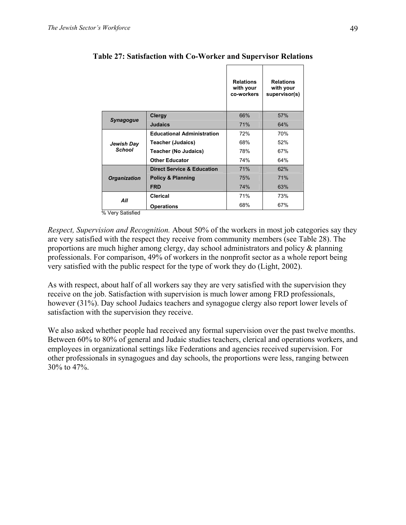|                             |                                       | <b>Relations</b><br>with your<br>co-workers | <b>Relations</b><br>with your<br>supervisor(s) |
|-----------------------------|---------------------------------------|---------------------------------------------|------------------------------------------------|
| <b>Synagogue</b>            | Clergy                                | 66%                                         | 57%                                            |
|                             | <b>Judaics</b>                        | 71%                                         | 64%                                            |
| Jewish Day<br><b>School</b> | <b>Educational Administration</b>     | 72%                                         | 70%                                            |
|                             | <b>Teacher (Judaics)</b>              | 68%                                         | 52%                                            |
|                             | <b>Teacher (No Judaics)</b>           | 78%                                         | 67%                                            |
|                             | <b>Other Educator</b>                 | 74%                                         | 64%                                            |
|                             | <b>Direct Service &amp; Education</b> | 71%                                         | 62%                                            |
| <b>Organization</b>         | <b>Policy &amp; Planning</b>          | 75%                                         | 71%                                            |
|                             | <b>FRD</b>                            | 74%                                         | 63%                                            |
| All                         | Clerical                              | 71%                                         | 73%                                            |
|                             | <b>Operations</b>                     | 68%                                         | 67%                                            |

**Table 27: Satisfaction with Co-Worker and Supervisor Relations** 

% Very Satisfied

*Respect, Supervision and Recognition.* About 50% of the workers in most job categories say they are very satisfied with the respect they receive from community members (see Table 28). The proportions are much higher among clergy, day school administrators and policy & planning professionals. For comparison, 49% of workers in the nonprofit sector as a whole report being very satisfied with the public respect for the type of work they do (Light, 2002).

As with respect, about half of all workers say they are very satisfied with the supervision they receive on the job. Satisfaction with supervision is much lower among FRD professionals, however (31%). Day school Judaics teachers and synagogue clergy also report lower levels of satisfaction with the supervision they receive.

We also asked whether people had received any formal supervision over the past twelve months. Between 60% to 80% of general and Judaic studies teachers, clerical and operations workers, and employees in organizational settings like Federations and agencies received supervision. For other professionals in synagogues and day schools, the proportions were less, ranging between 30% to 47%.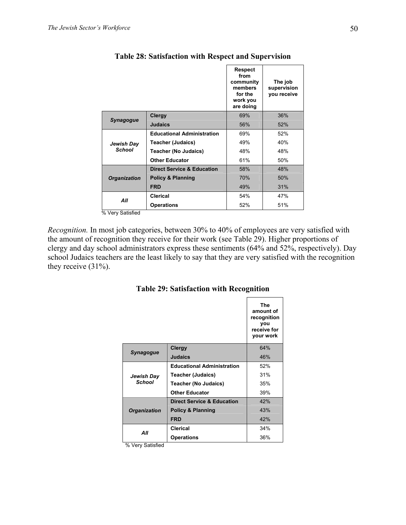|                             |                                       | <b>Respect</b><br>from<br>community<br>members<br>for the<br>work you<br>are doing | The job<br>supervision<br>vou receive |
|-----------------------------|---------------------------------------|------------------------------------------------------------------------------------|---------------------------------------|
| Synagogue                   | <b>Clergy</b>                         | 69%                                                                                | 36%                                   |
|                             | <b>Judaics</b>                        | 56%                                                                                | 52%                                   |
| Jewish Day<br><b>School</b> | <b>Educational Administration</b>     | 69%                                                                                | 52%                                   |
|                             | <b>Teacher (Judaics)</b>              | 49%                                                                                | 40%                                   |
|                             | <b>Teacher (No Judaics)</b>           | 48%                                                                                | 48%                                   |
|                             | <b>Other Educator</b>                 | 61%                                                                                | 50%                                   |
|                             | <b>Direct Service &amp; Education</b> | 58%                                                                                | 48%                                   |
| <b>Organization</b>         | <b>Policy &amp; Planning</b>          | 70%                                                                                | 50%                                   |
|                             | <b>FRD</b>                            | 49%                                                                                | 31%                                   |
| All                         | Clerical                              | 54%                                                                                | 47%                                   |
| .                           | <b>Operations</b>                     | 52%                                                                                | 51%                                   |

# **Table 28: Satisfaction with Respect and Supervision**

% Very Satisfied

*Recognition.* In most job categories, between 30% to 40% of employees are very satisfied with the amount of recognition they receive for their work (see Table 29). Higher proportions of clergy and day school administrators express these sentiments (64% and 52%, respectively). Day school Judaics teachers are the least likely to say that they are very satisfied with the recognition they receive (31%).

|                             |                                       | The<br>amount of<br>recognition<br>you<br>receive for<br>your work |
|-----------------------------|---------------------------------------|--------------------------------------------------------------------|
| Synagogue                   | <b>Clergy</b>                         | 64%                                                                |
|                             | <b>Judaics</b>                        | 46%                                                                |
| Jewish Day<br><b>School</b> | <b>Educational Administration</b>     | 52%                                                                |
|                             | Teacher (Judaics)                     | 31%                                                                |
|                             | Teacher (No Judaics)                  | 35%                                                                |
|                             | <b>Other Educator</b>                 | 39%                                                                |
| <b>Organization</b>         | <b>Direct Service &amp; Education</b> | 42%                                                                |
|                             | <b>Policy &amp; Planning</b>          | 43%                                                                |
|                             | <b>FRD</b>                            | 42%                                                                |
| ΑIΙ                         | Clerical                              | 34%                                                                |
|                             | <b>Operations</b>                     | 36%                                                                |

**Table 29: Satisfaction with Recognition** 

% Very Satisfied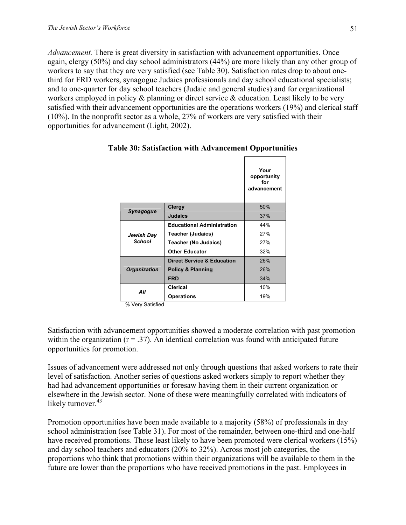*Advancement.* There is great diversity in satisfaction with advancement opportunities. Once again, clergy (50%) and day school administrators (44%) are more likely than any other group of workers to say that they are very satisfied (see Table 30). Satisfaction rates drop to about onethird for FRD workers, synagogue Judaics professionals and day school educational specialists; and to one-quarter for day school teachers (Judaic and general studies) and for organizational workers employed in policy & planning or direct service & education. Least likely to be very satisfied with their advancement opportunities are the operations workers (19%) and clerical staff (10%). In the nonprofit sector as a whole, 27% of workers are very satisfied with their opportunities for advancement (Light, 2002).

|                             |                                       | Your<br>opportunity<br>for<br>advancement |
|-----------------------------|---------------------------------------|-------------------------------------------|
| <b>Synagogue</b>            | Clergy                                | 50%                                       |
|                             | <b>Judaics</b>                        | 37%                                       |
| Jewish Day<br><b>School</b> | <b>Educational Administration</b>     | 44%                                       |
|                             | Teacher (Judaics)                     | 27%                                       |
|                             | Teacher (No Judaics)                  | 27%                                       |
|                             | <b>Other Educator</b>                 | 32%                                       |
| <b>Organization</b>         | <b>Direct Service &amp; Education</b> | 26%                                       |
|                             | <b>Policy &amp; Planning</b>          | 26%                                       |
|                             | <b>FRD</b>                            | 34%                                       |
| ΑII                         | Clerical                              | 10%                                       |
|                             | <b>Operations</b>                     | 19%                                       |

#### **Table 30: Satisfaction with Advancement Opportunities**

% Very Satisfied

Satisfaction with advancement opportunities showed a moderate correlation with past promotion within the organization  $(r = .37)$ . An identical correlation was found with anticipated future opportunities for promotion.

Issues of advancement were addressed not only through questions that asked workers to rate their level of satisfaction. Another series of questions asked workers simply to report whether they had had advancement opportunities or foresaw having them in their current organization or elsewhere in the Jewish sector. None of these were meaningfully correlated with indicators of likely turnover. $43$ 

Promotion opportunities have been made available to a majority (58%) of professionals in day school administration (see Table 31). For most of the remainder, between one-third and one-half have received promotions. Those least likely to have been promoted were clerical workers (15%) and day school teachers and educators (20% to 32%). Across most job categories, the proportions who think that promotions within their organizations will be available to them in the future are lower than the proportions who have received promotions in the past. Employees in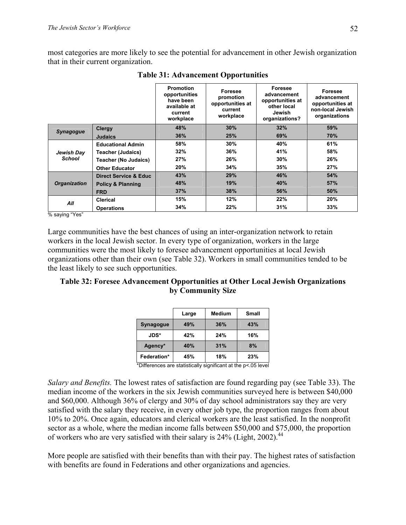most categories are more likely to see the potential for advancement in other Jewish organization that in their current organization.

|                             |                              | <b>Promotion</b><br>opportunities<br>have been<br>available at<br>current<br>workplace | Foresee<br>promotion<br>opportunities at<br>current<br>workplace | <b>Foresee</b><br>advancement<br>opportunities at<br>other local<br>Jewish<br>organizations? | Foresee<br>advancement<br>opportunities at<br>non-local Jewish<br>organizations |
|-----------------------------|------------------------------|----------------------------------------------------------------------------------------|------------------------------------------------------------------|----------------------------------------------------------------------------------------------|---------------------------------------------------------------------------------|
| <b>Synagogue</b>            | <b>Clergy</b>                | 48%                                                                                    | 30%                                                              | 32%                                                                                          | 59%                                                                             |
|                             | <b>Judaics</b>               | 36%                                                                                    | 25%                                                              | 69%                                                                                          | 70%                                                                             |
| Jewish Day<br><b>School</b> | <b>Educational Admin</b>     | 58%                                                                                    | 30%                                                              | 40%                                                                                          | 61%                                                                             |
|                             | <b>Teacher (Judaics)</b>     | 32%                                                                                    | 36%                                                              | 41%                                                                                          | 58%                                                                             |
|                             | <b>Teacher (No Judaics)</b>  | 27%                                                                                    | 26%                                                              | 30%                                                                                          | 26%                                                                             |
|                             | <b>Other Educator</b>        | 20%                                                                                    | 34%                                                              | 35%                                                                                          | 27%                                                                             |
| <b>Organization</b>         | Direct Service & Educ        | 43%                                                                                    | 29%                                                              | 46%                                                                                          | 54%                                                                             |
|                             | <b>Policy &amp; Planning</b> | 48%                                                                                    | 19%                                                              | 40%                                                                                          | 57%                                                                             |
|                             | <b>FRD</b>                   | 37%                                                                                    | 38%                                                              | 56%                                                                                          | 50%                                                                             |
| All<br>$\cdots$             | Clerical                     | 15%                                                                                    | 12%                                                              | 22%                                                                                          | 20%                                                                             |
|                             | <b>Operations</b>            | 34%                                                                                    | 22%                                                              | 31%                                                                                          | 33%                                                                             |

**Table 31: Advancement Opportunities** 

% saying "Yes"

Large communities have the best chances of using an inter-organization network to retain workers in the local Jewish sector. In every type of organization, workers in the large communities were the most likely to foresee advancement opportunities at local Jewish organizations other than their own (see Table 32). Workers in small communities tended to be the least likely to see such opportunities.

# **Table 32: Foresee Advancement Opportunities at Other Local Jewish Organizations by Community Size**

|             | Large | <b>Medium</b> | Small |
|-------------|-------|---------------|-------|
| Synagogue   | 49%   | 36%           | 43%   |
| <b>JDS*</b> | 42%   | 24%           | 16%   |
| Agency*     | 40%   | 31%           | 8%    |
| Federation* | 45%   | 18%           | 23%   |

\*Differences are statistically significant at the p<.05 level

*Salary and Benefits.* The lowest rates of satisfaction are found regarding pay (see Table 33). The median income of the workers in the six Jewish communities surveyed here is between \$40,000 and \$60,000. Although 36% of clergy and 30% of day school administrators say they are very satisfied with the salary they receive, in every other job type, the proportion ranges from about 10% to 20%. Once again, educators and clerical workers are the least satisfied. In the nonprofit sector as a whole, where the median income falls between \$50,000 and \$75,000, the proportion of workers who are very satisfied with their salary is 24% (Light, 2002).<sup>44</sup>

More people are satisfied with their benefits than with their pay. The highest rates of satisfaction with benefits are found in Federations and other organizations and agencies.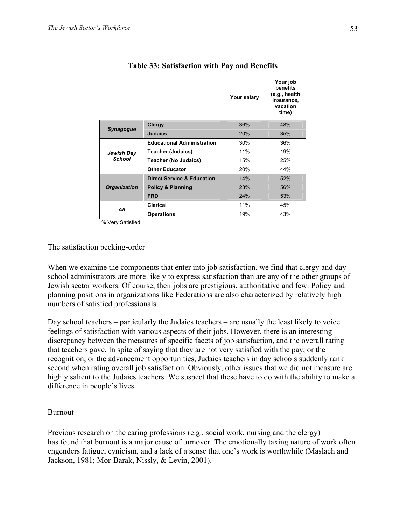|                                                  |                                       | Your salary | Your job<br>benefits<br>(e.g., health<br>insurance,<br>vacation<br>time) |
|--------------------------------------------------|---------------------------------------|-------------|--------------------------------------------------------------------------|
|                                                  | Clergy                                | 36%         | 48%                                                                      |
| Synagogue                                        | <b>Judaics</b>                        | 20%         | 35%                                                                      |
|                                                  | <b>Educational Administration</b>     | 30%         | 36%                                                                      |
| Jewish Day                                       | <b>Teacher (Judaics)</b>              | 11%         | 19%                                                                      |
| <b>School</b>                                    | <b>Teacher (No Judaics)</b>           | 15%         | 25%                                                                      |
|                                                  | <b>Other Educator</b>                 | 20%         | 44%                                                                      |
|                                                  | <b>Direct Service &amp; Education</b> | 14%         | 52%                                                                      |
| <b>Organization</b>                              | <b>Policy &amp; Planning</b>          | 23%         | 56%                                                                      |
|                                                  | <b>FRD</b>                            | 24%         | 53%                                                                      |
| All                                              | Clerical                              | 11%         | 45%                                                                      |
|                                                  | <b>Operations</b>                     | 19%         | 43%                                                                      |
| $\sim \cdot \cdot$ $\sim$ $\cdot$ $\sim$ $\cdot$ |                                       |             |                                                                          |

### **Table 33: Satisfaction with Pay and Benefits**

% Very Satisfied

#### The satisfaction pecking-order

When we examine the components that enter into job satisfaction, we find that clergy and day school administrators are more likely to express satisfaction than are any of the other groups of Jewish sector workers. Of course, their jobs are prestigious, authoritative and few. Policy and planning positions in organizations like Federations are also characterized by relatively high numbers of satisfied professionals.

Day school teachers – particularly the Judaics teachers – are usually the least likely to voice feelings of satisfaction with various aspects of their jobs. However, there is an interesting discrepancy between the measures of specific facets of job satisfaction, and the overall rating that teachers gave. In spite of saying that they are not very satisfied with the pay, or the recognition, or the advancement opportunities, Judaics teachers in day schools suddenly rank second when rating overall job satisfaction. Obviously, other issues that we did not measure are highly salient to the Judaics teachers. We suspect that these have to do with the ability to make a difference in people's lives.

#### Burnout

Previous research on the caring professions (e.g., social work, nursing and the clergy) has found that burnout is a major cause of turnover. The emotionally taxing nature of work often engenders fatigue, cynicism, and a lack of a sense that one's work is worthwhile (Maslach and Jackson, 1981; Mor-Barak, Nissly, & Levin, 2001).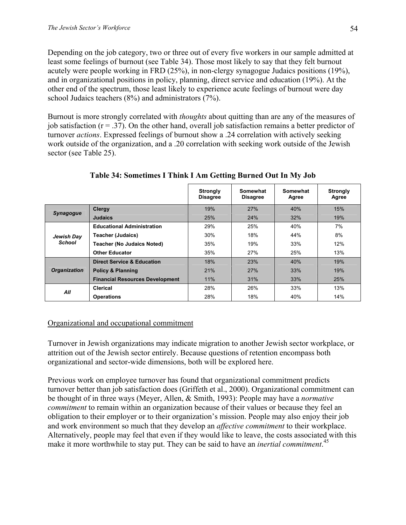Depending on the job category, two or three out of every five workers in our sample admitted at least some feelings of burnout (see Table 34). Those most likely to say that they felt burnout acutely were people working in FRD (25%), in non-clergy synagogue Judaics positions (19%), and in organizational positions in policy, planning, direct service and education (19%). At the other end of the spectrum, those least likely to experience acute feelings of burnout were day school Judaics teachers (8%) and administrators (7%).

Burnout is more strongly correlated with *thoughts* about quitting than are any of the measures of job satisfaction  $(r = .37)$ . On the other hand, overall job satisfaction remains a better predictor of turnover *actions*. Expressed feelings of burnout show a .24 correlation with actively seeking work outside of the organization, and a .20 correlation with seeking work outside of the Jewish sector (see Table 25).

|                      |                                        | <b>Strongly</b><br><b>Disagree</b> | Somewhat<br><b>Disagree</b> | Somewhat<br>Agree | Strongly<br>Agree |
|----------------------|----------------------------------------|------------------------------------|-----------------------------|-------------------|-------------------|
|                      | <b>Clergy</b>                          | 19%                                | 27%                         | 40%               | 15%               |
| <b>Synagogue</b>     | <b>Judaics</b>                         | 25%                                | 24%                         | 32%               | 19%               |
|                      | <b>Educational Administration</b>      | 29%                                | 25%                         | 40%               | 7%                |
| Jewish Day<br>School | <b>Teacher (Judaics)</b>               | 30%                                | 18%                         | 44%               | 8%                |
|                      | <b>Teacher (No Judaics Noted)</b>      | 35%                                | 19%                         | 33%               | 12%               |
|                      | <b>Other Educator</b>                  | 35%                                | 27%                         | 25%               | 13%               |
|                      | <b>Direct Service &amp; Education</b>  | 18%                                | 23%                         | 40%               | 19%               |
| <b>Organization</b>  | <b>Policy &amp; Planning</b>           | 21%                                | 27%                         | 33%               | 19%               |
|                      | <b>Financial Resources Development</b> | 11%                                | 31%                         | 33%               | 25%               |
| All                  | Clerical                               | 28%                                | 26%                         | 33%               | 13%               |
|                      | <b>Operations</b>                      | 28%                                | 18%                         | 40%               | 14%               |

**Table 34: Sometimes I Think I Am Getting Burned Out In My Job** 

## Organizational and occupational commitment

Turnover in Jewish organizations may indicate migration to another Jewish sector workplace, or attrition out of the Jewish sector entirely. Because questions of retention encompass both organizational and sector-wide dimensions, both will be explored here.

Previous work on employee turnover has found that organizational commitment predicts turnover better than job satisfaction does (Griffeth et al., 2000). Organizational commitment can be thought of in three ways (Meyer, Allen, & Smith, 1993): People may have a *normative commitment* to remain within an organization because of their values or because they feel an obligation to their employer or to their organization's mission. People may also enjoy their job and work environment so much that they develop an *affective commitment* to their workplace. Alternatively, people may feel that even if they would like to leave, the costs associated with this make it more worthwhile to stay put. They can be said to have an *inertial commitment*. 45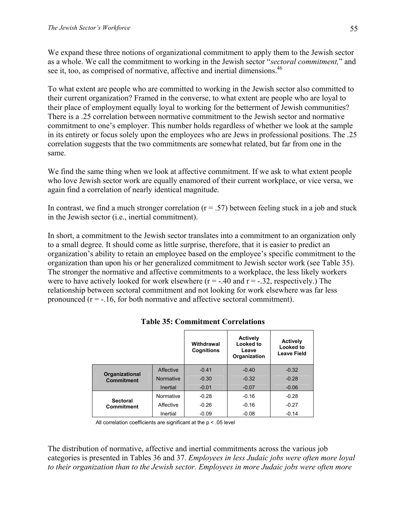We expand these three notions of organizational commitment to apply them to the Jewish sector as a whole. We call the commitment to working in the Jewish sector "*sectoral commitment,*" and see it, too, as comprised of normative, affective and inertial dimensions.<sup>46</sup>

To what extent are people who are committed to working in the Jewish sector also committed to their current organization? Framed in the converse, to what extent are people who are loyal to their place of employment equally loyal to working for the betterment of Jewish communities? There is a .25 correlation between normative commitment to the Jewish sector and normative commitment to one's employer. This number holds regardless of whether we look at the sample in its entirety or focus solely upon the employees who are Jews in professional positions. The .25 correlation suggests that the two commitments are somewhat related, but far from one in the same.

We find the same thing when we look at affective commitment. If we ask to what extent people who love Jewish sector work are equally enamored of their current workplace, or vice versa, we again find a correlation of nearly identical magnitude.

In contrast, we find a much stronger correlation  $(r = .57)$  between feeling stuck in a job and stuck in the Jewish sector (i.e., inertial commitment).

In short, a commitment to the Jewish sector translates into a commitment to an organization only to a small degree. It should come as little surprise, therefore, that it is easier to predict an organization's ability to retain an employee based on the employee's specific commitment to the organization than upon his or her generalized commitment to Jewish sector work (see Table 35). The stronger the normative and affective commitments to a workplace, the less likely workers were to have actively looked for work elsewhere  $(r = -.40$  and  $r = -.32$ , respectively.) The relationship between sectoral commitment and not looking for work elsewhere was far less pronounced  $(r = -16$ , for both normative and affective sectoral commitment).

|                                     |                  | Withdrawal<br><b>Cognitions</b> | <b>Actively</b><br>Looked to<br>Leave<br>Organization | <b>Actively</b><br>Looked to<br><b>Leave Field</b> |
|-------------------------------------|------------------|---------------------------------|-------------------------------------------------------|----------------------------------------------------|
|                                     | Affective        | $-0.41$                         | $-0.40$                                               | $-0.32$                                            |
| Organizational<br><b>Commitment</b> | <b>Normative</b> | $-0.30$                         | $-0.32$                                               | $-0.28$                                            |
|                                     | Inertial         | $-0.01$                         | $-0.07$                                               | $-0.06$                                            |
| <b>Sectoral</b>                     | Normative        | $-0.28$                         | $-0.16$                                               | $-0.28$                                            |
| Commitment                          | Affective        | $-0.26$                         | $-0.16$                                               | $-0.27$                                            |
|                                     | Inertial         | $-0.09$                         | $-0.08$                                               | $-0.14$                                            |

**Table 35: Commitment Correlations** 

All correlation coefficients are significant at the p < .05 level

The distribution of normative, affective and inertial commitments across the various job categories is presented in Tables 36 and 37. *Employees in less Judaic jobs were often more loyal to their organization than to the Jewish sector. Employees in more Judaic jobs were often more*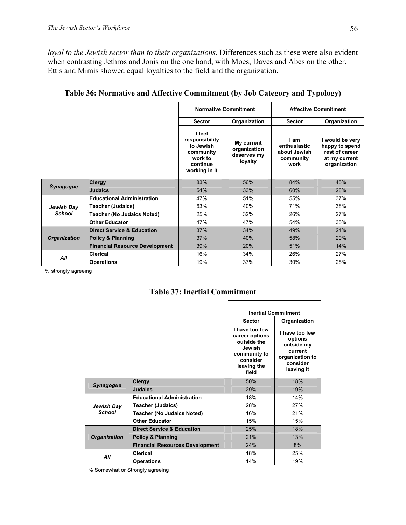*loyal to the Jewish sector than to their organizations*. Differences such as these were also evident when contrasting Jethros and Jonis on the one hand, with Moes, Daves and Abes on the other. Ettis and Mimis showed equal loyalties to the field and the organization.

|                     |                                       | <b>Normative Commitment</b>                                                                |                                                      |                                                           | <b>Affective Commitment</b>                                                          |  |
|---------------------|---------------------------------------|--------------------------------------------------------------------------------------------|------------------------------------------------------|-----------------------------------------------------------|--------------------------------------------------------------------------------------|--|
|                     |                                       | <b>Sector</b>                                                                              | Organization                                         | <b>Sector</b>                                             | Organization                                                                         |  |
|                     |                                       | I feel<br>responsibility<br>to Jewish<br>community<br>work to<br>continue<br>working in it | My current<br>organization<br>deserves my<br>loyalty | I am<br>enthusiastic<br>about Jewish<br>community<br>work | I would be very<br>happy to spend<br>rest of career<br>at my current<br>organization |  |
|                     | Clergy                                | 83%                                                                                        | 56%                                                  | 84%                                                       | 45%                                                                                  |  |
| <b>Synagogue</b>    | <b>Judaics</b>                        | 54%                                                                                        | 33%                                                  | 60%                                                       | 28%                                                                                  |  |
|                     | <b>Educational Administration</b>     | 47%                                                                                        | 51%                                                  | 55%                                                       | 37%                                                                                  |  |
| Jewish Day          | <b>Teacher (Judaics)</b>              | 63%                                                                                        | 40%                                                  | 71%                                                       | 38%                                                                                  |  |
| <b>School</b>       | <b>Teacher (No Judaics Noted)</b>     | 25%                                                                                        | 32%                                                  | 26%                                                       | 27%                                                                                  |  |
|                     | <b>Other Educator</b>                 | 47%                                                                                        | 47%                                                  | 54%                                                       | 35%                                                                                  |  |
|                     | <b>Direct Service &amp; Education</b> | 37%                                                                                        | 34%                                                  | 49%                                                       | 24%                                                                                  |  |
| <b>Organization</b> | <b>Policy &amp; Planning</b>          | 37%                                                                                        | 40%                                                  | 58%                                                       | 20%                                                                                  |  |
|                     | <b>Financial Resource Development</b> | 39%                                                                                        | 20%                                                  | 51%                                                       | 14%                                                                                  |  |
| All                 | <b>Clerical</b>                       | 16%                                                                                        | 34%                                                  | 26%                                                       | 27%                                                                                  |  |
|                     | <b>Operations</b>                     | 19%                                                                                        | 37%                                                  | 30%                                                       | 28%                                                                                  |  |

**Table 36: Normative and Affective Commitment (by Job Category and Typology)** 

% strongly agreeing

#### **Table 37: Inertial Commitment**

|                     |                                        |                                                                                                               | <b>Inertial Commitment</b>                                                                      |  |
|---------------------|----------------------------------------|---------------------------------------------------------------------------------------------------------------|-------------------------------------------------------------------------------------------------|--|
|                     |                                        | <b>Sector</b>                                                                                                 | Organization                                                                                    |  |
|                     |                                        | I have too few<br>career options<br>outside the<br>Jewish<br>community to<br>consider<br>leaving the<br>field | I have too few<br>options<br>outside my<br>current<br>organization to<br>consider<br>leaving it |  |
|                     | <b>Clergy</b>                          | 50%                                                                                                           | 18%                                                                                             |  |
| <b>Synagogue</b>    | Judaics                                | 29%                                                                                                           | 19%                                                                                             |  |
|                     | <b>Educational Administration</b>      | 18%                                                                                                           | 14%                                                                                             |  |
| Jewish Day          | <b>Teacher (Judaics)</b>               | 28%                                                                                                           | 27%                                                                                             |  |
| <b>School</b>       | <b>Teacher (No Judaics Noted)</b>      | 16%                                                                                                           | 21%                                                                                             |  |
|                     | <b>Other Educator</b>                  | 15%                                                                                                           | 15%                                                                                             |  |
|                     | <b>Direct Service &amp; Education</b>  | 25%                                                                                                           | 18%                                                                                             |  |
| <b>Organization</b> | <b>Policy &amp; Planning</b>           | 21%                                                                                                           | 13%                                                                                             |  |
|                     | <b>Financial Resources Development</b> | 24%                                                                                                           | 8%                                                                                              |  |
| All                 | Clerical                               | 18%                                                                                                           | 25%                                                                                             |  |
|                     | <b>Operations</b>                      | 14%                                                                                                           | 19%                                                                                             |  |

% Somewhat or Strongly agreeing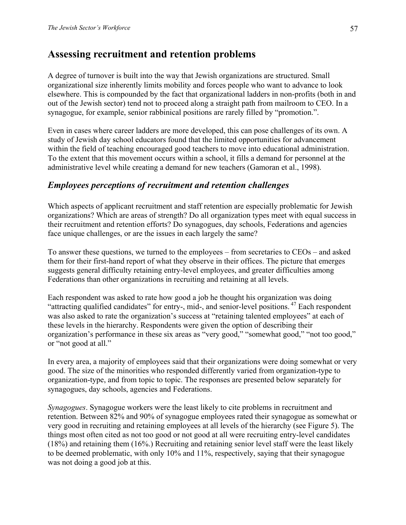# **Assessing recruitment and retention problems**

A degree of turnover is built into the way that Jewish organizations are structured. Small organizational size inherently limits mobility and forces people who want to advance to look elsewhere. This is compounded by the fact that organizational ladders in non-profits (both in and out of the Jewish sector) tend not to proceed along a straight path from mailroom to CEO. In a synagogue, for example, senior rabbinical positions are rarely filled by "promotion.".

Even in cases where career ladders are more developed, this can pose challenges of its own. A study of Jewish day school educators found that the limited opportunities for advancement within the field of teaching encouraged good teachers to move into educational administration. To the extent that this movement occurs within a school, it fills a demand for personnel at the administrative level while creating a demand for new teachers (Gamoran et al., 1998).

## *Employees perceptions of recruitment and retention challenges*

Which aspects of applicant recruitment and staff retention are especially problematic for Jewish organizations? Which are areas of strength? Do all organization types meet with equal success in their recruitment and retention efforts? Do synagogues, day schools, Federations and agencies face unique challenges, or are the issues in each largely the same?

To answer these questions, we turned to the employees – from secretaries to CEOs – and asked them for their first-hand report of what they observe in their offices. The picture that emerges suggests general difficulty retaining entry-level employees, and greater difficulties among Federations than other organizations in recruiting and retaining at all levels.

Each respondent was asked to rate how good a job he thought his organization was doing "attracting qualified candidates" for entry-, mid-, and senior-level positions.<sup>47</sup> Each respondent was also asked to rate the organization's success at "retaining talented employees" at each of these levels in the hierarchy. Respondents were given the option of describing their organization's performance in these six areas as "very good," "somewhat good," "not too good," or "not good at all."

In every area, a majority of employees said that their organizations were doing somewhat or very good. The size of the minorities who responded differently varied from organization-type to organization-type, and from topic to topic. The responses are presented below separately for synagogues, day schools, agencies and Federations.

*Synagogues*. Synagogue workers were the least likely to cite problems in recruitment and retention. Between 82% and 90% of synagogue employees rated their synagogue as somewhat or very good in recruiting and retaining employees at all levels of the hierarchy (see Figure 5). The things most often cited as not too good or not good at all were recruiting entry-level candidates (18%) and retaining them (16%.) Recruiting and retaining senior level staff were the least likely to be deemed problematic, with only 10% and 11%, respectively, saying that their synagogue was not doing a good job at this.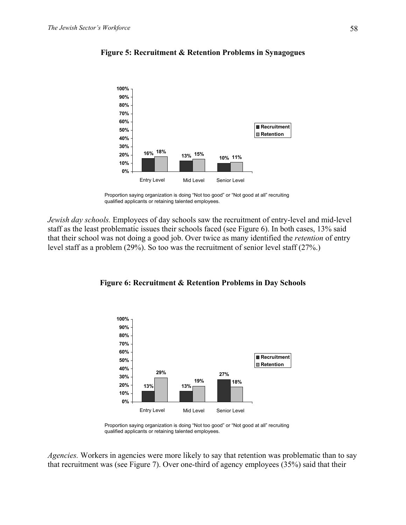

#### **Figure 5: Recruitment & Retention Problems in Synagogues**

*Jewish day schools.* Employees of day schools saw the recruitment of entry-level and mid-level staff as the least problematic issues their schools faced (see Figure 6). In both cases, 13% said that their school was not doing a good job. Over twice as many identified the *retention* of entry level staff as a problem (29%). So too was the recruitment of senior level staff (27%.)



#### **Figure 6: Recruitment & Retention Problems in Day Schools**

Proportion saying organization is doing "Not too good" or "Not good at all" recruiting qualified applicants or retaining talented employees.

*Agencies.* Workers in agencies were more likely to say that retention was problematic than to say that recruitment was (see Figure 7). Over one-third of agency employees (35%) said that their

Proportion saying organization is doing "Not too good" or "Not good at all" recruiting qualified applicants or retaining talented employees.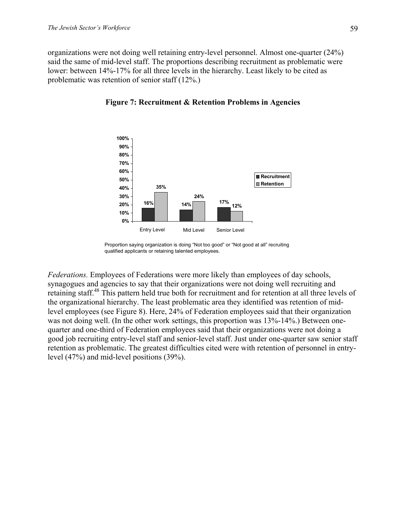organizations were not doing well retaining entry-level personnel. Almost one-quarter (24%) said the same of mid-level staff. The proportions describing recruitment as problematic were lower: between 14%-17% for all three levels in the hierarchy. Least likely to be cited as problematic was retention of senior staff (12%.)



#### **Figure 7: Recruitment & Retention Problems in Agencies**

*Federations.* Employees of Federations were more likely than employees of day schools, synagogues and agencies to say that their organizations were not doing well recruiting and retaining staff.48 This pattern held true both for recruitment and for retention at all three levels of the organizational hierarchy. The least problematic area they identified was retention of midlevel employees (see Figure 8). Here, 24% of Federation employees said that their organization was not doing well. (In the other work settings, this proportion was 13%-14%.) Between onequarter and one-third of Federation employees said that their organizations were not doing a good job recruiting entry-level staff and senior-level staff. Just under one-quarter saw senior staff retention as problematic. The greatest difficulties cited were with retention of personnel in entrylevel (47%) and mid-level positions (39%).

Proportion saying organization is doing "Not too good" or "Not good at all" recruiting qualified applicants or retaining talented employees.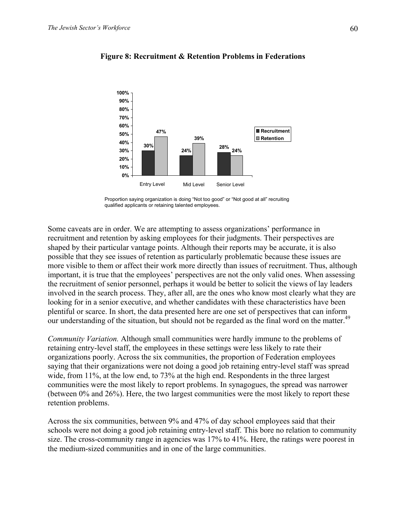

#### **Figure 8: Recruitment & Retention Problems in Federations**



Some caveats are in order. We are attempting to assess organizations' performance in recruitment and retention by asking employees for their judgments. Their perspectives are shaped by their particular vantage points. Although their reports may be accurate, it is also possible that they see issues of retention as particularly problematic because these issues are more visible to them or affect their work more directly than issues of recruitment. Thus, although important, it is true that the employees' perspectives are not the only valid ones. When assessing the recruitment of senior personnel, perhaps it would be better to solicit the views of lay leaders involved in the search process. They, after all, are the ones who know most clearly what they are looking for in a senior executive, and whether candidates with these characteristics have been plentiful or scarce. In short, the data presented here are one set of perspectives that can inform our understanding of the situation, but should not be regarded as the final word on the matter.<sup>49</sup>

*Community Variation.* Although small communities were hardly immune to the problems of retaining entry-level staff, the employees in these settings were less likely to rate their organizations poorly. Across the six communities, the proportion of Federation employees saying that their organizations were not doing a good job retaining entry-level staff was spread wide, from 11%, at the low end, to 73% at the high end. Respondents in the three largest communities were the most likely to report problems. In synagogues, the spread was narrower (between 0% and 26%). Here, the two largest communities were the most likely to report these retention problems.

Across the six communities, between 9% and 47% of day school employees said that their schools were not doing a good job retaining entry-level staff. This bore no relation to community size. The cross-community range in agencies was 17% to 41%. Here, the ratings were poorest in the medium-sized communities and in one of the large communities.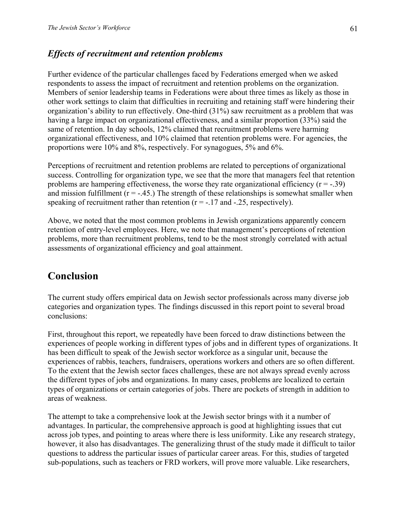## *Effects of recruitment and retention problems*

Further evidence of the particular challenges faced by Federations emerged when we asked respondents to assess the impact of recruitment and retention problems on the organization. Members of senior leadership teams in Federations were about three times as likely as those in other work settings to claim that difficulties in recruiting and retaining staff were hindering their organization's ability to run effectively. One-third (31%) saw recruitment as a problem that was having a large impact on organizational effectiveness, and a similar proportion (33%) said the same of retention. In day schools, 12% claimed that recruitment problems were harming organizational effectiveness, and 10% claimed that retention problems were. For agencies, the proportions were 10% and 8%, respectively. For synagogues, 5% and 6%.

Perceptions of recruitment and retention problems are related to perceptions of organizational success. Controlling for organization type, we see that the more that managers feel that retention problems are hampering effectiveness, the worse they rate organizational efficiency  $(r = -0.39)$ and mission fulfillment  $(r = -.45)$ . The strength of these relationships is somewhat smaller when speaking of recruitment rather than retention  $(r = -17$  and  $-25$ , respectively).

Above, we noted that the most common problems in Jewish organizations apparently concern retention of entry-level employees. Here, we note that management's perceptions of retention problems, more than recruitment problems, tend to be the most strongly correlated with actual assessments of organizational efficiency and goal attainment.

## **Conclusion**

The current study offers empirical data on Jewish sector professionals across many diverse job categories and organization types. The findings discussed in this report point to several broad conclusions:

First, throughout this report, we repeatedly have been forced to draw distinctions between the experiences of people working in different types of jobs and in different types of organizations. It has been difficult to speak of the Jewish sector workforce as a singular unit, because the experiences of rabbis, teachers, fundraisers, operations workers and others are so often different. To the extent that the Jewish sector faces challenges, these are not always spread evenly across the different types of jobs and organizations. In many cases, problems are localized to certain types of organizations or certain categories of jobs. There are pockets of strength in addition to areas of weakness.

The attempt to take a comprehensive look at the Jewish sector brings with it a number of advantages. In particular, the comprehensive approach is good at highlighting issues that cut across job types, and pointing to areas where there is less uniformity. Like any research strategy, however, it also has disadvantages. The generalizing thrust of the study made it difficult to tailor questions to address the particular issues of particular career areas. For this, studies of targeted sub-populations, such as teachers or FRD workers, will prove more valuable. Like researchers,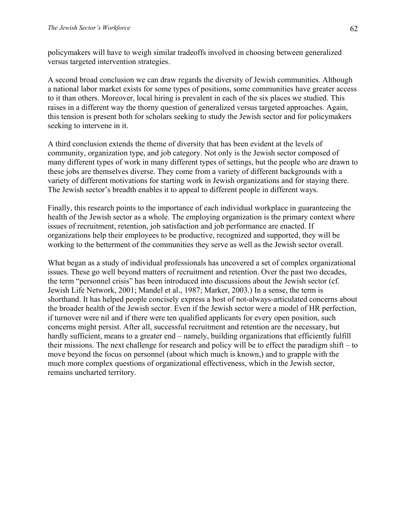policymakers will have to weigh similar tradeoffs involved in choosing between generalized versus targeted intervention strategies.

A second broad conclusion we can draw regards the diversity of Jewish communities. Although a national labor market exists for some types of positions, some communities have greater access to it than others. Moreover, local hiring is prevalent in each of the six places we studied. This raises in a different way the thorny question of generalized versus targeted approaches. Again, this tension is present both for scholars seeking to study the Jewish sector and for policymakers seeking to intervene in it.

A third conclusion extends the theme of diversity that has been evident at the levels of community, organization type, and job category. Not only is the Jewish sector composed of many different types of work in many different types of settings, but the people who are drawn to these jobs are themselves diverse. They come from a variety of different backgrounds with a variety of different motivations for starting work in Jewish organizations and for staying there. The Jewish sector's breadth enables it to appeal to different people in different ways.

Finally, this research points to the importance of each individual workplace in guaranteeing the health of the Jewish sector as a whole. The employing organization is the primary context where issues of recruitment, retention, job satisfaction and job performance are enacted. If organizations help their employees to be productive, recognized and supported, they will be working to the betterment of the communities they serve as well as the Jewish sector overall.

What began as a study of individual professionals has uncovered a set of complex organizational issues. These go well beyond matters of recruitment and retention. Over the past two decades, the term "personnel crisis" has been introduced into discussions about the Jewish sector (cf. Jewish Life Network, 2001; Mandel et al., 1987; Marker, 2003.) In a sense, the term is shorthand. It has helped people concisely express a host of not-always-articulated concerns about the broader health of the Jewish sector. Even if the Jewish sector were a model of HR perfection, if turnover were nil and if there were ten qualified applicants for every open position, such concerns might persist. After all, successful recruitment and retention are the necessary, but hardly sufficient, means to a greater end – namely, building organizations that efficiently fulfill their missions. The next challenge for research and policy will be to effect the paradigm shift – to move beyond the focus on personnel (about which much is known,) and to grapple with the much more complex questions of organizational effectiveness, which in the Jewish sector, remains uncharted territory.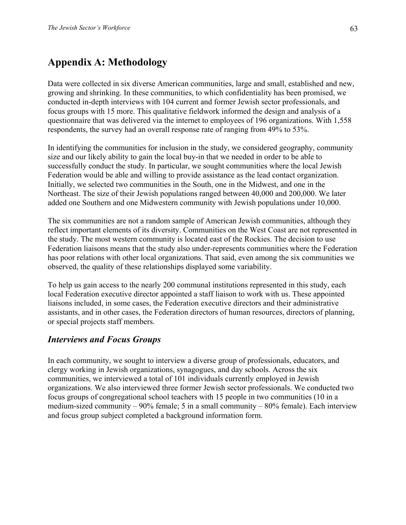# **Appendix A: Methodology**

Data were collected in six diverse American communities, large and small, established and new, growing and shrinking. In these communities, to which confidentiality has been promised, we conducted in-depth interviews with 104 current and former Jewish sector professionals, and focus groups with 15 more. This qualitative fieldwork informed the design and analysis of a questionnaire that was delivered via the internet to employees of 196 organizations. With 1,558 respondents, the survey had an overall response rate of ranging from 49% to 53%.

In identifying the communities for inclusion in the study, we considered geography, community size and our likely ability to gain the local buy-in that we needed in order to be able to successfully conduct the study. In particular, we sought communities where the local Jewish Federation would be able and willing to provide assistance as the lead contact organization. Initially, we selected two communities in the South, one in the Midwest, and one in the Northeast. The size of their Jewish populations ranged between 40,000 and 200,000. We later added one Southern and one Midwestern community with Jewish populations under 10,000.

The six communities are not a random sample of American Jewish communities, although they reflect important elements of its diversity. Communities on the West Coast are not represented in the study. The most western community is located east of the Rockies. The decision to use Federation liaisons means that the study also under-represents communities where the Federation has poor relations with other local organizations. That said, even among the six communities we observed, the quality of these relationships displayed some variability.

To help us gain access to the nearly 200 communal institutions represented in this study, each local Federation executive director appointed a staff liaison to work with us. These appointed liaisons included, in some cases, the Federation executive directors and their administrative assistants, and in other cases, the Federation directors of human resources, directors of planning, or special projects staff members.

## *Interviews and Focus Groups*

In each community, we sought to interview a diverse group of professionals, educators, and clergy working in Jewish organizations, synagogues, and day schools. Across the six communities, we interviewed a total of 101 individuals currently employed in Jewish organizations. We also interviewed three former Jewish sector professionals. We conducted two focus groups of congregational school teachers with 15 people in two communities (10 in a medium-sized community – 90% female; 5 in a small community – 80% female). Each interview and focus group subject completed a background information form.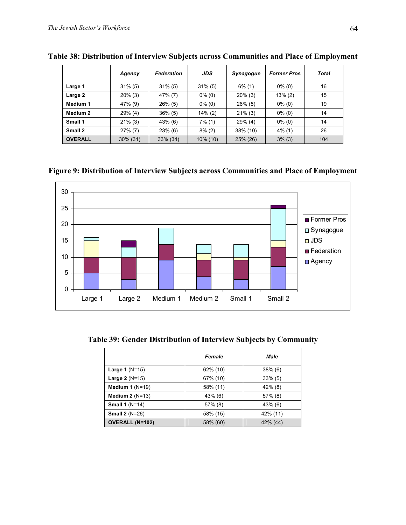|                | Agency     | <b>Federation</b> | <b>JDS</b> | <b>Synagogue</b> | <b>Former Pros</b> | <b>Total</b> |
|----------------|------------|-------------------|------------|------------------|--------------------|--------------|
| Large 1        | $31\%$ (5) | $31\%$ (5)        | $31\%$ (5) | $6\%$ (1)        | $0\%$ (0)          | 16           |
| Large 2        | $20\%$ (3) | 47% (7)           | $0\%$ (0)  | $20\%$ (3)       | $13\%(2)$          | 15           |
| Medium 1       | 47% (9)    | 26% (5)           | $0\%$ (0)  | $26\%$ (5)       | $0\%$ (0)          | 19           |
| Medium 2       | 29% (4)    | $36\%$ (5)        | $14\%$ (2) | $21\%$ (3)       | $0\%$ (0)          | 14           |
| Small 1        | $21\%$ (3) | 43% (6)           | $7\%$ (1)  | $29\%$ (4)       | $0\%$ (0)          | 14           |
| Small 2        | $27\%$ (7) | 23% (6)           | $8\%$ (2)  | 38% (10)         | $4\%$ (1)          | 26           |
| <b>OVERALL</b> | 30% (31)   | 33% (34)          | 10% (10)   | 25% (26)         | 3% (3)             | 104          |

**Table 38: Distribution of Interview Subjects across Communities and Place of Employment** 

**Figure 9: Distribution of Interview Subjects across Communities and Place of Employment** 



**Table 39: Gender Distribution of Interview Subjects by Community** 

|                           | <b>Female</b> | Male       |
|---------------------------|---------------|------------|
| Large $1(N=15)$           | 62% (10)      | $38\%$ (6) |
| <b>Large 2</b> ( $N=15$ ) | 67% (10)      | $33\%$ (5) |
| Medium 1 $(N=19)$         | 58% (11)      | $42\%$ (8) |
| Medium $2(N=13)$          | $43\%$ (6)    | $57\%$ (8) |
| Small $1(N=14)$           | $57\%$ (8)    | $43\%$ (6) |
| Small $2(N=26)$           | 58% (15)      | 42% (11)   |
| <b>OVERALL (N=102)</b>    | 58% (60)      | 42% (44)   |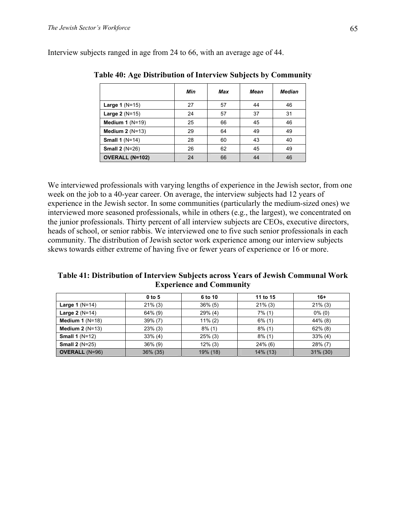|                        | Min | Max | Mean | <b>Median</b> |
|------------------------|-----|-----|------|---------------|
| Large 1 $(N=15)$       | 27  | 57  | 44   | 46            |
| Large 2 (N=15)         | 24  | 57  | 37   | 31            |
| Medium 1 $(N=19)$      | 25  | 66  | 45   | 46            |
| Medium $2(N=13)$       | 29  | 64  | 49   | 49            |
| <b>Small 1 (N=14)</b>  | 28  | 60  | 43   | 40            |
| <b>Small 2 (N=26)</b>  | 26  | 62  | 45   | 49            |
| <b>OVERALL (N=102)</b> | 24  | 66  | 44   | 46            |

Interview subjects ranged in age from 24 to 66, with an average age of 44.

**Table 40: Age Distribution of Interview Subjects by Community** 

We interviewed professionals with varying lengths of experience in the Jewish sector, from one week on the job to a 40-year career. On average, the interview subjects had 12 years of experience in the Jewish sector. In some communities (particularly the medium-sized ones) we interviewed more seasoned professionals, while in others (e.g., the largest), we concentrated on the junior professionals. Thirty percent of all interview subjects are CEOs, executive directors, heads of school, or senior rabbis. We interviewed one to five such senior professionals in each community. The distribution of Jewish sector work experience among our interview subjects skews towards either extreme of having five or fewer years of experience or 16 or more.

**Table 41: Distribution of Interview Subjects across Years of Jewish Communal Work Experience and Community** 

|                       | $0$ to 5   | 6 to 10    | 11 to 15   | $16+$       |
|-----------------------|------------|------------|------------|-------------|
| Large 1 $(N=14)$      | $21\%$ (3) | $36\%$ (5) | $21\%$ (3) | $21\%$ (3)  |
| Large $2(N=14)$       | $64\%$ (9) | $29\%$ (4) | $7\%$ (1)  | $0\%$ (0)   |
| Medium 1 $(N=18)$     | $39\%$ (7) | $11\%$ (2) | $6\%$ (1)  | $44\%$ (8)  |
| Medium $2(N=13)$      | $23\%$ (3) | $8\%$ (1)  | $8\%$ (1)  | $62\%$ (8)  |
| Small $1(N=12)$       | $33\%$ (4) | $25\%$ (3) | $8\%$ (1)  | $33\%$ (4)  |
| <b>Small 2 (N=25)</b> | $36\%$ (9) | $12\%$ (3) | $24\%$ (6) | $28\%$ (7)  |
| <b>OVERALL (N=96)</b> | 36% (35)   | 19% (18)   | 14% (13)   | $31\%$ (30) |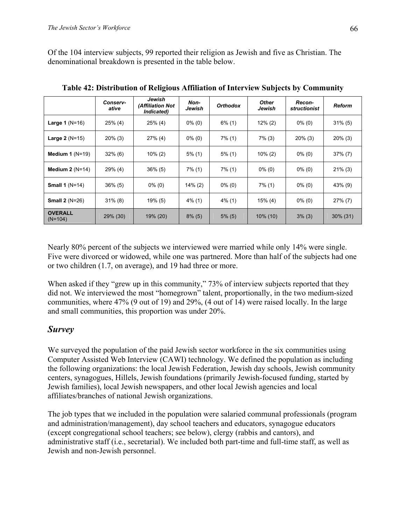Of the 104 interview subjects, 99 reported their religion as Jewish and five as Christian. The denominational breakdown is presented in the table below.

|                             | Conserv-<br>ative | Jewish<br><b><i>(Affiliation Not</i></b><br>Indicated) | Non-<br>Jewish         | <b>Orthodox</b> | <b>Other</b><br>Jewish | Recon-<br><i>structionist</i> | Reform      |
|-----------------------------|-------------------|--------------------------------------------------------|------------------------|-----------------|------------------------|-------------------------------|-------------|
| Large 1 $(N=16)$            | $25\%$ (4)        | $25\%$ (4)                                             | $0\%$ (0)              | $6\%$ (1)       | $12\%$ (2)             | $0\%$ (0)                     | $31\%$ (5)  |
| <b>Large 2</b> $(N=15)$     | $20\%$ (3)        | $27\%$ (4)                                             | $0\%$ (0)<br>$7\%$ (1) |                 | $7\%$ (3)              | $20\%$ (3)                    | $20\%$ (3)  |
| Medium 1 $(N=19)$           | $32\%$ (6)        | $10\%$ (2)                                             | $5\%$ (1)              | $5\%$ (1)       | $10\%$ (2)             | $0\%$ (0)                     | $37\% (7)$  |
| Medium $2(N=14)$            | $29\%$ (4)        | $36\%$ (5)                                             | $7\%$ (1)              | $7\%$ (1)       | $0\%$ (0)              | $0\%$ (0)                     | $21\%$ (3)  |
| Small $1(N=14)$             | $36\%$ (5)        | $0\%$ (0)                                              | $14\%$ (2)             | $0\%$ (0)       | $7\%$ (1)              | $0\%$ (0)                     | 43% (9)     |
| <b>Small 2 (N=26)</b>       | $31\%$ (8)        | $19\%$ (5)                                             | $4\%$ (1)              | $4\%$ (1)       | $15\%$ (4)             | $0\%$ (0)                     | $27\%$ (7)  |
| <b>OVERALL</b><br>$(N=104)$ | 29% (30)          | 19% (20)                                               | $8\%$ (5)              | $5\%$ (5)       | $10\%$ (10)            | $3\%$ (3)                     | $30\%$ (31) |

**Table 42: Distribution of Religious Affiliation of Interview Subjects by Community** 

Nearly 80% percent of the subjects we interviewed were married while only 14% were single. Five were divorced or widowed, while one was partnered. More than half of the subjects had one or two children (1.7, on average), and 19 had three or more.

When asked if they "grew up in this community," 73% of interview subjects reported that they did not. We interviewed the most "homegrown" talent, proportionally, in the two medium-sized communities, where 47% (9 out of 19) and 29%, (4 out of 14) were raised locally. In the large and small communities, this proportion was under 20%.

## *Survey*

We surveyed the population of the paid Jewish sector workforce in the six communities using Computer Assisted Web Interview (CAWI) technology. We defined the population as including the following organizations: the local Jewish Federation, Jewish day schools, Jewish community centers, synagogues, Hillels, Jewish foundations (primarily Jewish-focused funding, started by Jewish families), local Jewish newspapers, and other local Jewish agencies and local affiliates/branches of national Jewish organizations.

The job types that we included in the population were salaried communal professionals (program and administration/management), day school teachers and educators, synagogue educators (except congregational school teachers; see below), clergy (rabbis and cantors), and administrative staff (i.e., secretarial). We included both part-time and full-time staff, as well as Jewish and non-Jewish personnel.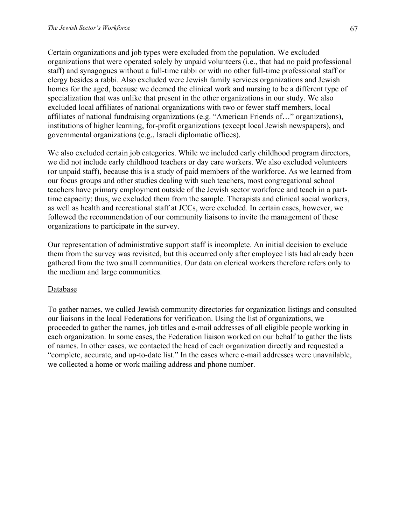Certain organizations and job types were excluded from the population. We excluded organizations that were operated solely by unpaid volunteers (i.e., that had no paid professional staff) and synagogues without a full-time rabbi or with no other full-time professional staff or clergy besides a rabbi. Also excluded were Jewish family services organizations and Jewish homes for the aged, because we deemed the clinical work and nursing to be a different type of specialization that was unlike that present in the other organizations in our study. We also excluded local affiliates of national organizations with two or fewer staff members, local affiliates of national fundraising organizations (e.g. "American Friends of…" organizations), institutions of higher learning, for-profit organizations (except local Jewish newspapers), and governmental organizations (e.g., Israeli diplomatic offices).

We also excluded certain job categories. While we included early childhood program directors, we did not include early childhood teachers or day care workers. We also excluded volunteers (or unpaid staff), because this is a study of paid members of the workforce. As we learned from our focus groups and other studies dealing with such teachers, most congregational school teachers have primary employment outside of the Jewish sector workforce and teach in a parttime capacity; thus, we excluded them from the sample. Therapists and clinical social workers, as well as health and recreational staff at JCCs, were excluded. In certain cases, however, we followed the recommendation of our community liaisons to invite the management of these organizations to participate in the survey.

Our representation of administrative support staff is incomplete. An initial decision to exclude them from the survey was revisited, but this occurred only after employee lists had already been gathered from the two small communities. Our data on clerical workers therefore refers only to the medium and large communities.

### Database

To gather names, we culled Jewish community directories for organization listings and consulted our liaisons in the local Federations for verification. Using the list of organizations, we proceeded to gather the names, job titles and e-mail addresses of all eligible people working in each organization. In some cases, the Federation liaison worked on our behalf to gather the lists of names. In other cases, we contacted the head of each organization directly and requested a "complete, accurate, and up-to-date list." In the cases where e-mail addresses were unavailable, we collected a home or work mailing address and phone number.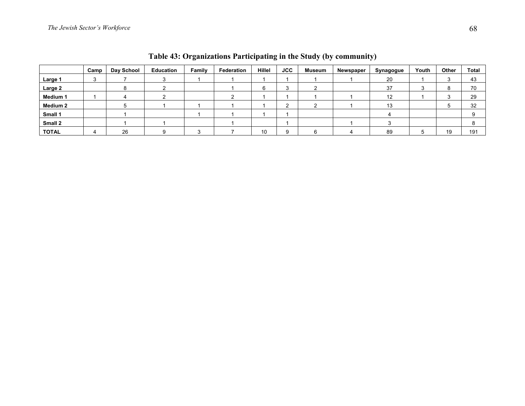|                 | Camp | Day School | Education | Family | Federation | <b>Hillel</b> | <b>JCC</b> | <b>Museum</b> | Newspaper | Synagogue | Youth | Other   | <b>Total</b> |
|-----------------|------|------------|-----------|--------|------------|---------------|------------|---------------|-----------|-----------|-------|---------|--------------|
| Large 1         |      |            |           |        |            |               |            |               |           | 20        |       |         | 43           |
| Large 2         |      |            |           |        |            |               | c          |               |           | 37        |       | $\circ$ | 70           |
| <b>Medium 1</b> |      |            |           |        |            |               |            |               |           | 12        |       |         | 29           |
| <b>Medium 2</b> |      |            |           |        |            |               | ີ          |               |           | 40<br>10  |       |         | 32           |
| Small 1         |      |            |           |        |            |               |            |               |           |           |       |         |              |
| Small 2         |      |            |           |        |            |               |            |               |           |           |       |         |              |
| <b>TOTAL</b>    |      | 26         |           |        |            | 10            | 9          |               |           | 89        |       | 19      | 191          |

**Table 43: Organizations Participating in the Study (by community)**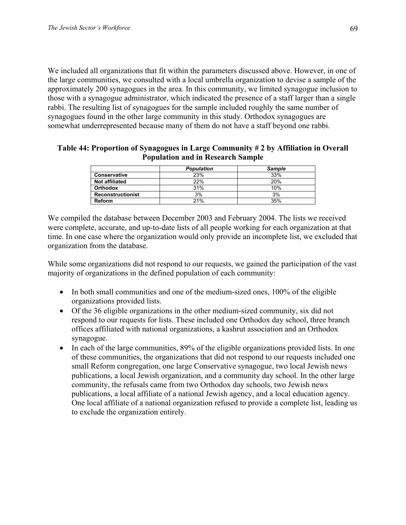We included all organizations that fit within the parameters discussed above. However, in one of the large communities, we consulted with a local umbrella organization to devise a sample of the approximately 200 synagogues in the area. In this community, we limited synagogue inclusion to those with a synagogue administrator, which indicated the presence of a staff larger than a single rabbi. The resulting list of synagogues for the sample included roughly the same number of synagogues found in the other large community in this study. Orthodox synagogues are somewhat underrepresented because many of them do not have a staff beyond one rabbi.

#### **Table 44: Proportion of Synagogues in Large Community # 2 by Affiliation in Overall Population and in Research Sample**

|                          | <b>Population</b> | <b>Sample</b> |
|--------------------------|-------------------|---------------|
| <b>Conservative</b>      | 23%               | 33%           |
| <b>Not affiliated</b>    | 22%               | 20%           |
| <b>Orthodox</b>          | 31%               | 10%           |
| <b>Reconstructionist</b> | 3%                | 3%            |
| <b>Reform</b>            | 21%               | 35%           |

We compiled the database between December 2003 and February 2004. The lists we received were complete, accurate, and up-to-date lists of all people working for each organization at that time. In one case where the organization would only provide an incomplete list, we excluded that organization from the database.

While some organizations did not respond to our requests, we gained the participation of the vast majority of organizations in the defined population of each community:

- In both small communities and one of the medium-sized ones, 100% of the eligible organizations provided lists.
- Of the 36 eligible organizations in the other medium-sized community, six did not respond to our requests for lists. These included one Orthodox day school, three branch offices affiliated with national organizations, a kashrut association and an Orthodox synagogue.
- In each of the large communities, 89% of the eligible organizations provided lists. In one of these communities, the organizations that did not respond to our requests included one small Reform congregation, one large Conservative synagogue, two local Jewish news publications, a local Jewish organization, and a community day school. In the other large community, the refusals came from two Orthodox day schools, two Jewish news publications, a local affiliate of a national Jewish agency, and a local education agency. One local affiliate of a national organization refused to provide a complete list, leading us to exclude the organization entirely.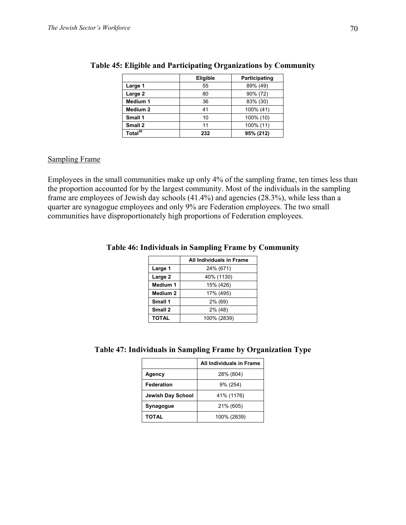|                     | Eligible | Participating |
|---------------------|----------|---------------|
| Large 1             | 55       | 89% (49)      |
| Large 2             | 80       | 90% (72)      |
| Medium 1            | 36       | 83% (30)      |
| Medium 2            | 41       | 100% (41)     |
| Small 1             | 10       | 100% (10)     |
| Small 2             | 11       | 100% (11)     |
| Total <sup>50</sup> | 232      | 95% (212)     |

#### **Table 45: Eligible and Participating Organizations by Community**

#### Sampling Frame

Employees in the small communities make up only 4% of the sampling frame, ten times less than the proportion accounted for by the largest community. Most of the individuals in the sampling frame are employees of Jewish day schools (41.4%) and agencies (28.3%), while less than a quarter are synagogue employees and only 9% are Federation employees. The two small communities have disproportionately high proportions of Federation employees.

|                     | <b>All Individuals in Frame</b> |
|---------------------|---------------------------------|
| Large 1             | 24% (671)                       |
| Large 2             | 40% (1130)                      |
| <b>Medium 1</b>     | 15% (426)                       |
| Medium <sub>2</sub> | 17% (495)                       |
| Small 1             | 2% (69)                         |
| Small 2             | $2\%$ (48)                      |
| <b>TOTAL</b>        | 100% (2839)                     |

#### **Table 46: Individuals in Sampling Frame by Community**

#### **Table 47: Individuals in Sampling Frame by Organization Type**

|                          | All Individuals in Frame |
|--------------------------|--------------------------|
| Agency                   | 28% (804)                |
| Federation               | 9% (254)                 |
| <b>Jewish Day School</b> | 41% (1176)               |
| Synagogue                | 21% (605)                |
| <b>TOTAL</b>             | 100% (2839)              |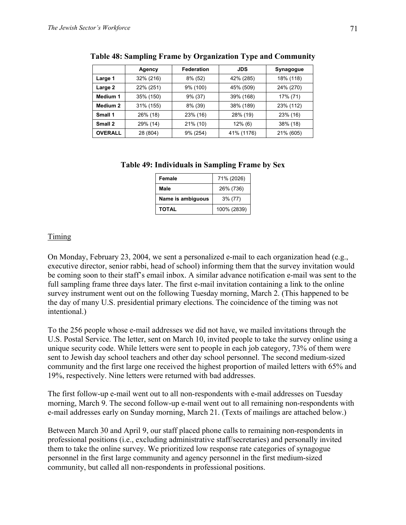|                | Agency    | <b>Federation</b> | <b>JDS</b> | Synagogue |
|----------------|-----------|-------------------|------------|-----------|
| Large 1        | 32% (216) | 8% (52)           | 42% (285)  | 18% (118) |
| Large 2        | 22% (251) | 9% (100)          | 45% (509)  | 24% (270) |
| Medium 1       | 35% (150) | $9\%$ (37)        | 39% (168)  | 17% (71)  |
| Medium 2       | 31% (155) | 8% (39)           | 38% (189)  | 23% (112) |
| Small 1        | 26% (18)  | 23% (16)          | 28% (19)   | 23% (16)  |
| Small 2        | 29% (14)  | $21\%$ (10)       | $12\%$ (6) | 38% (18)  |
| <b>OVERALL</b> | 28 (804)  | 9% (254)          | 41% (1176) | 21% (605) |

**Table 48: Sampling Frame by Organization Type and Community** 

#### **Table 49: Individuals in Sampling Frame by Sex**

| Female            | 71% (2026)  |
|-------------------|-------------|
| Male              | 26% (736)   |
| Name is ambiguous | $3\%$ (77)  |
| <b>TOTAL</b>      | 100% (2839) |

### **Timing**

On Monday, February 23, 2004, we sent a personalized e-mail to each organization head (e.g., executive director, senior rabbi, head of school) informing them that the survey invitation would be coming soon to their staff's email inbox. A similar advance notification e-mail was sent to the full sampling frame three days later. The first e-mail invitation containing a link to the online survey instrument went out on the following Tuesday morning, March 2. (This happened to be the day of many U.S. presidential primary elections. The coincidence of the timing was not intentional.)

To the 256 people whose e-mail addresses we did not have, we mailed invitations through the U.S. Postal Service. The letter, sent on March 10, invited people to take the survey online using a unique security code. While letters were sent to people in each job category, 73% of them were sent to Jewish day school teachers and other day school personnel. The second medium-sized community and the first large one received the highest proportion of mailed letters with 65% and 19%, respectively. Nine letters were returned with bad addresses.

The first follow-up e-mail went out to all non-respondents with e-mail addresses on Tuesday morning, March 9. The second follow-up e-mail went out to all remaining non-respondents with e-mail addresses early on Sunday morning, March 21. (Texts of mailings are attached below.)

Between March 30 and April 9, our staff placed phone calls to remaining non-respondents in professional positions (i.e., excluding administrative staff/secretaries) and personally invited them to take the online survey. We prioritized low response rate categories of synagogue personnel in the first large community and agency personnel in the first medium-sized community, but called all non-respondents in professional positions.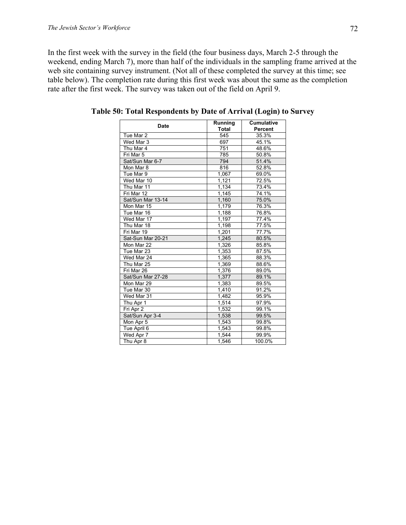In the first week with the survey in the field (the four business days, March 2-5 through the weekend, ending March 7), more than half of the individuals in the sampling frame arrived at the web site containing survey instrument. (Not all of these completed the survey at this time; see table below). The completion rate during this first week was about the same as the completion rate after the first week. The survey was taken out of the field on April 9.

| <b>Date</b>       | Running      | <b>Cumulative</b><br><b>Percent</b> |  |
|-------------------|--------------|-------------------------------------|--|
|                   | Total<br>545 |                                     |  |
| Tue Mar 2         |              | 35.3%                               |  |
| Wed Mar 3         | 697          | 45.1%                               |  |
| Thu Mar 4         | 751          | 48.6%                               |  |
| Fri Mar 5         | 785          | 50.8%                               |  |
| Sat/Sun Mar 6-7   | 794          | 51.4%                               |  |
| Mon Mar 8         | 816          | 52.8%                               |  |
| Tue Mar 9         | 1,067        | 69.0%                               |  |
| Wed Mar 10        | 1,121        | 72.5%                               |  |
| Thu Mar 11        | 1,134        | 73.4%                               |  |
| Fri Mar 12        | 1,145        | 74.1%                               |  |
| Sat/Sun Mar 13-14 | 1,160        | 75.0%                               |  |
| Mon Mar 15        | 1,179        | 76.3%                               |  |
| Tue Mar 16        | 1,188        | 76.8%                               |  |
| Wed Mar 17        | 1,197        | 77.4%                               |  |
| Thu Mar 18        | 1,198        | $77.\overline{5\%}$                 |  |
| Fri Mar 19        | 1,201        | 77.7%                               |  |
| Sat-Sun Mar 20-21 | 1,245        | 80.5%                               |  |
| Mon Mar 22        | 1,326        | 85.8%                               |  |
| Tue Mar 23        | 1.353        | 87.5%                               |  |
| Wed Mar 24        | 1,365        | 88.3%                               |  |
| Thu Mar 25        | 1,369        | 88.6%                               |  |
| Fri Mar 26        | 1,376        | 89.0%                               |  |
| Sat/Sun Mar 27-28 | 1.377        | 89.1%                               |  |
| Mon Mar 29        | 1,383        | 89.5%                               |  |
| Tue Mar 30        | 1,410        | 91.2%                               |  |
| Wed Mar 31        | 1,482        | 95.9%                               |  |
| Thu Apr 1         | 1,514        | 97.9%                               |  |
| Fri Apr 2         | 1,532        | 99.1%                               |  |
| Sat/Sun Apr 3-4   | 1,538        | 99.5%                               |  |
| Mon Apr 5         | 1,543        | 99.8%                               |  |
| Tue April 6       | 1,543        | 99.8%                               |  |
| Wed Apr 7         | 1,544        | 99.9%                               |  |
| Thu Apr 8         | 1.546        | 100.0%                              |  |

**Table 50: Total Respondents by Date of Arrival (Login) to Survey**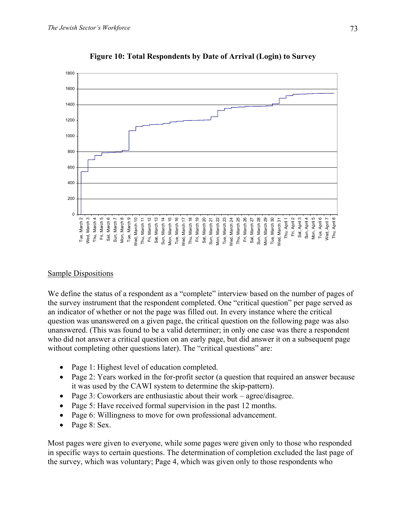

**Figure 10: Total Respondents by Date of Arrival (Login) to Survey** 

#### Sample Dispositions

We define the status of a respondent as a "complete" interview based on the number of pages of the survey instrument that the respondent completed. One "critical question" per page served as an indicator of whether or not the page was filled out. In every instance where the critical question was unanswered on a given page, the critical question on the following page was also unanswered. (This was found to be a valid determiner; in only one case was there a respondent who did not answer a critical question on an early page, but did answer it on a subsequent page without completing other questions later). The "critical questions" are:

- Page 1: Highest level of education completed.
- Page 2: Years worked in the for-profit sector (a question that required an answer because it was used by the CAWI system to determine the skip-pattern).
- Page 3: Coworkers are enthusiastic about their work agree/disagree.
- Page 5: Have received formal supervision in the past 12 months.
- Page 6: Willingness to move for own professional advancement.
- Page 8: Sex.

Most pages were given to everyone, while some pages were given only to those who responded in specific ways to certain questions. The determination of completion excluded the last page of the survey, which was voluntary; Page 4, which was given only to those respondents who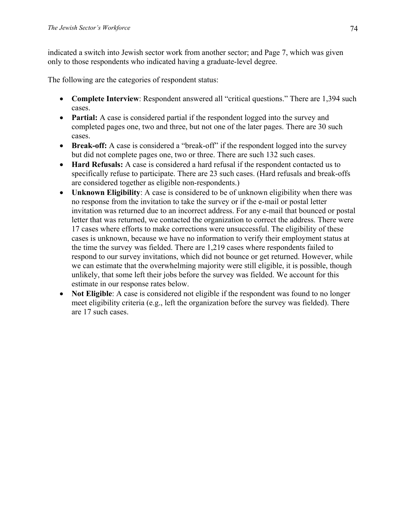indicated a switch into Jewish sector work from another sector; and Page 7, which was given only to those respondents who indicated having a graduate-level degree.

The following are the categories of respondent status:

- **Complete Interview**: Respondent answered all "critical questions." There are 1,394 such cases.
- **Partial:** A case is considered partial if the respondent logged into the survey and completed pages one, two and three, but not one of the later pages. There are 30 such cases.
- **Break-off:** A case is considered a "break-off" if the respondent logged into the survey but did not complete pages one, two or three. There are such 132 such cases.
- **Hard Refusals:** A case is considered a hard refusal if the respondent contacted us to specifically refuse to participate. There are 23 such cases. (Hard refusals and break-offs are considered together as eligible non-respondents.)
- **Unknown Eligibility**: A case is considered to be of unknown eligibility when there was no response from the invitation to take the survey or if the e-mail or postal letter invitation was returned due to an incorrect address. For any e-mail that bounced or postal letter that was returned, we contacted the organization to correct the address. There were 17 cases where efforts to make corrections were unsuccessful. The eligibility of these cases is unknown, because we have no information to verify their employment status at the time the survey was fielded. There are 1,219 cases where respondents failed to respond to our survey invitations, which did not bounce or get returned. However, while we can estimate that the overwhelming majority were still eligible, it is possible, though unlikely, that some left their jobs before the survey was fielded. We account for this estimate in our response rates below.
- **Not Eligible**: A case is considered not eligible if the respondent was found to no longer meet eligibility criteria (e.g., left the organization before the survey was fielded). There are 17 such cases.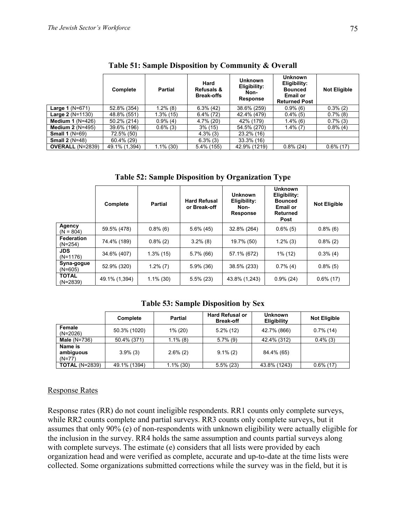|                           | Complete      | <b>Partial</b> | Hard<br><b>Refusals &amp;</b><br><b>Break-offs</b> | <b>Unknown</b><br>Eligibility:<br>Non-<br>Response | <b>Unknown</b><br>Eligibility:<br><b>Bounced</b><br><b>Email or</b><br><b>Returned Post</b> | <b>Not Eligible</b> |  |
|---------------------------|---------------|----------------|----------------------------------------------------|----------------------------------------------------|---------------------------------------------------------------------------------------------|---------------------|--|
| <b>Large 1</b> $(N=671)$  | 52.8% (354)   | $1.2\%$ (8)    | $6.3\%$ (42)                                       | 38.6% (259)                                        | $0.9\%$ (6)                                                                                 | $0.3\%(2)$          |  |
| <b>Large 2</b> $(N=1130)$ | 48.8% (551)   | $1.3\%$ (15)   | $6.4\%$ (72)                                       | 42.4% (479)                                        | $0.4\%$ (5)                                                                                 | $0.7\%$ (8)         |  |
| Medium 1 $(N=426)$        | 50.2% (214)   | $0.9\%$ (4)    | 4.7% (20)                                          | 42% (179)                                          | $1.4\%$ (6)                                                                                 | $0.7\%$ (3)         |  |
| Medium $2(N=495)$         | 39.6% (196)   | $0.6\%$ (3)    | $3\%$ (15)                                         | 54.5% (270)                                        | $1.4\%$ (7)                                                                                 | $0.8\%$ (4)         |  |
| Small $1(N=69)$           | 72.5% (50)    |                | $4.3\%$ (3)                                        | 23.2% (16)                                         |                                                                                             |                     |  |
| Small $2(N=48)$           | 60.4% (29)    |                | $6.3\%$ (3)                                        | 33.3% (16)                                         |                                                                                             |                     |  |
| <b>OVERALL (N=2839)</b>   | 49.1% (1,394) | $1.1\%$ (30)   | 5.4% (155)                                         | 42.9% (1219)                                       | $0.8\%$ (24)                                                                                | $0.6\%$ (17)        |  |

**Table 52: Sample Disposition by Organization Type** 

|                                | Complete      | <b>Partial</b> | <b>Hard Refusal</b><br>or Break-off | Unknown<br>Eligibility:<br>Non-<br><b>Response</b> | <b>Unknown</b><br>Eligibility:<br><b>Bounced</b><br><b>Email or</b><br>Returned<br>Post | <b>Not Eligible</b> |
|--------------------------------|---------------|----------------|-------------------------------------|----------------------------------------------------|-----------------------------------------------------------------------------------------|---------------------|
| Agency<br>$(N = 804)$          | 59.5% (478)   | $0.8\%$ (6)    | $5.6\%$ (45)                        | 32.8% (264)                                        | $0.6\%$ (5)                                                                             | $0.8\%$ (6)         |
| <b>Federation</b><br>$(N=254)$ | 74.4% (189)   | $0.8\%$ (2)    | $3.2\%$ (8)                         | 19.7% (50)                                         | $1.2\%$ (3)                                                                             | $0.8\%$ (2)         |
| <b>JDS</b><br>$(N=1176)$       | 34.6% (407)   | $1.3\%$ (15)   | $5.7\%$ (66)                        | 57.1% (672)                                        | 1% (12)                                                                                 | $0.3\%$ (4)         |
| Syna-gogue<br>$(N=605)$        | 52.9% (320)   | $1.2\%$ (7)    | $5.9\%$ (36)                        | 38.5% (233)                                        | $0.7\%$ (4)                                                                             | $0.8\%$ (5)         |
| <b>TOTAL</b><br>$(N=2839)$     | 49.1% (1,394) | $1.1\%$ (30)   | $5.5\%$ (23)                        | 43.8% (1,243)                                      | $0.9\%$ (24)                                                                            | $0.6\%$ (17)        |

**Table 53: Sample Disposition by Sex** 

|                                  | Complete     | <b>Partial</b> | <b>Hard Refusal or</b><br><b>Break-off</b> | <b>Unknown</b><br>Eligibility | <b>Not Eligible</b> |
|----------------------------------|--------------|----------------|--------------------------------------------|-------------------------------|---------------------|
| Female<br>$(N=2026)$             | 50.3% (1020) | $1\%$ (20)     | $5.2\%$ (12)                               | 42.7% (866)                   | $0.7\%$ (14)        |
| Male $(N=736)$                   | 50.4% (371)  | $1.1\%$ (8)    | $5.7\%$ (9)                                | 42.4% (312)                   | $0.4\%$ (3)         |
| Name is<br>ambiguous<br>$(N=77)$ | $3.9\%$ (3)  | $2.6\%$ (2)    | $9.1\%(2)$                                 | 84.4% (65)                    |                     |
| <b>TOTAL (N=2839)</b>            | 49.1% (1394) | $1.1\%$ (30)   | $5.5\%$ (23)                               | 43.8% (1243)                  | $0.6\%$ (17)        |

#### Response Rates

Response rates (RR) do not count ineligible respondents. RR1 counts only complete surveys, while RR2 counts complete and partial surveys. RR3 counts only complete surveys, but it assumes that only 90% (e) of non-respondents with unknown eligibility were actually eligible for the inclusion in the survey. RR4 holds the same assumption and counts partial surveys along with complete surveys. The estimate (e) considers that all lists were provided by each organization head and were verified as complete, accurate and up-to-date at the time lists were collected. Some organizations submitted corrections while the survey was in the field, but it is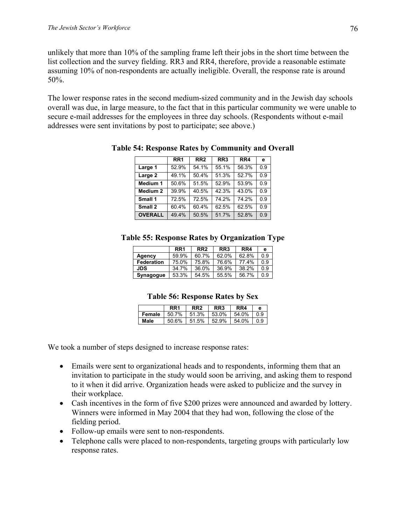unlikely that more than 10% of the sampling frame left their jobs in the short time between the list collection and the survey fielding. RR3 and RR4, therefore, provide a reasonable estimate assuming 10% of non-respondents are actually ineligible. Overall, the response rate is around 50%.

The lower response rates in the second medium-sized community and in the Jewish day schools overall was due, in large measure, to the fact that in this particular community we were unable to secure e-mail addresses for the employees in three day schools. (Respondents without e-mail addresses were sent invitations by post to participate; see above.)

|                     | RR <sub>1</sub> | RR <sub>2</sub> | RR <sub>3</sub> | RR4   | е   |
|---------------------|-----------------|-----------------|-----------------|-------|-----|
| Large 1             | 52.9%           | 54.1%           | 55.1%           | 56.3% | 0.9 |
| Large 2             | 49.1%           | 50.4%           | 51.3%           | 52.7% | 0.9 |
| Medium 1            | 50.6%           | 51.5%           | 52.9%           | 53.9% | 0 9 |
| Medium <sub>2</sub> | 39.9%           | 40.5%           | 42.3%           | 43.0% | 0.9 |
| Small 1             | 72.5%           | 72.5%           | 74.2%           | 74.2% | 0.9 |
| Small 2             | 60.4%           | 60.4%           | 62.5%           | 62.5% | 09  |
| <b>OVERALL</b>      | 49.4%           | 50.5%           | 51.7%           | 52.8% | 0.9 |

**Table 54: Response Rates by Community and Overall** 

#### **Table 55: Response Rates by Organization Type**

|            | RR <sub>1</sub> | RR <sub>2</sub> | RR <sub>3</sub> | RR4   | е   |
|------------|-----------------|-----------------|-----------------|-------|-----|
| Agency     | 59.9%           | 60.7%           | 62.0%           | 62.8% | 0.9 |
| Federation | 75.0%           | 75.8%           | 76.6%           | 774%  | ი 9 |
| <b>JDS</b> | 34.7%           | 36.0%           | 36.9%           | 38.2% | ი 9 |
| Synagogue  | 53.3%           | 54.5%           | 55.5%           | 56.7% | 0.9 |

#### **Table 56: Response Rates by Sex**

|        | RR <sub>1</sub> | RR <sub>2</sub> | RR <sub>3</sub> | RR4   | е   |
|--------|-----------------|-----------------|-----------------|-------|-----|
| Female | 50.7%           | 51.3%           | 53.0%           | 54.0% | 0 9 |
| Male   | 50.6%           | 51.5%           | 52.9%           | 54.0% | 0 9 |

We took a number of steps designed to increase response rates:

- Emails were sent to organizational heads and to respondents, informing them that an invitation to participate in the study would soon be arriving, and asking them to respond to it when it did arrive. Organization heads were asked to publicize and the survey in their workplace.
- Cash incentives in the form of five \$200 prizes were announced and awarded by lottery. Winners were informed in May 2004 that they had won, following the close of the fielding period.
- Follow-up emails were sent to non-respondents.
- Telephone calls were placed to non-respondents, targeting groups with particularly low response rates.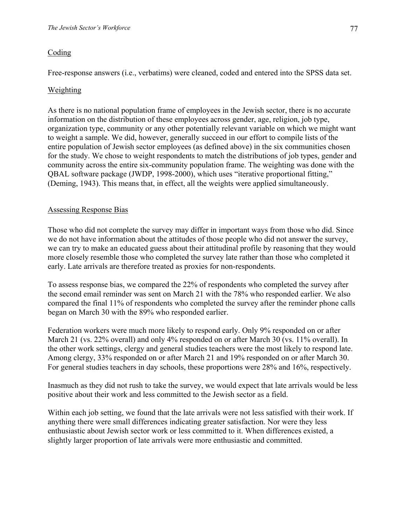## **Coding**

Free-response answers (i.e., verbatims) were cleaned, coded and entered into the SPSS data set.

## Weighting

As there is no national population frame of employees in the Jewish sector, there is no accurate information on the distribution of these employees across gender, age, religion, job type, organization type, community or any other potentially relevant variable on which we might want to weight a sample. We did, however, generally succeed in our effort to compile lists of the entire population of Jewish sector employees (as defined above) in the six communities chosen for the study. We chose to weight respondents to match the distributions of job types, gender and community across the entire six-community population frame. The weighting was done with the QBAL software package (JWDP, 1998-2000), which uses "iterative proportional fitting," (Deming, 1943). This means that, in effect, all the weights were applied simultaneously.

### Assessing Response Bias

Those who did not complete the survey may differ in important ways from those who did. Since we do not have information about the attitudes of those people who did not answer the survey, we can try to make an educated guess about their attitudinal profile by reasoning that they would more closely resemble those who completed the survey late rather than those who completed it early. Late arrivals are therefore treated as proxies for non-respondents.

To assess response bias, we compared the 22% of respondents who completed the survey after the second email reminder was sent on March 21 with the 78% who responded earlier. We also compared the final 11% of respondents who completed the survey after the reminder phone calls began on March 30 with the 89% who responded earlier.

Federation workers were much more likely to respond early. Only 9% responded on or after March 21 (vs. 22% overall) and only 4% responded on or after March 30 (vs. 11% overall). In the other work settings, clergy and general studies teachers were the most likely to respond late. Among clergy, 33% responded on or after March 21 and 19% responded on or after March 30. For general studies teachers in day schools, these proportions were 28% and 16%, respectively.

Inasmuch as they did not rush to take the survey, we would expect that late arrivals would be less positive about their work and less committed to the Jewish sector as a field.

Within each job setting, we found that the late arrivals were not less satisfied with their work. If anything there were small differences indicating greater satisfaction. Nor were they less enthusiastic about Jewish sector work or less committed to it. When differences existed, a slightly larger proportion of late arrivals were more enthusiastic and committed.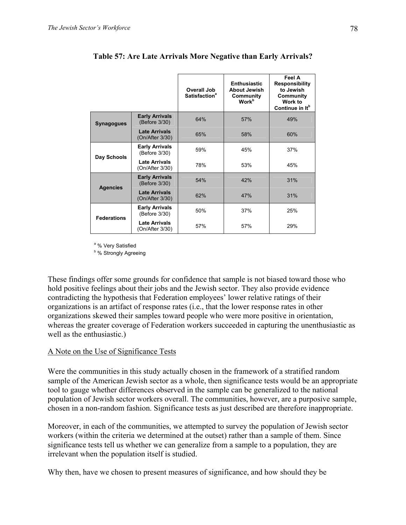|                    |                                         | Overall Job<br><b>Satisfaction<sup>a</sup></b> | <b>Enthusiastic</b><br><b>About Jewish</b><br>Community<br><b>Work</b> <sup>b</sup> | Feel A<br><b>Responsibility</b><br>to Jewish<br>Community<br>Work to<br>Continue in It <sup>b</sup> |
|--------------------|-----------------------------------------|------------------------------------------------|-------------------------------------------------------------------------------------|-----------------------------------------------------------------------------------------------------|
| <b>Synagogues</b>  | <b>Early Arrivals</b><br>(Before 3/30)  | 64%                                            | 57%                                                                                 | 49%                                                                                                 |
|                    | <b>Late Arrivals</b><br>(On/After 3/30) | 65%                                            | 58%                                                                                 | 60%                                                                                                 |
| Day Schools        | <b>Early Arrivals</b><br>(Before 3/30)  | 59%                                            | 45%                                                                                 | 37%                                                                                                 |
|                    | <b>Late Arrivals</b><br>(On/After 3/30) | 78%                                            | 53%                                                                                 | 45%                                                                                                 |
| <b>Agencies</b>    | <b>Early Arrivals</b><br>(Before 3/30)  | 54%                                            | 42%                                                                                 | 31%                                                                                                 |
|                    | <b>Late Arrivals</b><br>(On/After 3/30) | 62%                                            | 47%                                                                                 | 31%                                                                                                 |
| <b>Federations</b> | <b>Early Arrivals</b><br>(Before 3/30)  | 50%                                            | 37%                                                                                 | 25%                                                                                                 |
|                    | <b>Late Arrivals</b><br>(On/After 3/30) | 57%                                            | 57%                                                                                 | 29%                                                                                                 |

#### **Table 57: Are Late Arrivals More Negative than Early Arrivals?**

<sup>a</sup> % Very Satisfied

<sup>b</sup>% Strongly Agreeing

These findings offer some grounds for confidence that sample is not biased toward those who hold positive feelings about their jobs and the Jewish sector. They also provide evidence contradicting the hypothesis that Federation employees' lower relative ratings of their organizations is an artifact of response rates (i.e., that the lower response rates in other organizations skewed their samples toward people who were more positive in orientation, whereas the greater coverage of Federation workers succeeded in capturing the unenthusiastic as well as the enthusiastic.)

#### A Note on the Use of Significance Tests

Were the communities in this study actually chosen in the framework of a stratified random sample of the American Jewish sector as a whole, then significance tests would be an appropriate tool to gauge whether differences observed in the sample can be generalized to the national population of Jewish sector workers overall. The communities, however, are a purposive sample, chosen in a non-random fashion. Significance tests as just described are therefore inappropriate.

Moreover, in each of the communities, we attempted to survey the population of Jewish sector workers (within the criteria we determined at the outset) rather than a sample of them. Since significance tests tell us whether we can generalize from a sample to a population, they are irrelevant when the population itself is studied.

Why then, have we chosen to present measures of significance, and how should they be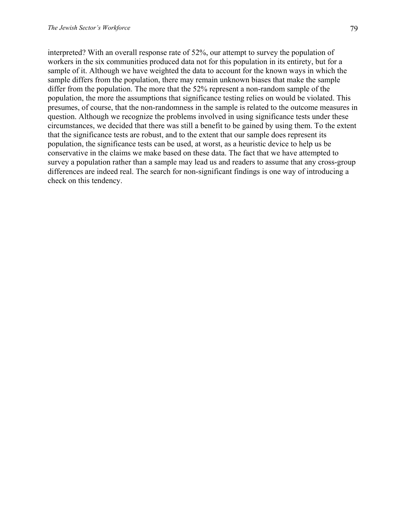interpreted? With an overall response rate of 52%, our attempt to survey the population of workers in the six communities produced data not for this population in its entirety, but for a sample of it. Although we have weighted the data to account for the known ways in which the sample differs from the population, there may remain unknown biases that make the sample differ from the population. The more that the 52% represent a non-random sample of the population, the more the assumptions that significance testing relies on would be violated. This presumes, of course, that the non-randomness in the sample is related to the outcome measures in question. Although we recognize the problems involved in using significance tests under these circumstances, we decided that there was still a benefit to be gained by using them. To the extent that the significance tests are robust, and to the extent that our sample does represent its population, the significance tests can be used, at worst, as a heuristic device to help us be conservative in the claims we make based on these data. The fact that we have attempted to survey a population rather than a sample may lead us and readers to assume that any cross-group differences are indeed real. The search for non-significant findings is one way of introducing a check on this tendency.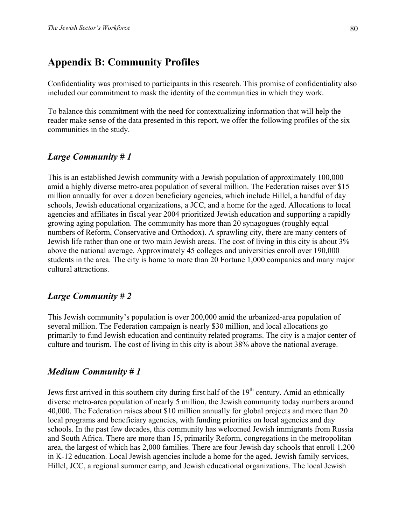## **Appendix B: Community Profiles**

Confidentiality was promised to participants in this research. This promise of confidentiality also included our commitment to mask the identity of the communities in which they work.

To balance this commitment with the need for contextualizing information that will help the reader make sense of the data presented in this report, we offer the following profiles of the six communities in the study.

### *Large Community # 1*

This is an established Jewish community with a Jewish population of approximately 100,000 amid a highly diverse metro-area population of several million. The Federation raises over \$15 million annually for over a dozen beneficiary agencies, which include Hillel, a handful of day schools, Jewish educational organizations, a JCC, and a home for the aged. Allocations to local agencies and affiliates in fiscal year 2004 prioritized Jewish education and supporting a rapidly growing aging population. The community has more than 20 synagogues (roughly equal numbers of Reform, Conservative and Orthodox). A sprawling city, there are many centers of Jewish life rather than one or two main Jewish areas. The cost of living in this city is about 3% above the national average. Approximately 45 colleges and universities enroll over 190,000 students in the area. The city is home to more than 20 Fortune 1,000 companies and many major cultural attractions.

### *Large Community # 2*

This Jewish community's population is over 200,000 amid the urbanized-area population of several million. The Federation campaign is nearly \$30 million, and local allocations go primarily to fund Jewish education and continuity related programs. The city is a major center of culture and tourism. The cost of living in this city is about 38% above the national average.

### *Medium Community # 1*

Jews first arrived in this southern city during first half of the  $19<sup>th</sup>$  century. Amid an ethnically diverse metro-area population of nearly 5 million, the Jewish community today numbers around 40,000. The Federation raises about \$10 million annually for global projects and more than 20 local programs and beneficiary agencies, with funding priorities on local agencies and day schools. In the past few decades, this community has welcomed Jewish immigrants from Russia and South Africa. There are more than 15, primarily Reform, congregations in the metropolitan area, the largest of which has 2,000 families. There are four Jewish day schools that enroll 1,200 in K-12 education. Local Jewish agencies include a home for the aged, Jewish family services, Hillel, JCC, a regional summer camp, and Jewish educational organizations. The local Jewish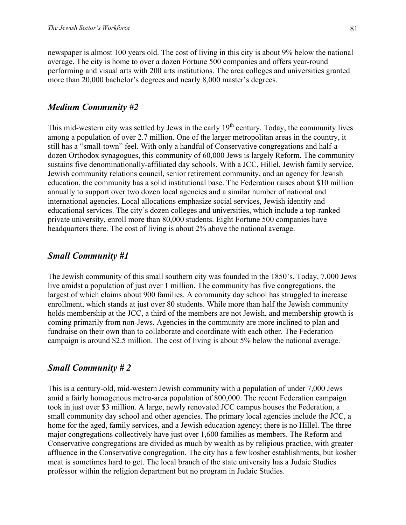newspaper is almost 100 years old. The cost of living in this city is about 9% below the national average. The city is home to over a dozen Fortune 500 companies and offers year-round performing and visual arts with 200 arts institutions. The area colleges and universities granted more than 20,000 bachelor's degrees and nearly 8,000 master's degrees.

### *Medium Community #2*

This mid-western city was settled by Jews in the early  $19<sup>th</sup>$  century. Today, the community lives among a population of over 2.7 million. One of the larger metropolitan areas in the country, it still has a "small-town" feel. With only a handful of Conservative congregations and half-adozen Orthodox synagogues, this community of 60,000 Jews is largely Reform. The community sustains five denominationally-affiliated day schools. With a JCC, Hillel, Jewish family service, Jewish community relations council, senior retirement community, and an agency for Jewish education, the community has a solid institutional base. The Federation raises about \$10 million annually to support over two dozen local agencies and a similar number of national and international agencies. Local allocations emphasize social services, Jewish identity and educational services. The city's dozen colleges and universities, which include a top-ranked private university, enroll more than 80,000 students. Eight Fortune 500 companies have headquarters there. The cost of living is about 2% above the national average.

### *Small Community #1*

The Jewish community of this small southern city was founded in the 1850's. Today, 7,000 Jews live amidst a population of just over 1 million. The community has five congregations, the largest of which claims about 900 families. A community day school has struggled to increase enrollment, which stands at just over 80 students. While more than half the Jewish community holds membership at the JCC, a third of the members are not Jewish, and membership growth is coming primarily from non-Jews. Agencies in the community are more inclined to plan and fundraise on their own than to collaborate and coordinate with each other. The Federation campaign is around \$2.5 million. The cost of living is about 5% below the national average.

### *Small Community # 2*

This is a century-old, mid-western Jewish community with a population of under 7,000 Jews amid a fairly homogenous metro-area population of 800,000. The recent Federation campaign took in just over \$3 million. A large, newly renovated JCC campus houses the Federation, a small community day school and other agencies. The primary local agencies include the JCC, a home for the aged, family services, and a Jewish education agency; there is no Hillel. The three major congregations collectively have just over 1,600 families as members. The Reform and Conservative congregations are divided as much by wealth as by religious practice, with greater affluence in the Conservative congregation. The city has a few kosher establishments, but kosher meat is sometimes hard to get. The local branch of the state university has a Judaic Studies professor within the religion department but no program in Judaic Studies.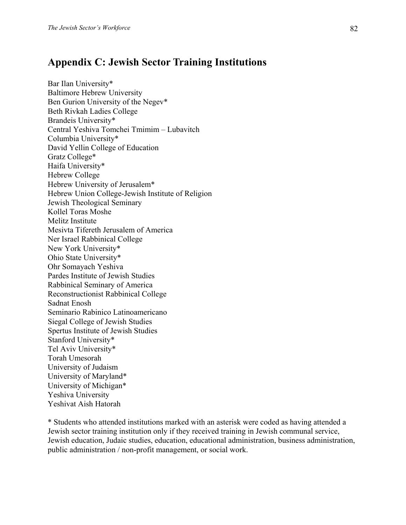## **Appendix C: Jewish Sector Training Institutions**

Bar Ilan University\* Baltimore Hebrew University Ben Gurion University of the Negev\* Beth Rivkah Ladies College Brandeis University\* Central Yeshiva Tomchei Tmimim – Lubavitch Columbia University\* David Yellin College of Education Gratz College\* Haifa University\* Hebrew College Hebrew University of Jerusalem\* Hebrew Union College-Jewish Institute of Religion Jewish Theological Seminary Kollel Toras Moshe Melitz Institute Mesivta Tifereth Jerusalem of America Ner Israel Rabbinical College New York University\* Ohio State University\* Ohr Somayach Yeshiva Pardes Institute of Jewish Studies Rabbinical Seminary of America Reconstructionist Rabbinical College Sadnat Enosh Seminario Rabinico Latinoamericano Siegal College of Jewish Studies Spertus Institute of Jewish Studies Stanford University\* Tel Aviv University\* Torah Umesorah University of Judaism University of Maryland\* University of Michigan\* Yeshiva University Yeshivat Aish Hatorah

\* Students who attended institutions marked with an asterisk were coded as having attended a Jewish sector training institution only if they received training in Jewish communal service, Jewish education, Judaic studies, education, educational administration, business administration, public administration / non-profit management, or social work.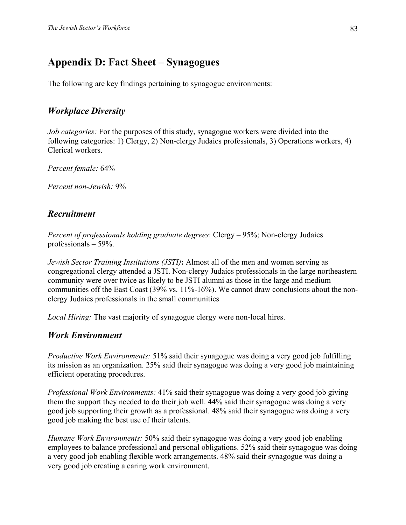# **Appendix D: Fact Sheet – Synagogues**

The following are key findings pertaining to synagogue environments:

## *Workplace Diversity*

*Job categories:* For the purposes of this study, synagogue workers were divided into the following categories: 1) Clergy, 2) Non-clergy Judaics professionals, 3) Operations workers, 4) Clerical workers.

*Percent female:* 64%

*Percent non-Jewish:* 9%

## *Recruitment*

*Percent of professionals holding graduate degrees*: Clergy – 95%; Non-clergy Judaics professionals – 59%.

*Jewish Sector Training Institutions (JSTI)***:** Almost all of the men and women serving as congregational clergy attended a JSTI. Non-clergy Judaics professionals in the large northeastern community were over twice as likely to be JSTI alumni as those in the large and medium communities off the East Coast (39% vs. 11%-16%). We cannot draw conclusions about the nonclergy Judaics professionals in the small communities

*Local Hiring:* The vast majority of synagogue clergy were non-local hires.

## *Work Environment*

*Productive Work Environments:* 51% said their synagogue was doing a very good job fulfilling its mission as an organization. 25% said their synagogue was doing a very good job maintaining efficient operating procedures.

*Professional Work Environments:* 41% said their synagogue was doing a very good job giving them the support they needed to do their job well. 44% said their synagogue was doing a very good job supporting their growth as a professional. 48% said their synagogue was doing a very good job making the best use of their talents.

*Humane Work Environments:* 50% said their synagogue was doing a very good job enabling employees to balance professional and personal obligations. 52% said their synagogue was doing a very good job enabling flexible work arrangements. 48% said their synagogue was doing a very good job creating a caring work environment.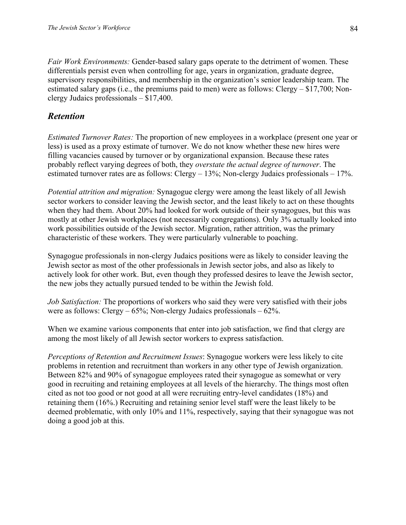*Fair Work Environments:* Gender-based salary gaps operate to the detriment of women. These differentials persist even when controlling for age, years in organization, graduate degree, supervisory responsibilities, and membership in the organization's senior leadership team. The estimated salary gaps (i.e., the premiums paid to men) were as follows: Clergy – \$17,700; Nonclergy Judaics professionals – \$17,400.

## *Retention*

*Estimated Turnover Rates:* The proportion of new employees in a workplace (present one year or less) is used as a proxy estimate of turnover. We do not know whether these new hires were filling vacancies caused by turnover or by organizational expansion. Because these rates probably reflect varying degrees of both, they *overstate the actual degree of turnover*. The estimated turnover rates are as follows: Clergy – 13%; Non-clergy Judaics professionals – 17%.

*Potential attrition and migration:* Synagogue clergy were among the least likely of all Jewish sector workers to consider leaving the Jewish sector, and the least likely to act on these thoughts when they had them. About 20% had looked for work outside of their synagogues, but this was mostly at other Jewish workplaces (not necessarily congregations). Only 3% actually looked into work possibilities outside of the Jewish sector. Migration, rather attrition, was the primary characteristic of these workers. They were particularly vulnerable to poaching.

Synagogue professionals in non-clergy Judaics positions were as likely to consider leaving the Jewish sector as most of the other professionals in Jewish sector jobs, and also as likely to actively look for other work. But, even though they professed desires to leave the Jewish sector, the new jobs they actually pursued tended to be within the Jewish fold.

*Job Satisfaction:* The proportions of workers who said they were very satisfied with their jobs were as follows: Clergy – 65%; Non-clergy Judaics professionals – 62%.

When we examine various components that enter into job satisfaction, we find that clergy are among the most likely of all Jewish sector workers to express satisfaction.

*Perceptions of Retention and Recruitment Issues*: Synagogue workers were less likely to cite problems in retention and recruitment than workers in any other type of Jewish organization. Between 82% and 90% of synagogue employees rated their synagogue as somewhat or very good in recruiting and retaining employees at all levels of the hierarchy. The things most often cited as not too good or not good at all were recruiting entry-level candidates (18%) and retaining them (16%.) Recruiting and retaining senior level staff were the least likely to be deemed problematic, with only 10% and 11%, respectively, saying that their synagogue was not doing a good job at this.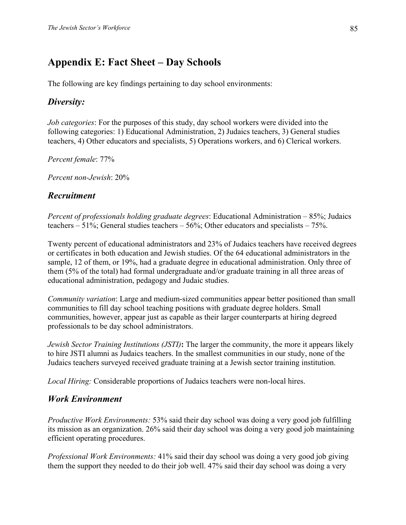# **Appendix E: Fact Sheet – Day Schools**

The following are key findings pertaining to day school environments:

## *Diversity:*

*Job categories*: For the purposes of this study, day school workers were divided into the following categories: 1) Educational Administration, 2) Judaics teachers, 3) General studies teachers, 4) Other educators and specialists, 5) Operations workers, and 6) Clerical workers.

*Percent female*: 77%

*Percent non-Jewish*: 20%

## *Recruitment*

*Percent of professionals holding graduate degrees*: Educational Administration – 85%; Judaics teachers –  $51\%$ ; General studies teachers –  $56\%$ ; Other educators and specialists –  $75\%$ .

Twenty percent of educational administrators and 23% of Judaics teachers have received degrees or certificates in both education and Jewish studies. Of the 64 educational administrators in the sample, 12 of them, or 19%, had a graduate degree in educational administration. Only three of them (5% of the total) had formal undergraduate and/or graduate training in all three areas of educational administration, pedagogy and Judaic studies.

*Community variation*: Large and medium-sized communities appear better positioned than small communities to fill day school teaching positions with graduate degree holders. Small communities, however, appear just as capable as their larger counterparts at hiring degreed professionals to be day school administrators.

*Jewish Sector Training Institutions (JSTI)***:** The larger the community, the more it appears likely to hire JSTI alumni as Judaics teachers. In the smallest communities in our study, none of the Judaics teachers surveyed received graduate training at a Jewish sector training institution.

*Local Hiring:* Considerable proportions of Judaics teachers were non-local hires.

## *Work Environment*

*Productive Work Environments:* 53% said their day school was doing a very good job fulfilling its mission as an organization. 26% said their day school was doing a very good job maintaining efficient operating procedures.

*Professional Work Environments:* 41% said their day school was doing a very good job giving them the support they needed to do their job well. 47% said their day school was doing a very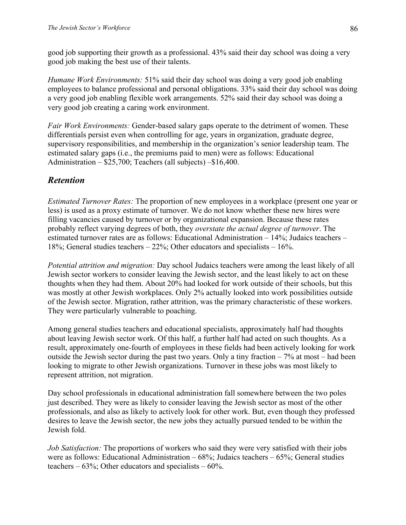good job supporting their growth as a professional. 43% said their day school was doing a very good job making the best use of their talents.

*Humane Work Environments:* 51% said their day school was doing a very good job enabling employees to balance professional and personal obligations. 33% said their day school was doing a very good job enabling flexible work arrangements. 52% said their day school was doing a very good job creating a caring work environment.

*Fair Work Environments:* Gender-based salary gaps operate to the detriment of women. These differentials persist even when controlling for age, years in organization, graduate degree, supervisory responsibilities, and membership in the organization's senior leadership team. The estimated salary gaps (i.e., the premiums paid to men) were as follows: Educational Administration – \$25,700; Teachers (all subjects) –\$16,400.

## *Retention*

*Estimated Turnover Rates:* The proportion of new employees in a workplace (present one year or less) is used as a proxy estimate of turnover. We do not know whether these new hires were filling vacancies caused by turnover or by organizational expansion. Because these rates probably reflect varying degrees of both, they *overstate the actual degree of turnover*. The estimated turnover rates are as follows: Educational Administration – 14%; Judaics teachers – 18%; General studies teachers – 22%; Other educators and specialists – 16%.

*Potential attrition and migration:* Day school Judaics teachers were among the least likely of all Jewish sector workers to consider leaving the Jewish sector, and the least likely to act on these thoughts when they had them. About 20% had looked for work outside of their schools, but this was mostly at other Jewish workplaces. Only 2% actually looked into work possibilities outside of the Jewish sector. Migration, rather attrition, was the primary characteristic of these workers. They were particularly vulnerable to poaching.

Among general studies teachers and educational specialists, approximately half had thoughts about leaving Jewish sector work. Of this half, a further half had acted on such thoughts. As a result, approximately one-fourth of employees in these fields had been actively looking for work outside the Jewish sector during the past two years. Only a tiny fraction  $-7\%$  at most – had been looking to migrate to other Jewish organizations. Turnover in these jobs was most likely to represent attrition, not migration.

Day school professionals in educational administration fall somewhere between the two poles just described. They were as likely to consider leaving the Jewish sector as most of the other professionals, and also as likely to actively look for other work. But, even though they professed desires to leave the Jewish sector, the new jobs they actually pursued tended to be within the Jewish fold.

*Job Satisfaction:* The proportions of workers who said they were very satisfied with their jobs were as follows: Educational Administration – 68%; Judaics teachers – 65%; General studies teachers –  $63\%$ ; Other educators and specialists –  $60\%$ .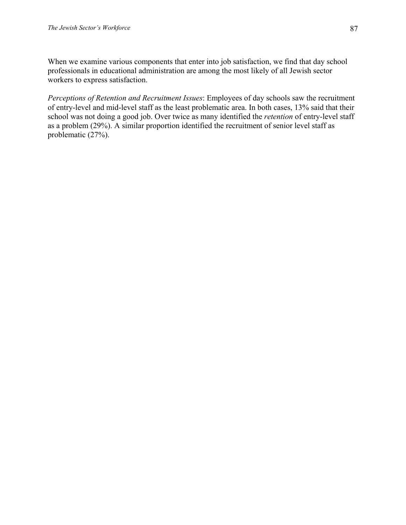When we examine various components that enter into job satisfaction, we find that day school professionals in educational administration are among the most likely of all Jewish sector workers to express satisfaction.

*Perceptions of Retention and Recruitment Issues*: Employees of day schools saw the recruitment of entry-level and mid-level staff as the least problematic area. In both cases, 13% said that their school was not doing a good job. Over twice as many identified the *retention* of entry-level staff as a problem (29%). A similar proportion identified the recruitment of senior level staff as problematic (27%).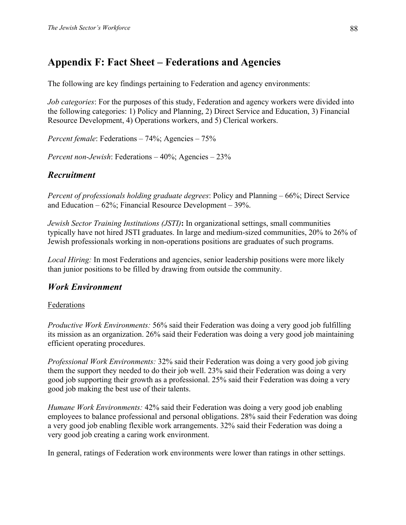# **Appendix F: Fact Sheet – Federations and Agencies**

The following are key findings pertaining to Federation and agency environments:

*Job categories*: For the purposes of this study, Federation and agency workers were divided into the following categories: 1) Policy and Planning, 2) Direct Service and Education, 3) Financial Resource Development, 4) Operations workers, and 5) Clerical workers.

*Percent female*: Federations – 74%; Agencies – 75%

*Percent non-Jewish*: Federations – 40%; Agencies – 23%

## *Recruitment*

*Percent of professionals holding graduate degrees*: Policy and Planning – 66%; Direct Service and Education – 62%; Financial Resource Development – 39%.

*Jewish Sector Training Institutions (JSTI)***:** In organizational settings, small communities typically have not hired JSTI graduates. In large and medium-sized communities, 20% to 26% of Jewish professionals working in non-operations positions are graduates of such programs.

*Local Hiring:* In most Federations and agencies, senior leadership positions were more likely than junior positions to be filled by drawing from outside the community.

## *Work Environment*

### Federations

*Productive Work Environments:* 56% said their Federation was doing a very good job fulfilling its mission as an organization. 26% said their Federation was doing a very good job maintaining efficient operating procedures.

*Professional Work Environments:* 32% said their Federation was doing a very good job giving them the support they needed to do their job well. 23% said their Federation was doing a very good job supporting their growth as a professional. 25% said their Federation was doing a very good job making the best use of their talents.

*Humane Work Environments:* 42% said their Federation was doing a very good job enabling employees to balance professional and personal obligations. 28% said their Federation was doing a very good job enabling flexible work arrangements. 32% said their Federation was doing a very good job creating a caring work environment.

In general, ratings of Federation work environments were lower than ratings in other settings.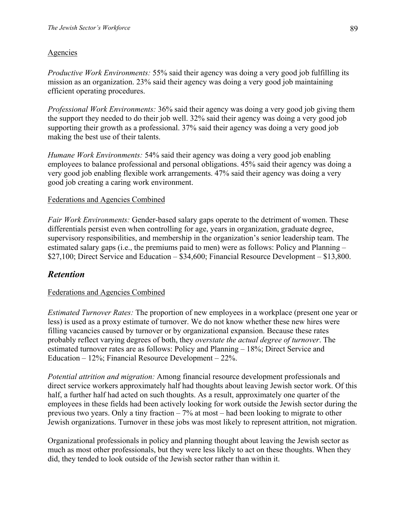#### **Agencies**

*Productive Work Environments:* 55% said their agency was doing a very good job fulfilling its mission as an organization. 23% said their agency was doing a very good job maintaining efficient operating procedures.

*Professional Work Environments:* 36% said their agency was doing a very good job giving them the support they needed to do their job well. 32% said their agency was doing a very good job supporting their growth as a professional. 37% said their agency was doing a very good job making the best use of their talents.

*Humane Work Environments:* 54% said their agency was doing a very good job enabling employees to balance professional and personal obligations. 45% said their agency was doing a very good job enabling flexible work arrangements. 47% said their agency was doing a very good job creating a caring work environment.

#### Federations and Agencies Combined

*Fair Work Environments:* Gender-based salary gaps operate to the detriment of women. These differentials persist even when controlling for age, years in organization, graduate degree, supervisory responsibilities, and membership in the organization's senior leadership team. The estimated salary gaps (i.e., the premiums paid to men) were as follows: Policy and Planning – \$27,100; Direct Service and Education – \$34,600; Financial Resource Development – \$13,800.

# *Retention*

#### Federations and Agencies Combined

*Estimated Turnover Rates:* The proportion of new employees in a workplace (present one year or less) is used as a proxy estimate of turnover. We do not know whether these new hires were filling vacancies caused by turnover or by organizational expansion. Because these rates probably reflect varying degrees of both, they *overstate the actual degree of turnover*. The estimated turnover rates are as follows: Policy and Planning – 18%; Direct Service and Education – 12%; Financial Resource Development – 22%.

*Potential attrition and migration:* Among financial resource development professionals and direct service workers approximately half had thoughts about leaving Jewish sector work. Of this half, a further half had acted on such thoughts. As a result, approximately one quarter of the employees in these fields had been actively looking for work outside the Jewish sector during the previous two years. Only a tiny fraction – 7% at most – had been looking to migrate to other Jewish organizations. Turnover in these jobs was most likely to represent attrition, not migration.

Organizational professionals in policy and planning thought about leaving the Jewish sector as much as most other professionals, but they were less likely to act on these thoughts. When they did, they tended to look outside of the Jewish sector rather than within it.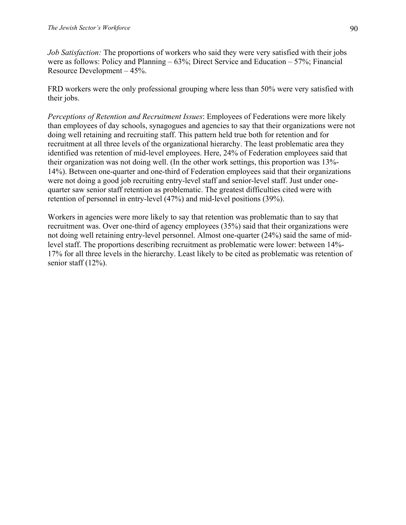*Job Satisfaction:* The proportions of workers who said they were very satisfied with their jobs were as follows: Policy and Planning – 63%; Direct Service and Education – 57%; Financial Resource Development – 45%.

FRD workers were the only professional grouping where less than 50% were very satisfied with their jobs.

*Perceptions of Retention and Recruitment Issues*: Employees of Federations were more likely than employees of day schools, synagogues and agencies to say that their organizations were not doing well retaining and recruiting staff. This pattern held true both for retention and for recruitment at all three levels of the organizational hierarchy. The least problematic area they identified was retention of mid-level employees. Here, 24% of Federation employees said that their organization was not doing well. (In the other work settings, this proportion was 13%- 14%). Between one-quarter and one-third of Federation employees said that their organizations were not doing a good job recruiting entry-level staff and senior-level staff. Just under onequarter saw senior staff retention as problematic. The greatest difficulties cited were with retention of personnel in entry-level (47%) and mid-level positions (39%).

Workers in agencies were more likely to say that retention was problematic than to say that recruitment was. Over one-third of agency employees (35%) said that their organizations were not doing well retaining entry-level personnel. Almost one-quarter (24%) said the same of midlevel staff. The proportions describing recruitment as problematic were lower: between 14%- 17% for all three levels in the hierarchy. Least likely to be cited as problematic was retention of senior staff (12%).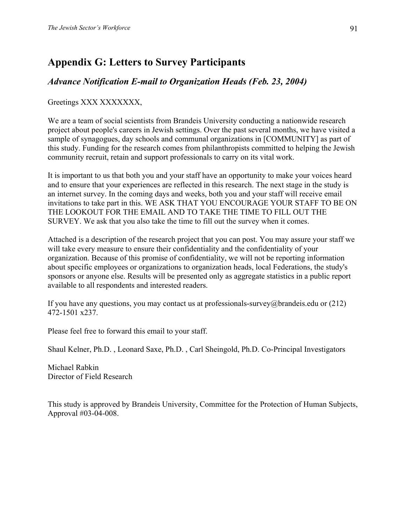# **Appendix G: Letters to Survey Participants**

# *Advance Notification E-mail to Organization Heads (Feb. 23, 2004)*

#### Greetings XXX XXXXXXX,

We are a team of social scientists from Brandeis University conducting a nationwide research project about people's careers in Jewish settings. Over the past several months, we have visited a sample of synagogues, day schools and communal organizations in [COMMUNITY] as part of this study. Funding for the research comes from philanthropists committed to helping the Jewish community recruit, retain and support professionals to carry on its vital work.

It is important to us that both you and your staff have an opportunity to make your voices heard and to ensure that your experiences are reflected in this research. The next stage in the study is an internet survey. In the coming days and weeks, both you and your staff will receive email invitations to take part in this. WE ASK THAT YOU ENCOURAGE YOUR STAFF TO BE ON THE LOOKOUT FOR THE EMAIL AND TO TAKE THE TIME TO FILL OUT THE SURVEY. We ask that you also take the time to fill out the survey when it comes.

Attached is a description of the research project that you can post. You may assure your staff we will take every measure to ensure their confidentiality and the confidentiality of your organization. Because of this promise of confidentiality, we will not be reporting information about specific employees or organizations to organization heads, local Federations, the study's sponsors or anyone else. Results will be presented only as aggregate statistics in a public report available to all respondents and interested readers.

If you have any questions, you may contact us at professionals-survey@brandeis.edu or  $(212)$ 472-1501 x237.

Please feel free to forward this email to your staff.

Shaul Kelner, Ph.D. , Leonard Saxe, Ph.D. , Carl Sheingold, Ph.D. Co-Principal Investigators

Michael Rabkin Director of Field Research

This study is approved by Brandeis University, Committee for the Protection of Human Subjects, Approval #03-04-008.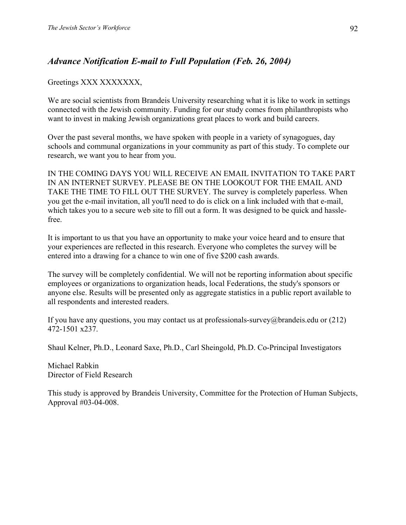# *Advance Notification E-mail to Full Population (Feb. 26, 2004)*

#### Greetings XXX XXXXXXX,

We are social scientists from Brandeis University researching what it is like to work in settings connected with the Jewish community. Funding for our study comes from philanthropists who want to invest in making Jewish organizations great places to work and build careers.

Over the past several months, we have spoken with people in a variety of synagogues, day schools and communal organizations in your community as part of this study. To complete our research, we want you to hear from you.

IN THE COMING DAYS YOU WILL RECEIVE AN EMAIL INVITATION TO TAKE PART IN AN INTERNET SURVEY. PLEASE BE ON THE LOOKOUT FOR THE EMAIL AND TAKE THE TIME TO FILL OUT THE SURVEY. The survey is completely paperless. When you get the e-mail invitation, all you'll need to do is click on a link included with that e-mail, which takes you to a secure web site to fill out a form. It was designed to be quick and hasslefree.

It is important to us that you have an opportunity to make your voice heard and to ensure that your experiences are reflected in this research. Everyone who completes the survey will be entered into a drawing for a chance to win one of five \$200 cash awards.

The survey will be completely confidential. We will not be reporting information about specific employees or organizations to organization heads, local Federations, the study's sponsors or anyone else. Results will be presented only as aggregate statistics in a public report available to all respondents and interested readers.

If you have any questions, you may contact us at professionals-survey@brandeis.edu or  $(212)$ 472-1501 x237.

Shaul Kelner, Ph.D., Leonard Saxe, Ph.D., Carl Sheingold, Ph.D. Co-Principal Investigators

Michael Rabkin Director of Field Research

This study is approved by Brandeis University, Committee for the Protection of Human Subjects, Approval #03-04-008.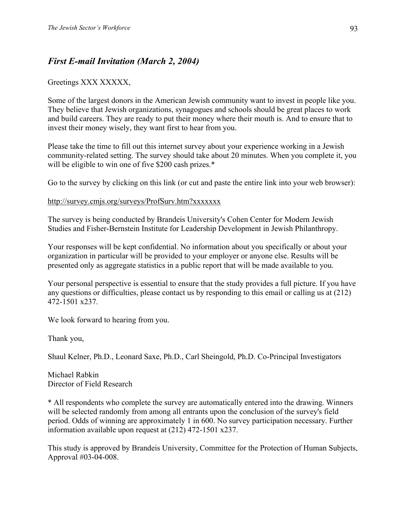# *First E-mail Invitation (March 2, 2004)*

#### Greetings XXX XXXXX,

Some of the largest donors in the American Jewish community want to invest in people like you. They believe that Jewish organizations, synagogues and schools should be great places to work and build careers. They are ready to put their money where their mouth is. And to ensure that to invest their money wisely, they want first to hear from you.

Please take the time to fill out this internet survey about your experience working in a Jewish community-related setting. The survey should take about 20 minutes. When you complete it, you will be eligible to win one of five \$200 cash prizes.\*

Go to the survey by clicking on this link (or cut and paste the entire link into your web browser):

#### http://survey.cmjs.org/surveys/ProfSurv.htm?xxxxxxx

The survey is being conducted by Brandeis University's Cohen Center for Modern Jewish Studies and Fisher-Bernstein Institute for Leadership Development in Jewish Philanthropy.

Your responses will be kept confidential. No information about you specifically or about your organization in particular will be provided to your employer or anyone else. Results will be presented only as aggregate statistics in a public report that will be made available to you.

Your personal perspective is essential to ensure that the study provides a full picture. If you have any questions or difficulties, please contact us by responding to this email or calling us at (212) 472-1501 x237.

We look forward to hearing from you.

Thank you,

Shaul Kelner, Ph.D., Leonard Saxe, Ph.D., Carl Sheingold, Ph.D. Co-Principal Investigators

Michael Rabkin Director of Field Research

\* All respondents who complete the survey are automatically entered into the drawing. Winners will be selected randomly from among all entrants upon the conclusion of the survey's field period. Odds of winning are approximately 1 in 600. No survey participation necessary. Further information available upon request at (212) 472-1501 x237.

This study is approved by Brandeis University, Committee for the Protection of Human Subjects, Approval #03-04-008.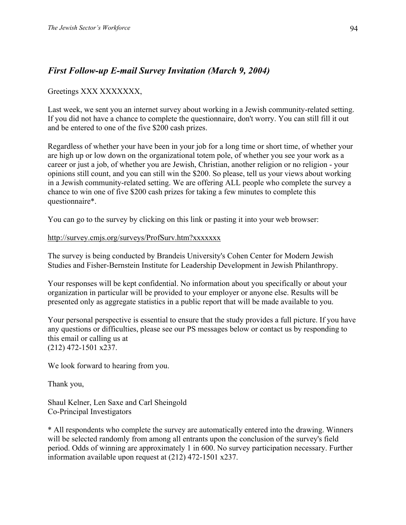# *First Follow-up E-mail Survey Invitation (March 9, 2004)*

Greetings XXX XXXXXXX,

Last week, we sent you an internet survey about working in a Jewish community-related setting. If you did not have a chance to complete the questionnaire, don't worry. You can still fill it out and be entered to one of the five \$200 cash prizes.

Regardless of whether your have been in your job for a long time or short time, of whether your are high up or low down on the organizational totem pole, of whether you see your work as a career or just a job, of whether you are Jewish, Christian, another religion or no religion - your opinions still count, and you can still win the \$200. So please, tell us your views about working in a Jewish community-related setting. We are offering ALL people who complete the survey a chance to win one of five \$200 cash prizes for taking a few minutes to complete this questionnaire\*.

You can go to the survey by clicking on this link or pasting it into your web browser:

#### http://survey.cmjs.org/surveys/ProfSurv.htm?xxxxxxx

The survey is being conducted by Brandeis University's Cohen Center for Modern Jewish Studies and Fisher-Bernstein Institute for Leadership Development in Jewish Philanthropy.

Your responses will be kept confidential. No information about you specifically or about your organization in particular will be provided to your employer or anyone else. Results will be presented only as aggregate statistics in a public report that will be made available to you.

Your personal perspective is essential to ensure that the study provides a full picture. If you have any questions or difficulties, please see our PS messages below or contact us by responding to this email or calling us at (212) 472-1501 x237.

We look forward to hearing from you.

Thank you,

Shaul Kelner, Len Saxe and Carl Sheingold Co-Principal Investigators

\* All respondents who complete the survey are automatically entered into the drawing. Winners will be selected randomly from among all entrants upon the conclusion of the survey's field period. Odds of winning are approximately 1 in 600. No survey participation necessary. Further information available upon request at (212) 472-1501 x237.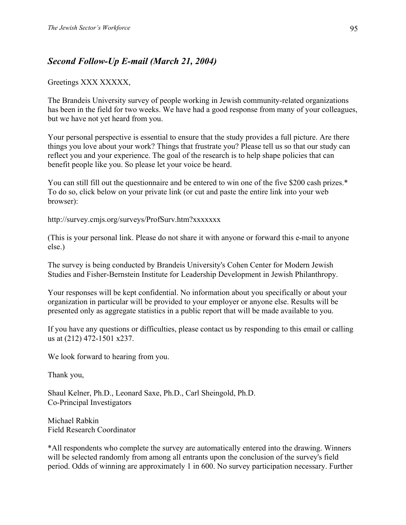# *Second Follow-Up E-mail (March 21, 2004)*

#### Greetings XXX XXXXX,

The Brandeis University survey of people working in Jewish community-related organizations has been in the field for two weeks. We have had a good response from many of your colleagues, but we have not yet heard from you.

Your personal perspective is essential to ensure that the study provides a full picture. Are there things you love about your work? Things that frustrate you? Please tell us so that our study can reflect you and your experience. The goal of the research is to help shape policies that can benefit people like you. So please let your voice be heard.

You can still fill out the questionnaire and be entered to win one of the five \$200 cash prizes.\* To do so, click below on your private link (or cut and paste the entire link into your web browser):

http://survey.cmjs.org/surveys/ProfSurv.htm?xxxxxxx

(This is your personal link. Please do not share it with anyone or forward this e-mail to anyone else.)

The survey is being conducted by Brandeis University's Cohen Center for Modern Jewish Studies and Fisher-Bernstein Institute for Leadership Development in Jewish Philanthropy.

Your responses will be kept confidential. No information about you specifically or about your organization in particular will be provided to your employer or anyone else. Results will be presented only as aggregate statistics in a public report that will be made available to you.

If you have any questions or difficulties, please contact us by responding to this email or calling us at (212) 472-1501 x237.

We look forward to hearing from you.

Thank you,

Shaul Kelner, Ph.D., Leonard Saxe, Ph.D., Carl Sheingold, Ph.D. Co-Principal Investigators

Michael Rabkin Field Research Coordinator

\*All respondents who complete the survey are automatically entered into the drawing. Winners will be selected randomly from among all entrants upon the conclusion of the survey's field period. Odds of winning are approximately 1 in 600. No survey participation necessary. Further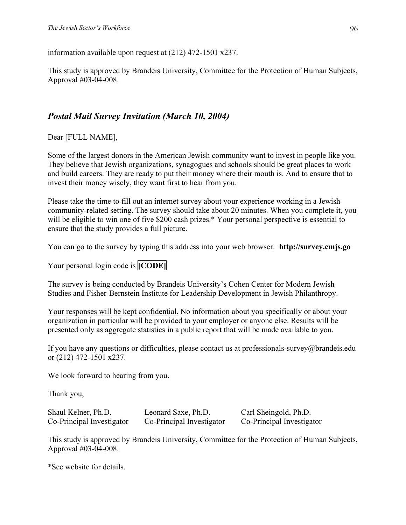information available upon request at (212) 472-1501 x237.

This study is approved by Brandeis University, Committee for the Protection of Human Subjects, Approval #03-04-008.

# *Postal Mail Survey Invitation (March 10, 2004)*

Dear [FULL NAME],

Some of the largest donors in the American Jewish community want to invest in people like you. They believe that Jewish organizations, synagogues and schools should be great places to work and build careers. They are ready to put their money where their mouth is. And to ensure that to invest their money wisely, they want first to hear from you.

Please take the time to fill out an internet survey about your experience working in a Jewish community-related setting. The survey should take about 20 minutes. When you complete it, you will be eligible to win one of five \$200 cash prizes.\* Your personal perspective is essential to ensure that the study provides a full picture.

You can go to the survey by typing this address into your web browser: **http://survey.cmjs.go** 

Your personal login code is **[CODE]** 

The survey is being conducted by Brandeis University's Cohen Center for Modern Jewish Studies and Fisher-Bernstein Institute for Leadership Development in Jewish Philanthropy.

Your responses will be kept confidential. No information about you specifically or about your organization in particular will be provided to your employer or anyone else. Results will be presented only as aggregate statistics in a public report that will be made available to you.

If you have any questions or difficulties, please contact us at professionals-survey@brandeis.edu or (212) 472-1501 x237.

We look forward to hearing from you.

Thank you,

Shaul Kelner, Ph.D. Leonard Saxe, Ph.D. Carl Sheingold, Ph.D.

Co-Principal Investigator Co-Principal Investigator Co-Principal Investigator

This study is approved by Brandeis University, Committee for the Protection of Human Subjects, Approval #03-04-008.

\*See website for details.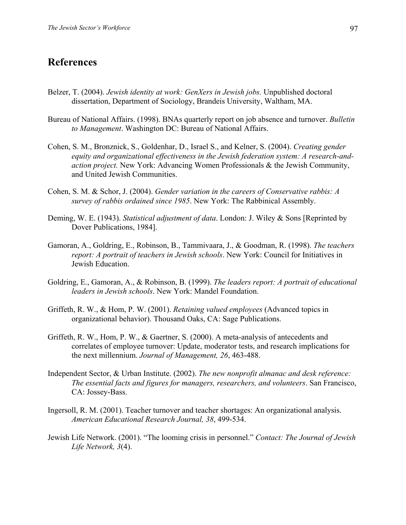# **References**

- Belzer, T. (2004). *Jewish identity at work: GenXers in Jewish jobs.* Unpublished doctoral dissertation, Department of Sociology, Brandeis University, Waltham, MA.
- Bureau of National Affairs. (1998). BNAs quarterly report on job absence and turnover. *Bulletin to Management*. Washington DC: Bureau of National Affairs.
- Cohen, S. M., Bronznick, S., Goldenhar, D., Israel S., and Kelner, S. (2004). *Creating gender equity and organizational effectiveness in the Jewish federation system: A research-andaction project.* New York: Advancing Women Professionals & the Jewish Community, and United Jewish Communities.
- Cohen, S. M. & Schor, J. (2004). *Gender variation in the careers of Conservative rabbis: A survey of rabbis ordained since 1985*. New York: The Rabbinical Assembly.
- Deming, W. E. (1943). *Statistical adjustment of data*. London: J. Wiley & Sons [Reprinted by Dover Publications, 1984].
- Gamoran, A., Goldring, E., Robinson, B., Tammivaara, J., & Goodman, R. (1998). *The teachers report: A portrait of teachers in Jewish schools*. New York: Council for Initiatives in Jewish Education.
- Goldring, E., Gamoran, A., & Robinson, B. (1999). *The leaders report: A portrait of educational leaders in Jewish schools*. New York: Mandel Foundation.
- Griffeth, R. W., & Hom, P. W. (2001). *Retaining valued employees* (Advanced topics in organizational behavior). Thousand Oaks, CA: Sage Publications.
- Griffeth, R. W., Hom, P. W., & Gaertner, S. (2000). A meta-analysis of antecedents and correlates of employee turnover: Update, moderator tests, and research implications for the next millennium. *Journal of Management, 26*, 463-488.
- Independent Sector, & Urban Institute. (2002). *The new nonprofit almanac and desk reference: The essential facts and figures for managers, researchers, and volunteers*. San Francisco, CA: Jossey-Bass.
- Ingersoll, R. M. (2001). Teacher turnover and teacher shortages: An organizational analysis. *American Educational Research Journal, 38*, 499-534.
- Jewish Life Network. (2001). "The looming crisis in personnel." *Contact: The Journal of Jewish Life Network, 3*(4).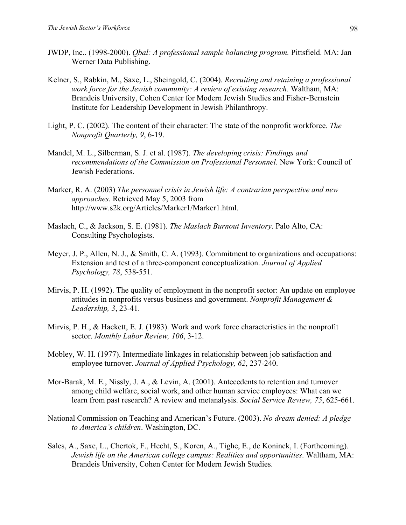- JWDP, Inc.. (1998-2000). *Qbal: A professional sample balancing program.* Pittsfield. MA: Jan Werner Data Publishing.
- Kelner, S., Rabkin, M., Saxe, L., Sheingold, C. (2004). *Recruiting and retaining a professional work force for the Jewish community: A review of existing research.* Waltham, MA: Brandeis University, Cohen Center for Modern Jewish Studies and Fisher-Bernstein Institute for Leadership Development in Jewish Philanthropy.
- Light, P. C. (2002). The content of their character: The state of the nonprofit workforce. *The Nonprofit Quarterly, 9*, 6-19.
- Mandel, M. L., Silberman, S. J. et al. (1987). *The developing crisis: Findings and recommendations of the Commission on Professional Personnel*. New York: Council of Jewish Federations.
- Marker, R. A. (2003) *The personnel crisis in Jewish life: A contrarian perspective and new approaches*. Retrieved May 5, 2003 from http://www.s2k.org/Articles/Marker1/Marker1.html.
- Maslach, C., & Jackson, S. E. (1981). *The Maslach Burnout Inventory*. Palo Alto, CA: Consulting Psychologists.
- Meyer, J. P., Allen, N. J., & Smith, C. A. (1993). Commitment to organizations and occupations: Extension and test of a three-component conceptualization. *Journal of Applied Psychology, 78*, 538-551.
- Mirvis, P. H. (1992). The quality of employment in the nonprofit sector: An update on employee attitudes in nonprofits versus business and government. *Nonprofit Management & Leadership, 3*, 23-41.
- Mirvis, P. H., & Hackett, E. J. (1983). Work and work force characteristics in the nonprofit sector. *Monthly Labor Review, 106*, 3-12.
- Mobley, W. H. (1977). Intermediate linkages in relationship between job satisfaction and employee turnover. *Journal of Applied Psychology, 62*, 237-240.
- Mor-Barak, M. E., Nissly, J. A., & Levin, A. (2001). Antecedents to retention and turnover among child welfare, social work, and other human service employees: What can we learn from past research? A review and metanalysis. *Social Service Review, 75*, 625-661.
- National Commission on Teaching and American's Future. (2003). *No dream denied: A pledge to America's children*. Washington, DC.
- Sales, A., Saxe, L., Chertok, F., Hecht, S., Koren, A., Tighe, E., de Koninck, I. (Forthcoming). *Jewish life on the American college campus: Realities and opportunities*. Waltham, MA: Brandeis University, Cohen Center for Modern Jewish Studies.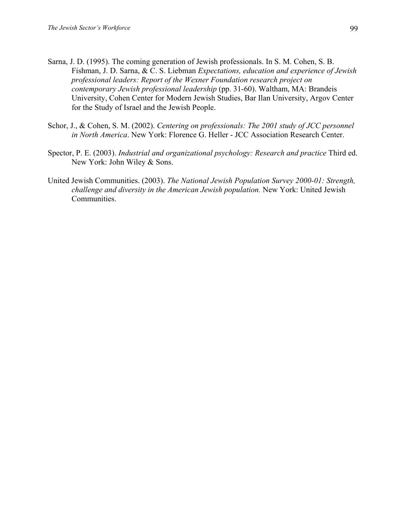- Sarna, J. D. (1995). The coming generation of Jewish professionals. In S. M. Cohen, S. B. Fishman, J. D. Sarna, & C. S. Liebman *Expectations, education and experience of Jewish professional leaders: Report of the Wexner Foundation research project on contemporary Jewish professional leadership* (pp. 31-60). Waltham, MA: Brandeis University, Cohen Center for Modern Jewish Studies, Bar Ilan University, Argov Center for the Study of Israel and the Jewish People.
- Schor, J., & Cohen, S. M. (2002). *Centering on professionals: The 2001 study of JCC personnel in North America*. New York: Florence G. Heller - JCC Association Research Center.
- Spector, P. E. (2003). *Industrial and organizational psychology: Research and practice* Third ed. New York: John Wiley & Sons.
- United Jewish Communities. (2003). *The National Jewish Population Survey 2000-01: Strength, challenge and diversity in the American Jewish population.* New York: United Jewish Communities.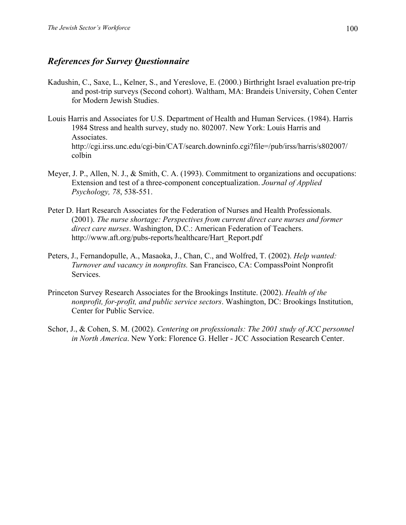### *References for Survey Questionnaire*

- Kadushin, C., Saxe, L., Kelner, S., and Yereslove, E. (2000.) Birthright Israel evaluation pre-trip and post-trip surveys (Second cohort). Waltham, MA: Brandeis University, Cohen Center for Modern Jewish Studies.
- Louis Harris and Associates for U.S. Department of Health and Human Services. (1984). Harris 1984 Stress and health survey, study no. 802007. New York: Louis Harris and Associates. http://cgi.irss.unc.edu/cgi-bin/CAT/search.downinfo.cgi?file=/pub/irss/harris/s802007/ colbin
- Meyer, J. P., Allen, N. J., & Smith, C. A. (1993). Commitment to organizations and occupations: Extension and test of a three-component conceptualization. *Journal of Applied Psychology, 78*, 538-551.
- Peter D. Hart Research Associates for the Federation of Nurses and Health Professionals. (2001). *The nurse shortage: Perspectives from current direct care nurses and former direct care nurses*. Washington, D.C.: American Federation of Teachers. http://www.aft.org/pubs-reports/healthcare/Hart\_Report.pdf
- Peters, J., Fernandopulle, A., Masaoka, J., Chan, C., and Wolfred, T. (2002). *Help wanted: Turnover and vacancy in nonprofits.* San Francisco, CA: CompassPoint Nonprofit Services.
- Princeton Survey Research Associates for the Brookings Institute. (2002). *Health of the nonprofit, for-profit, and public service sectors*. Washington, DC: Brookings Institution, Center for Public Service.
- Schor, J., & Cohen, S. M. (2002). *Centering on professionals: The 2001 study of JCC personnel in North America*. New York: Florence G. Heller - JCC Association Research Center.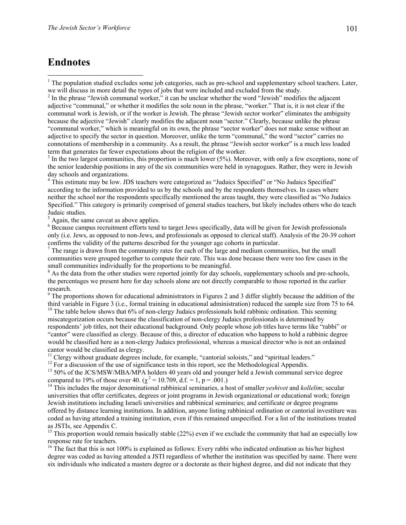# **Endnotes**

 $\overline{a}$ 

 $2 \text{ In the phrase "Jewish command worker," it can be unclear whether the word "Jewish" modifies the adjacent$ adjective "communal," or whether it modifies the sole noun in the phrase, "worker." That is, it is not clear if the communal work is Jewish, or if the worker is Jewish. The phrase "Jewish sector worker" eliminates the ambiguity because the adjective "Jewish" clearly modifies the adjacent noun "sector." Clearly, because unlike the phrase "communal worker," which is meaningful on its own, the phrase "sector worker" does not make sense without an adjective to specify the sector in question. Moreover, unlike the term "communal," the word "sector" carries no connotations of membership in a community. As a result, the phrase "Jewish sector worker" is a much less loaded term that generates far fewer expectations about the religion of the worker.

 $3$  In the two largest communities, this proportion is much lower (5%). Moreover, with only a few exceptions, none of the senior leadership positions in any of the six communities were held in synagogues. Rather, they were in Jewish day schools and organizations.

<sup>4</sup> This estimate may be low. JDS teachers were categorized as "Judaics Specified" or "No Judaics Specified" according to the information provided to us by the schools and by the respondents themselves. In cases where neither the school nor the respondents specifically mentioned the areas taught, they were classified as "No Judaics Specified." This category is primarily comprised of general studies teachers, but likely includes others who do teach Judaic studies.

 $<sup>5</sup>$  Again, the same caveat as above applies.</sup>

<sup>6</sup> Because campus recruitment efforts tend to target Jews specifically, data will be given for Jewish professionals only (i.e. Jews, as opposed to non-Jews, and professionals as opposed to clerical staff). Analysis of the 20-39 cohort

confirms the validity of the patterns described for the younger age cohorts in particular.<br><sup>7</sup> The range is drawn from the community rates for each of the large and medium communities, but the small communities were grouped together to compute their rate. This was done because there were too few cases in the small communities individually for the proportions to be meaningful.

<sup>8</sup> As the data from the other studies were reported jointly for day schools, supplementary schools and pre-schools, the percentages we present here for day schools alone are not directly comparable to those reported in the earlier research.

 $9$  The proportions shown for educational administrators in Figures 2 and 3 differ slightly because the addition of the third variable in Figure 3 (i.e., formal training in educational administration) reduced the sample size from 75 to 64.

<sup>10</sup> The table below shows that 6% of non-clergy Judaics professionals hold rabbinic ordination. This seeming miscategorization occurs because the classification of non-clergy Judaics professionals is determined by respondents' job titles, not their educational background. Only people whose job titles have terms like "rabbi" or "cantor" were classified as clergy. Because of this, a director of education who happens to hold a rabbinic degree would be classified here as a non-clergy Judaics professional, whereas a musical director who is not an ordained

cantor would be classified as clergy.<br><sup>11</sup> Clergy without graduate degrees include, for example, "cantorial soloists," and "spiritual leaders."

 $12$  For a discussion of the use of significance tests in this report, see the Methodological Appendix.

<sup>13</sup> 50% of the JCS/MSW/MBA/MPA holders 40 years old and younger held a Jewish communal service degree compared to 19% of those over 40.  $(\chi^2 = 10.709, d.f. = 1, p = .001.)$ <br><sup>14</sup> This includes the major denominational rabbinical seminaries, a host of smaller *yeshivot* and *kollelim*; secular

universities that offer certificates, degrees or joint programs in Jewish organizational or educational work; foreign Jewish institutions including Israeli universities and rabbinical seminaries; and certificate or degree programs offered by distance learning institutions. In addition, anyone listing rabbinical ordination or cantorial investiture was coded as having attended a training institution, even if this remained unspecified. For a list of the institutions treated as JSTIs, see Appendix C.

<sup>15</sup> This proportion would remain basically stable (22%) even if we exclude the community that had an especially low response rate for teachers.

 $16$  The fact that this is not 100% is explained as follows: Every rabbi who indicated ordination as his/her highest degree was coded as having attended a JSTI regardless of whether the institution was specified by name. There were six individuals who indicated a masters degree or a doctorate as their highest degree, and did not indicate that they

 $1$ <sup>1</sup> The population studied excludes some job categories, such as pre-school and supplementary school teachers. Later, we will discuss in more detail the types of jobs that were included and excluded from the study.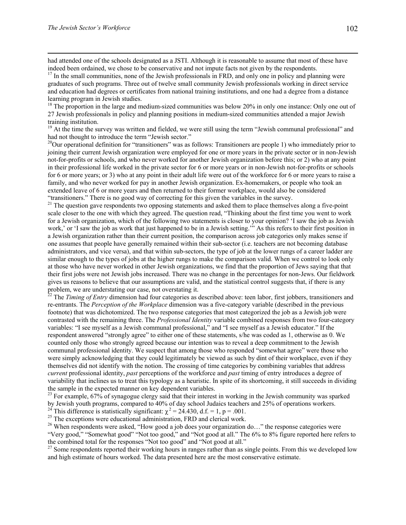had attended one of the schools designated as a JSTI. Although it is reasonable to assume that most of these have indeed been ordained, we chose to be conservative and not impute facts not given by the respondents.

<sup>17</sup> In the small communities, none of the Jewish professionals in FRD, and only one in policy and planning were graduates of such programs. Three out of twelve small community Jewish professionals working in direct service and education had degrees or certificates from national training institutions, and one had a degree from a distance learning program in Jewish studies.

<sup>18</sup> The proportion in the large and medium-sized communities was below 20% in only one instance: Only one out of 27 Jewish professionals in policy and planning positions in medium-sized communities attended a major Jewish training institution.

<sup>19</sup> At the time the survey was written and fielded, we were still using the term "Jewish communal professional" and had not thought to introduce the term "Jewish sector."

<sup>20</sup>Our operational definition for "transitioners" was as follows: Transitioners are people 1) who immediately prior to joining their current Jewish organization were employed for one or more years in the private sector or in non-Jewish not-for-profits or schools, and who never worked for another Jewish organization before this; or 2) who at any point in their professional life worked in the private sector for 6 or more years or in non-Jewish not-for-profits or schools for 6 or more years; or 3) who at any point in their adult life were out of the workforce for 6 or more years to raise a family, and who never worked for pay in another Jewish organization. Ex-homemakers, or people who took an extended leave of 6 or more years and then returned to their former workplace, would also be considered

"transitioners." There is no good way of correcting for this given the variables in the survey.<br><sup>21</sup> The question gave respondents two opposing statements and asked them to place themselves along a five-point scale closer to the one with which they agreed. The question read, "Thinking about the first time you went to work for a Jewish organization, which of the following two statements is closer to your opinion? 'I saw the job as Jewish work,' or 'I saw the job as work that just happened to be in a Jewish setting.'" As this refers to their first position in a Jewish organization rather than their current position, the comparison across job categories only makes sense if one assumes that people have generally remained within their sub-sector (i.e. teachers are not becoming database administrators, and vice versa), and that within sub-sectors, the type of job at the lower rungs of a career ladder are similar enough to the types of jobs at the higher rungs to make the comparison valid. When we control to look only at those who have never worked in other Jewish organizations, we find that the proportion of Jews saying that that their first jobs were not Jewish jobs increased. There was no change in the percentages for non-Jews. Our fieldwork gives us reasons to believe that our assumptions are valid, and the statistical control suggests that, if there is any problem, we are understating our case, not overstating it.

<sup>22</sup> The *Timing of Entry* dimension had four categories as described above: teen labor, first jobbers, transitioners and re-entrants. The *Perception of the Workplace* dimension was a five-category variable (described in the previous footnote) that was dichotomized. The two response categories that most categorized the job as a Jewish job were contrasted with the remaining three. The *Professional Identity* variable combined responses from two four-category variables: "I see myself as a Jewish communal professional," and "I see myself as a Jewish educator." If the respondent answered "strongly agree" to either one of these statements, s/he was coded as 1, otherwise as 0. We counted only those who strongly agreed because our intention was to reveal a deep commitment to the Jewish communal professional identity. We suspect that among those who responded "somewhat agree" were those who were simply acknowledging that they could legitimately be viewed as such by dint of their workplace, even if they themselves did not identify with the notion. The crossing of time categories by combining variables that address *current* professional identity, *past* perceptions of the workforce and *past* timing of entry introduces a degree of variability that inclines us to treat this typology as a heuristic. In spite of its shortcoming, it still succeeds in dividing the sample in the expected manner on key dependent variables.

 $^{23}$  For example, 67% of synagogue clergy said that their interest in working in the Jewish community was sparked by Jewish youth programs, compared to 40% of day school Judaics teachers and 25% of operations workers.<br><sup>24</sup> This difference is statistically significant:  $\chi^2 = 24.430$ , d.f. = 1, p = .001.<br><sup>25</sup> The exceptions were educa

<sup>26</sup> When respondents were asked, "How good a job does your organization do..." the response categories were "Very good," "Somewhat good" "Not too good," and "Not good at all." The 6% to 8% figure reported here refers to the combined total for the responses "Not too good" and "Not good at all."<br><sup>27</sup> Some respondents reported their working hours in ranges rather than as single points. From this we developed low

and high estimate of hours worked. The data presented here are the most conservative estimate.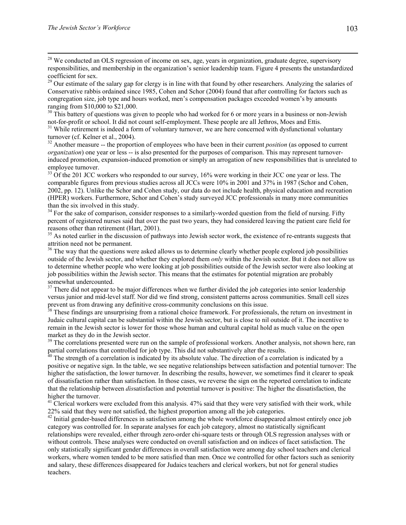<sup>28</sup> We conducted an OLS regression of income on sex, age, years in organization, graduate degree, supervisory responsibilities, and membership in the organization's senior leadership team. Figure 4 presents the unstandardized coefficient for sex.

 $29$  Our estimate of the salary gap for clergy is in line with that found by other researchers. Analyzing the salaries of Conservative rabbis ordained since 1985, Cohen and Schor (2004) found that after controlling for factors such as congregation size, job type and hours worked, men's compensation packages exceeded women's by amounts ranging from \$10,000 to \$21,000.

 $30$  This battery of questions was given to people who had worked for 6 or more years in a business or non-Jewish

not-for-profit or school. It did not count self-employment. These people are all Jethros, Moes and Ettis.<br><sup>31</sup> While retirement is indeed a form of voluntary turnover, we are here concerned with dysfunctional voluntary<br>tur

<sup>32</sup> Another measure -- the proportion of employees who have been in their current *position* (as opposed to current *organization*) one year or less -- is also presented for the purposes of comparison. This may represent turnoverinduced promotion, expansion-induced promotion or simply an arrogation of new responsibilities that is unrelated to employee turnover.

<sup>33</sup> Of the 201 JCC workers who responded to our survey, 16% were working in their JCC one year or less. The comparable figures from previous studies across all JCCs were 10% in 2001 and 37% in 1987 (Schor and Cohen, 2002, pp. 12). Unlike the Schor and Cohen study, our data do not include health, physical education and recreation (HPER) workers. Furthermore, Schor and Cohen's study surveyed JCC professionals in many more communities than the six involved in this study.

<sup>34</sup> For the sake of comparison, consider responses to a similarly-worded question from the field of nursing. Fifty percent of registered nurses said that over the past two years, they had considered leaving the patient care field for

<sup>35</sup> As noted earlier in the discussion of pathways into Jewish sector work, the existence of re-entrants suggests that attrition need not be permanent.

<sup>36</sup> The way that the questions were asked allows us to determine clearly whether people explored job possibilities outside of the Jewish sector, and whether they explored them *only* within the Jewish sector. But it does not allow us to determine whether people who were looking at job possibilities outside of the Jewish sector were also looking at job possibilities within the Jewish sector. This means that the estimates for potential migration are probably somewhat undercounted.

 $37$  There did not appear to be major differences when we further divided the job categories into senior leadership versus junior and mid-level staff. Nor did we find strong, consistent patterns across communities. Small cell sizes prevent us from drawing any definitive cross-community conclusions on this issue.<br><sup>38</sup> These findings are unsurprising from a rational choice framework. For professionals, the return on investment in

Judaic cultural capital can be substantial within the Jewish sector, but is close to nil outside of it. The incentive to remain in the Jewish sector is lower for those whose human and cultural capital hold as much value on the open market as they do in the Jewish sector.

<sup>39</sup> The correlations presented were run on the sample of professional workers. Another analysis, not shown here, ran partial correlations that controlled for job type. This did not substantively alter the results.

 $40$  The strength of a correlation is indicated by its absolute value. The direction of a correlation is indicated by a positive or negative sign. In the table, we see negative relationships between satisfaction and potential turnover: The higher the satisfaction, the lower turnover. In describing the results, however, we sometimes find it clearer to speak of dissatisfaction rather than satisfaction. In those cases, we reverse the sign on the reported correlation to indicate that the relationship between *dis*satisfaction and potential turnover is positive: The higher the dissatisfaction, the higher the turnover.

 $41$  Clerical workers were excluded from this analysis.  $47\%$  said that they were very satisfied with their work, while

22% said that they were not satisfied, the highest proportion among all the job categories. 42 Initial gender-based differences in satisfaction among the whole workforce disappeared almost entirely once job category was controlled for. In separate analyses for each job category, almost no statistically significant relationships were revealed, either through zero-order chi-square tests or through OLS regression analyses with or without controls. These analyses were conducted on overall satisfaction and on indices of facet satisfaction. The only statistically significant gender differences in overall satisfaction were among day school teachers and clerical workers, where women tended to be more satisfied than men. Once we controlled for other factors such as seniority and salary, these differences disappeared for Judaics teachers and clerical workers, but not for general studies teachers.